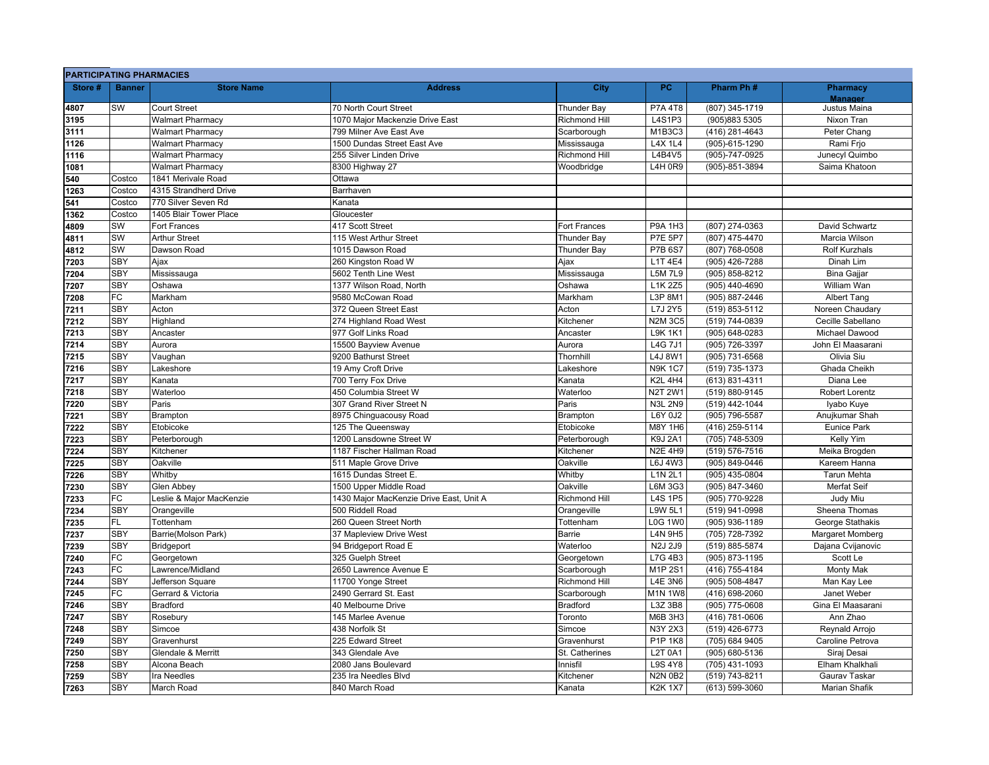| Store# | <b>Banner</b> | <b>Store Name</b>         | <b>Address</b>                          | City                      | PC             | Pharm Ph#      | <b>Pharmacy</b>      |
|--------|---------------|---------------------------|-----------------------------------------|---------------------------|----------------|----------------|----------------------|
|        |               |                           |                                         |                           |                |                | <b>Manager</b>       |
| 4807   | <b>SW</b>     | Court Street              | 70 North Court Street                   | Thunder Bay               | <b>P7A 4T8</b> | (807) 345-1719 | Justus Maina         |
| 3195   |               | Walmart Pharmacy          | 1070 Major Mackenzie Drive East         | <b>Richmond Hill</b>      | L4S1P3         | (905)883 5305  | Nixon Tran           |
| 3111   |               | <b>Walmart Pharmacy</b>   | 799 Milner Ave East Ave                 | Scarborough               | M1B3C3         | (416) 281-4643 | Peter Chang          |
| 1126   |               | <b>Walmart Pharmacy</b>   | 1500 Dundas Street East Ave             | Mississauga               | <b>L4X 1L4</b> | (905)-615-1290 | Rami Frjo            |
| 1116   |               | <b>Walmart Pharmacy</b>   | 255 Silver Linden Drive                 | <b>Richmond Hill</b>      | L4B4V5         | (905)-747-0925 | Junecyl Quimbo       |
| 1081   |               | <b>Walmart Pharmacy</b>   | 8300 Highway 27                         | Woodbridge                | L4H 0R9        | (905)-851-3894 | Saima Khatoon        |
| 540    | Costco        | 1841 Merivale Road        | Ottawa                                  |                           |                |                |                      |
| 1263   | Costco        | 4315 Strandherd Drive     | Barrhaven                               |                           |                |                |                      |
| 541    | Costco        | 770 Silver Seven Rd       | Kanata                                  |                           |                |                |                      |
| 1362   | Costco        | 1405 Blair Tower Place    | Gloucester                              |                           |                |                |                      |
| 4809   | SW            | Fort Frances              | 417 Scott Street                        | Fort Frances              | P9A 1H3        | (807) 274-0363 | David Schwartz       |
| 4811   | <b>SW</b>     | <b>Arthur Street</b>      | 115 West Arthur Street                  | Thunder Bay               | <b>P7E 5P7</b> | (807) 475-4470 | Marcia Wilson        |
| 4812   | SW            | Dawson Road               | 1015 Dawson Road                        | Thunder Bay               | <b>P7B 6S7</b> | (807) 768-0508 | <b>Rolf Kurzhals</b> |
| 7203   | SBY           | Ajax                      | 260 Kingston Road W                     | Ajax                      | L1T 4E4        | (905) 426-7288 | Dinah Lim            |
| 7204   | <b>SBY</b>    | Mississauga               | 5602 Tenth Line West                    | Mississauga               | <b>L5M7L9</b>  | (905) 858-8212 | <b>Bina Gajjar</b>   |
| 7207   | <b>SBY</b>    | Oshawa                    | 1377 Wilson Road, North                 | Oshawa                    | L1K 2Z5        | (905) 440-4690 | William Wan          |
| 7208   | <b>FC</b>     | Markham                   | 9580 McCowan Road                       | Markham                   | L3P 8M1        | (905) 887-2446 | <b>Albert Tang</b>   |
| 7211   | SBY           | Acton                     | 372 Queen Street East                   | Acton                     | L7J 2Y5        | (519) 853-5112 | Noreen Chaudary      |
| 7212   | SBY           | Highland                  | 274 Highland Road West                  | Kitchener                 | <b>N2M 3C5</b> | (519) 744-0839 | Cecille Sabellano    |
| 7213   | <b>SBY</b>    | Ancaster                  | 977 Golf Links Road                     | Ancaster                  | <b>L9K 1K1</b> | (905) 648-0283 | Michael Dawood       |
| 7214   | <b>SBY</b>    | Aurora                    | 15500 Bayview Avenue                    | Aurora                    | <b>L4G 7J1</b> | (905) 726-3397 | John El Maasarani    |
| 7215   | <b>SBY</b>    | Vaughan                   | 9200 Bathurst Street                    | Thornhill                 | L4J 8W1        | (905) 731-6568 | Olivia Siu           |
| 7216   | <b>SBY</b>    | Lakeshore                 | 19 Amy Croft Drive                      | Lakeshore                 | <b>N9K1C7</b>  | (519) 735-1373 | Ghada Cheikh         |
| 7217   | <b>SBY</b>    | Kanata                    | 700 Terry Fox Drive                     | Kanata                    | <b>K2L 4H4</b> | (613) 831-4311 | Diana Lee            |
| 7218   | <b>SBY</b>    | Waterloo                  | 450 Columbia Street W                   | Waterloo                  | <b>N2T 2W1</b> | (519) 880-9145 | Robert Lorentz       |
| 7220   | <b>SBY</b>    | Paris                     | 307 Grand River Street N                | Paris                     | <b>N3L 2N9</b> | (519) 442-1044 | Iyabo Kuye           |
| 7221   | <b>SBY</b>    | <b>Brampton</b>           | 8975 Chinguacousy Road                  | Brampton                  | L6Y 0J2        | (905) 796-5587 | Anujkumar Shah       |
| 7222   | <b>SBY</b>    | Etobicoke                 | 125 The Queensway                       | Etobicoke                 | M8Y 1H6        | (416) 259-5114 | <b>Eunice Park</b>   |
| 7223   | <b>SBY</b>    |                           | 1200 Lansdowne Street W                 |                           | K9J 2A1        | (705) 748-5309 | Kelly Yim            |
|        | SBY           | Peterborough<br>Kitchener | 1187 Fischer Hallman Road               | Peterborough<br>Kitchener | <b>N2E 4H9</b> | (519) 576-7516 | Meika Brogden        |
| 7224   | <b>SBY</b>    | Oakville                  | 511 Maple Grove Drive                   | Oakville                  | L6J 4W3        | (905) 849-0446 | Kareem Hanna         |
| 7225   |               |                           |                                         |                           |                |                |                      |
| 7226   | <b>SBY</b>    | Whitby                    | 1615 Dundas Street E.                   | Whitby                    | L1N 2L1        | (905) 435-0804 | Tarun Mehta          |
| 7230   | <b>SBY</b>    | Glen Abbey                | 1500 Upper Middle Road                  | Oakville                  | L6M 3G3        | (905) 847-3460 | Merfat Seif          |
| 7233   | FC            | eslie & Major MacKenzie   | 1430 Major MacKenzie Drive East, Unit A | Richmond Hill             | <b>L4S 1P5</b> | (905) 770-9228 | Judy Miu             |
| 7234   | <b>SBY</b>    | Orangeville               | 500 Riddell Road                        | Orangeville               | L9W 5L1        | (519) 941-0998 | Sheena Thomas        |
| 7235   | <b>FL</b>     | Tottenham                 | 260 Queen Street North                  | Tottenham                 | <b>L0G 1W0</b> | (905) 936-1189 | George Stathakis     |
| 7237   | <b>SBY</b>    | Barrie(Molson Park)       | 37 Mapleview Drive West                 | Barrie                    | L4N 9H5        | (705) 728-7392 | Margaret Momberg     |
| 7239   | <b>SBY</b>    | Bridgeport                | 94 Bridgeport Road E                    | Waterloo                  | N2J 2J9        | (519) 885-5874 | Dajana Cvijanovic    |
| 7240   | <b>FC</b>     | Georgetown                | 325 Guelph Street                       | Georgetown                | <b>L7G 4B3</b> | (905) 873-1195 | Scott Le             |
| 7243   | <b>FC</b>     | Lawrence/Midland          | 2650 Lawrence Avenue E                  | Scarborough               | M1P 2S1        | (416) 755-4184 | <b>Monty Mak</b>     |
| 7244   | <b>SBY</b>    | Jefferson Square          | 11700 Yonge Street                      | Richmond Hill             | <b>L4E 3N6</b> | (905) 508-4847 | Man Kay Lee          |
| 7245   | FC            | Gerrard & Victoria        | 2490 Gerrard St. East                   | Scarborough               | <b>M1N 1W8</b> | (416) 698-2060 | Janet Weber          |
| 7246   | <b>SBY</b>    | <b>Bradford</b>           | 40 Melbourne Drive                      | <b>Bradford</b>           | L3Z 3B8        | (905) 775-0608 | Gina El Maasarani    |
| 7247   | <b>SBY</b>    | Rosebury                  | 145 Marlee Avenue                       | Toronto                   | M6B 3H3        | (416) 781-0606 | Ann Zhao             |
| 7248   | SBY           | Simcoe                    | 438 Norfolk St                          | Simcoe                    | N3Y 2X3        | (519) 426-6773 | Reynald Arrojo       |
| 7249   | <b>SBY</b>    | Gravenhurst               | 225 Edward Street                       | Gravenhurst               | P1P 1K8        | (705) 684 9405 | Caroline Petrova     |
| 7250   | <b>SBY</b>    | Glendale & Merritt        | 343 Glendale Ave                        | St. Catherines            | L2T 0A1        | (905) 680-5136 | Siraj Desai          |
| 7258   | SBY           | Alcona Beach              | 2080 Jans Boulevard                     | Innisfil                  | <b>L9S 4Y8</b> | (705) 431-1093 | Elham Khalkhali      |
| 7259   | SBY           | Ira Needles               | 235 Ira Needles Blvd                    | Kitchener                 | <b>N2N 0B2</b> | (519) 743-8211 | Gaurav Taskar        |
| 7263   | SBY           | March Road                | 840 March Road                          | Kanata                    | <b>K2K 1X7</b> | (613) 599-3060 | <b>Marian Shafik</b> |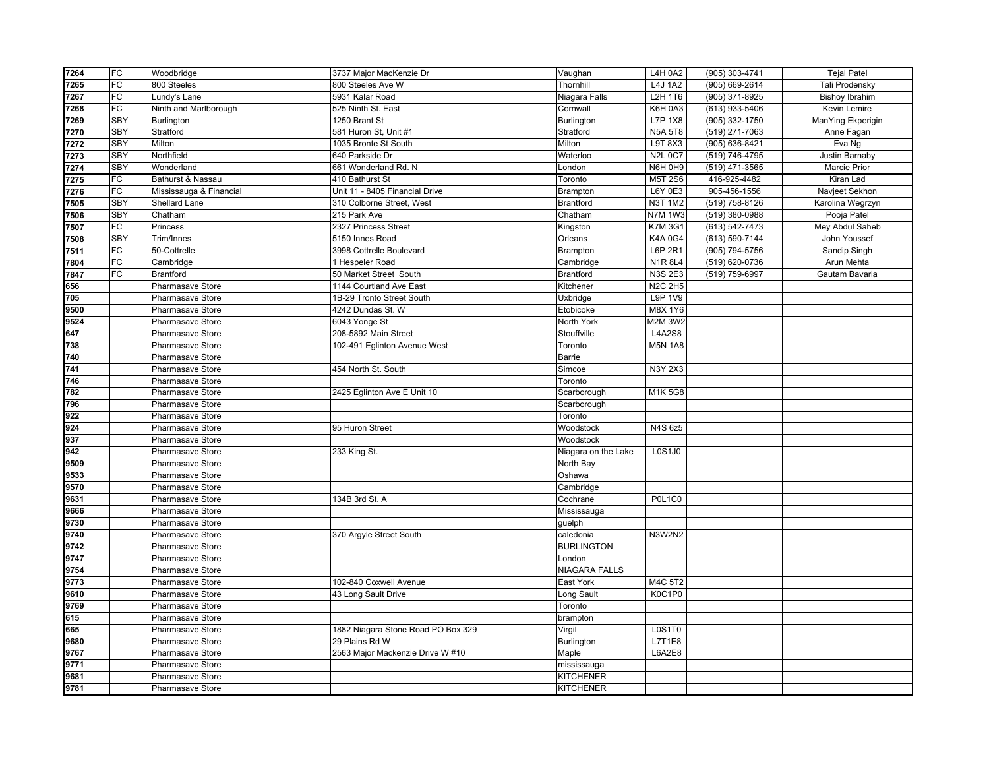| 7264 | FC              | Woodbridge              | 3737 Major MacKenzie Dr            | Vaughan              | L4H 0A2        | (905) 303-4741 | <b>Tejal Patel</b>    |
|------|-----------------|-------------------------|------------------------------------|----------------------|----------------|----------------|-----------------------|
| 7265 | FC              | 800 Steeles             | 800 Steeles Ave W                  | Thornhill            | L4J 1A2        | (905) 669-2614 | Tali Prodensky        |
| 7267 | FC              | Lundy's Lane            | 5931 Kalar Road                    | Niagara Falls        | L2H 1T6        | (905) 371-8925 | <b>Bishoy Ibrahim</b> |
| 7268 | FC              | Ninth and Marlborough   | 525 Ninth St. East                 | Cornwall             | K6H 0A3        | (613) 933-5406 | Kevin Lemire          |
| 7269 | SBY             | <b>Burlington</b>       | 1250 Brant St                      | <b>Burlington</b>    | L7P 1X8        | (905) 332-1750 | ManYing Ekperigin     |
| 7270 | <b>SBY</b>      | Stratford               | 581 Huron St, Unit #1              | Stratford            | <b>N5A 5T8</b> | (519) 271-7063 | Anne Fagan            |
| 7272 | SBY             | Milton                  | 1035 Bronte St South               | Milton               | L9T 8X3        | (905) 636-8421 | Eva Ng                |
| 7273 | SBY             | Northfield              | 640 Parkside Dr                    | Waterloo             | <b>N2L 0C7</b> | (519) 746-4795 | Justin Barnaby        |
| 7274 | <b>SBY</b>      | Wonderland              | 661 Wonderland Rd. N               | London               | N6H 0H9        | (519) 471-3565 | <b>Marcie Prior</b>   |
| 7275 | FC              | Bathurst & Nassau       | 410 Bathurst St                    | Toronto              | M5T 2S6        | 416-925-4482   | Kiran Lad             |
| 7276 | FC              | Mississauga & Financial | Unit 11 - 8405 Financial Drive     | Brampton             | L6Y 0E3        | 905-456-1556   | Navjeet Sekhon        |
| 7505 | <b>SBY</b>      | Shellard Lane           | 310 Colborne Street, West          | <b>Brantford</b>     | N3T 1M2        | (519) 758-8126 | Karolina Wegrzyn      |
| 7506 | SBY             | Chatham                 | 215 Park Ave                       | Chatham              | <b>N7M 1W3</b> | (519) 380-0988 | Pooja Patel           |
| 7507 | FC              | Princess                | 2327 Princess Street               | Kingston             | <b>K7M 3G1</b> | (613) 542-7473 | Mey Abdul Saheb       |
| 7508 | SBY             | Trim/Innes              | 5150 Innes Road                    | Orleans              | <b>K4A 0G4</b> | (613) 590-7144 | John Youssef          |
| 7511 | FC              | 50-Cottrelle            | 3998 Cottrelle Boulevard           | Brampton             | L6P 2R1        | (905) 794-5756 | Sandip Singh          |
| 7804 | $\overline{FC}$ | Cambridge               | 1 Hespeler Road                    | Cambridge            | <b>N1R 8L4</b> | (519) 620-0736 | Arun Mehta            |
| 7847 | FC              | <b>Brantford</b>        | 50 Market Street South             | Brantford            | <b>N3S 2E3</b> | (519) 759-6997 | Gautam Bavaria        |
| 656  |                 | Pharmasave Store        | 1144 Courtland Ave East            | Kitchener            | <b>N2C 2H5</b> |                |                       |
| 705  |                 | Pharmasave Store        | 1B-29 Tronto Street South          | Uxbridge             | L9P 1V9        |                |                       |
| 9500 |                 | Pharmasave Store        | 4242 Dundas St. W                  | Etobicoke            | M8X 1Y6        |                |                       |
| 9524 |                 | <b>Pharmasave Store</b> | 6043 Yonge St                      | North York           | <b>M2M 3W2</b> |                |                       |
| 647  |                 | Pharmasave Store        | 208-5892 Main Street               | Stouffville          | <b>L4A2S8</b>  |                |                       |
| 738  |                 | Pharmasave Store        | 102-491 Eglinton Avenue West       | Toronto              | <b>M5N 1A8</b> |                |                       |
| 740  |                 | Pharmasave Store        |                                    | Barrie               |                |                |                       |
| 741  |                 | Pharmasave Store        | 454 North St. South                | Simcoe               | N3Y 2X3        |                |                       |
| 746  |                 | Pharmasave Store        |                                    | Toronto              |                |                |                       |
| 782  |                 | Pharmasave Store        | 2425 Eglinton Ave E Unit 10        | Scarborough          | M1K 5G8        |                |                       |
| 796  |                 | Pharmasave Store        |                                    | Scarborough          |                |                |                       |
| 922  |                 | Pharmasave Store        |                                    | Toronto              |                |                |                       |
| 924  |                 | Pharmasave Store        | 95 Huron Street                    | Woodstock            | N4S 6z5        |                |                       |
| 937  |                 | Pharmasave Store        |                                    | Woodstock            |                |                |                       |
| 942  |                 | Pharmasave Store        | 233 King St.                       | Niagara on the Lake  | L0S1J0         |                |                       |
| 9509 |                 | <b>Pharmasave Store</b> |                                    | North Bay            |                |                |                       |
| 9533 |                 | Pharmasave Store        |                                    | Oshawa               |                |                |                       |
| 9570 |                 | Pharmasave Store        |                                    | Cambridge            |                |                |                       |
| 9631 |                 | Pharmasave Store        | 134B 3rd St. A                     | Cochrane             | <b>P0L1C0</b>  |                |                       |
| 9666 |                 | <b>Pharmasave Store</b> |                                    | Mississauga          |                |                |                       |
| 9730 |                 | Pharmasave Store        |                                    | guelph               |                |                |                       |
| 9740 |                 | Pharmasave Store        | 370 Argyle Street South            | caledonia            | <b>N3W2N2</b>  |                |                       |
| 9742 |                 | Pharmasave Store        |                                    | <b>BURLINGTON</b>    |                |                |                       |
| 9747 |                 | Pharmasave Store        |                                    | London               |                |                |                       |
| 9754 |                 | Pharmasave Store        |                                    | <b>NIAGARA FALLS</b> |                |                |                       |
| 9773 |                 | Pharmasave Store        | 102-840 Coxwell Avenue             | East York            | M4C 5T2        |                |                       |
| 9610 |                 | <b>Pharmasave Store</b> | 43 Long Sault Drive                | Long Sault           | K0C1P0         |                |                       |
| 9769 |                 | Pharmasave Store        |                                    | Toronto              |                |                |                       |
| 615  |                 | Pharmasave Store        |                                    | brampton             |                |                |                       |
| 665  |                 | Pharmasave Store        | 1882 Niagara Stone Road PO Box 329 | Virgil               | <b>L0S1T0</b>  |                |                       |
| 9680 |                 | Pharmasave Store        | 29 Plains Rd W                     | Burlington           | L7T1E8         |                |                       |
| 9767 |                 | Pharmasave Store        | 2563 Major Mackenzie Drive W #10   | Maple                | L6A2E8         |                |                       |
| 9771 |                 | <b>Pharmasave Store</b> |                                    | mississauga          |                |                |                       |
| 9681 |                 | Pharmasave Store        |                                    | <b>KITCHENER</b>     |                |                |                       |
| 9781 |                 | Pharmasave Store        |                                    | <b>KITCHENER</b>     |                |                |                       |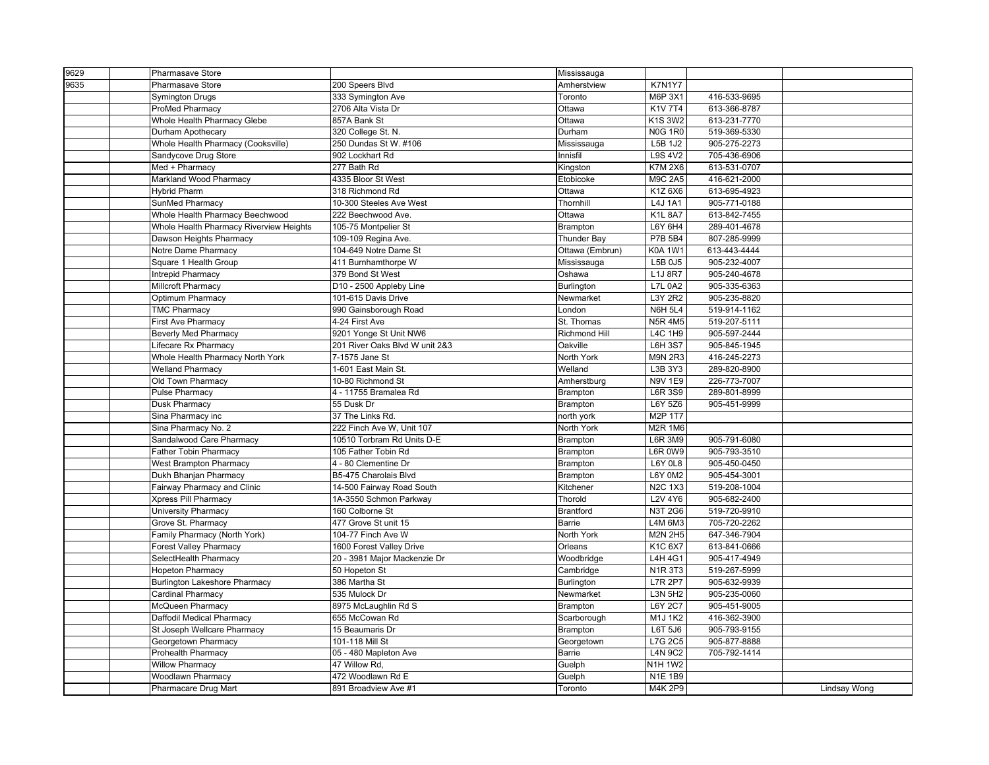| 9629 | Pharmasave Store                        |                                | Mississauga          |                           |                              |              |
|------|-----------------------------------------|--------------------------------|----------------------|---------------------------|------------------------------|--------------|
| 9635 | <b>Pharmasave Store</b>                 | 200 Speers Blvd                | Amherstview          | K7N1Y7                    |                              |              |
|      | <b>Symington Drugs</b>                  | 333 Symington Ave              | Toronto              | M6P 3X1                   | 416-533-9695                 |              |
|      | ProMed Pharmacy                         | 2706 Alta Vista Dr             | Ottawa               | K1V 7T4                   | 613-366-8787                 |              |
|      | Whole Health Pharmacy Glebe             | 857A Bank St                   | Ottawa               | K1S 3W2                   | 613-231-7770                 |              |
|      | Durham Apothecary                       | 320 College St. N.             | Durham               | <b>N0G 1R0</b>            | 519-369-5330                 |              |
|      | Whole Health Pharmacy (Cooksville)      | 250 Dundas St W. #106          | Mississauga          | L5B 1J2                   | 905-275-2273                 |              |
|      | Sandycove Drug Store                    | 902 Lockhart Rd                | Innisfil             | L9S 4V2                   | 705-436-6906                 |              |
|      | Med + Pharmacy                          | 277 Bath Rd                    | Kingston             | <b>K7M 2X6</b>            | 613-531-0707                 |              |
|      | Markland Wood Pharmacy                  | 4335 Bloor St West             | Etobicoke            | <b>M9C 2A5</b>            | 416-621-2000                 |              |
|      | <b>Hybrid Pharm</b>                     | 318 Richmond Rd                | Ottawa               | K1Z 6X6                   | 613-695-4923                 |              |
|      | SunMed Pharmacy                         | 10-300 Steeles Ave West        | Thornhill            | L4J 1A1                   | 905-771-0188                 |              |
|      | Whole Health Pharmacy Beechwood         | 222 Beechwood Ave.             | Ottawa               | <b>K1L 8A7</b>            | 613-842-7455                 |              |
|      | Whole Health Pharmacy Riverview Heights | 105-75 Montpelier St           | Brampton             | L6Y 6H4                   | 289-401-4678                 |              |
|      | Dawson Heights Pharmacy                 | 109-109 Regina Ave.            | <b>Thunder Bay</b>   | <b>P7B 5B4</b>            | 807-285-9999                 |              |
|      | Notre Dame Pharmacy                     | 104-649 Notre Dame St          | Ottawa (Embrun)      | <b>K0A 1W1</b>            | 613-443-4444                 |              |
|      | Square 1 Health Group                   | 411 Burnhamthorpe W            | Mississauga          | L5B 0J5                   | 905-232-4007                 |              |
|      | Intrepid Pharmacy                       | 379 Bond St West               | Oshawa               | L1J 8R7                   | 905-240-4678                 |              |
|      | Millcroft Pharmacy                      | D10 - 2500 Appleby Line        | Burlington           | <b>L7L 0A2</b>            | 905-335-6363                 |              |
|      | Optimum Pharmacy                        | 101-615 Davis Drive            | Newmarket            | L3Y 2R2                   | 905-235-8820                 |              |
|      | <b>TMC Pharmacy</b>                     | 990 Gainsborough Road          | London               | <b>N6H 5L4</b>            | 519-914-1162                 |              |
|      | <b>First Ave Pharmacy</b>               | 4-24 First Ave                 | St. Thomas           | <b>N5R 4M5</b>            | 519-207-5111                 |              |
|      | <b>Beverly Med Pharmacy</b>             | 9201 Yonge St Unit NW6         | <b>Richmond Hill</b> | L4C 1H9                   | 905-597-2444                 |              |
|      | Lifecare Rx Pharmacy                    | 201 River Oaks Blvd W unit 2&3 | Oakville             | <b>L6H 3S7</b>            | 905-845-1945                 |              |
|      | Whole Health Pharmacy North York        | 7-1575 Jane St                 | North York           | <b>M9N 2R3</b>            | 416-245-2273                 |              |
|      | <b>Welland Pharmacy</b>                 | 1-601 East Main St.            | Welland              | L3B 3Y3                   | 289-820-8900                 |              |
|      | Old Town Pharmacy                       | 10-80 Richmond St              | Amherstburg          | <b>N9V 1E9</b>            | 226-773-7007                 |              |
|      | Pulse Pharmacy                          | 4 - 11755 Bramalea Rd          | Brampton             | <b>L6R 3S9</b>            | 289-801-8999                 |              |
|      | Dusk Pharmacy                           | 55 Dusk Dr                     | Brampton             | L6Y 5Z6                   | 905-451-9999                 |              |
|      | Sina Pharmacy inc                       | 37 The Links Rd.               | north york           | M2P 1T7                   |                              |              |
|      | Sina Pharmacy No. 2                     | 222 Finch Ave W, Unit 107      |                      | <b>M2R 1M6</b>            |                              |              |
|      |                                         | 10510 Torbram Rd Units D-E     | North York           |                           |                              |              |
|      | Sandalwood Care Pharmacy                | 105 Father Tobin Rd            | Brampton             | L6R 3M9<br><b>L6R 0W9</b> | 905-791-6080<br>905-793-3510 |              |
|      | Father Tobin Pharmacy                   |                                | Brampton             | L6Y 0L8                   | 905-450-0450                 |              |
|      | <b>West Brampton Pharmacy</b>           | 4 - 80 Clementine Dr           | Brampton             |                           |                              |              |
|      | Dukh Bhanjan Pharmacy                   | B5-475 Charolais Blvd          | Brampton             | <b>L6Y 0M2</b>            | 905-454-3001                 |              |
|      | Fairway Pharmacy and Clinic             | 14-500 Fairway Road South      | Kitchener            | <b>N2C 1X3</b>            | 519-208-1004                 |              |
|      | Xpress Pill Pharmacy                    | 1A-3550 Schmon Parkway         | Thorold              | L2V 4Y6                   | 905-682-2400                 |              |
|      | University Pharmacy                     | 160 Colborne St                | <b>Brantford</b>     | <b>N3T 2G6</b>            | 519-720-9910                 |              |
|      | Grove St. Pharmacy                      | 477 Grove St unit 15           | <b>Barrie</b>        | L4M 6M3                   | 705-720-2262                 |              |
|      | Family Pharmacy (North York)            | 104-77 Finch Ave W             | North York           | <b>M2N 2H5</b>            | 647-346-7904                 |              |
|      | <b>Forest Valley Pharmacy</b>           | 1600 Forest Valley Drive       | Orleans              | K1C 6X7                   | 613-841-0666                 |              |
|      | SelectHealth Pharmacy                   | 20 - 3981 Major Mackenzie Dr   | Woodbridge           | L4H 4G1                   | 905-417-4949                 |              |
|      | <b>Hopeton Pharmacy</b>                 | 50 Hopeton St                  | Cambridge            | N1R 3T3                   | 519-267-5999                 |              |
|      | <b>Burlington Lakeshore Pharmacy</b>    | 386 Martha St                  | <b>Burlington</b>    | <b>L7R 2P7</b>            | 905-632-9939                 |              |
|      | Cardinal Pharmacy                       | 535 Mulock Dr                  | Newmarket            | L3N 5H2                   | 905-235-0060                 |              |
|      | McQueen Pharmacy                        | 8975 McLaughlin Rd S           | Brampton             | <b>L6Y 2C7</b>            | 905-451-9005                 |              |
|      | Daffodil Medical Pharmacy               | 655 McCowan Rd                 | Scarborough          | M1J 1K2                   | 416-362-3900                 |              |
|      | St Joseph Wellcare Pharmacy             | 15 Beaumaris Dr                | Brampton             | L6T 5J6                   | 905-793-9155                 |              |
|      | Georgetown Pharmacy                     | 101-118 Mill St                | Georgetown           | L7G 2C5                   | 905-877-8888                 |              |
|      | Prohealth Pharmacy                      | 05 - 480 Mapleton Ave          | Barrie               | <b>L4N 9C2</b>            | 705-792-1414                 |              |
|      | <b>Willow Pharmacy</b>                  | 47 Willow Rd,                  | Guelph               | N1H 1W2                   |                              |              |
|      | <b>Woodlawn Pharmacy</b>                | 472 Woodlawn Rd E              | Guelph               | <b>N1E 1B9</b>            |                              |              |
|      | Pharmacare Drug Mart                    | 891 Broadview Ave #1           | Toronto              | M4K 2P9                   |                              | Lindsay Wong |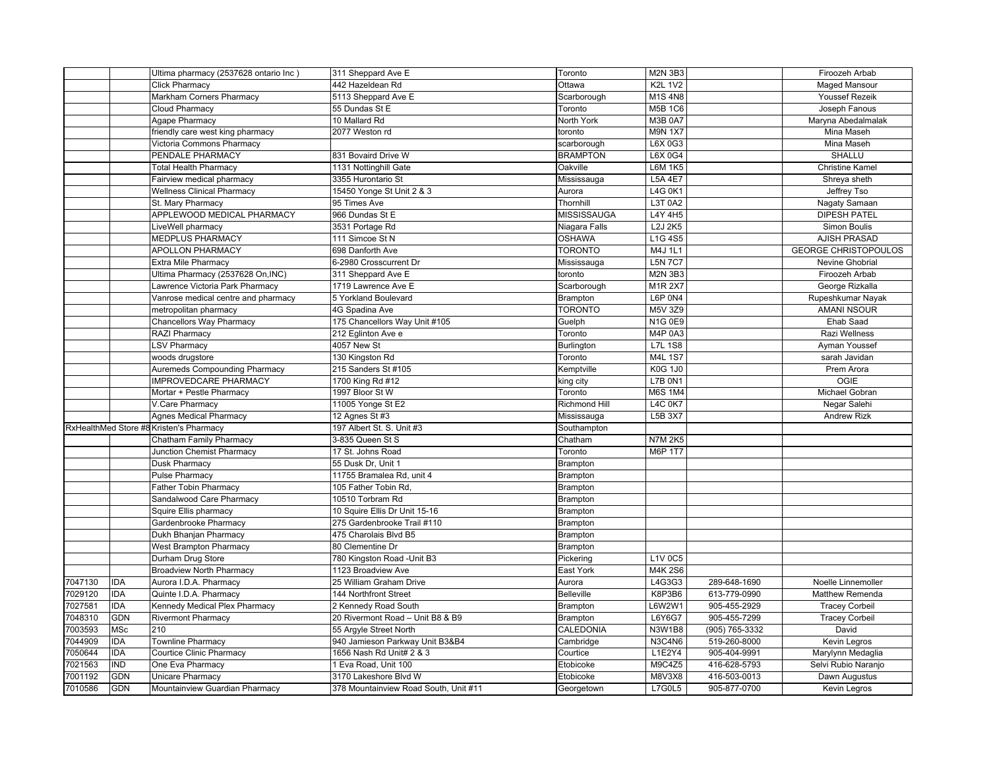|         |            | Ultima pharmacy (2537628 ontario Inc)   | 311 Sheppard Ave E               | Toronto              | M2N 3B3        |                | Firoozeh Arbab              |
|---------|------------|-----------------------------------------|----------------------------------|----------------------|----------------|----------------|-----------------------------|
|         |            | <b>Click Pharmacy</b>                   | 442 Hazeldean Rd                 | Ottawa               | <b>K2L 1V2</b> |                | <b>Maged Mansour</b>        |
|         |            | Markham Corners Pharmacy                | 5113 Sheppard Ave E              | Scarborough          | M1S 4N8        |                | <b>Youssef Rezeik</b>       |
|         |            | <b>Cloud Pharmacy</b>                   | 55 Dundas St E                   | Toronto              | M5B 1C6        |                | Joseph Fanous               |
|         |            | Agape Pharmacy                          | 10 Mallard Rd                    | North York           | <b>M3B 0A7</b> |                | Maryna Abedalmalak          |
|         |            | friendly care west king pharmacy        | 2077 Weston rd                   | toronto              | <b>M9N 1X7</b> |                | Mina Maseh                  |
|         |            | Victoria Commons Pharmacy               |                                  | scarborough          | L6X 0G3        |                | Mina Maseh                  |
|         |            | PENDALE PHARMACY                        | 831 Bovaird Drive W              | <b>BRAMPTON</b>      | L6X 0G4        |                | <b>SHALLU</b>               |
|         |            | <b>Total Health Pharmacy</b>            | 1131 Nottinghill Gate            | Oakville             | <b>L6M 1K5</b> |                | <b>Christine Kamel</b>      |
|         |            | Fairview medical pharmacy               | 3355 Hurontario St               | Mississauga          | <b>L5A 4E7</b> |                | Shreya sheth                |
|         |            | <b>Wellness Clinical Pharmacy</b>       | 15450 Yonge St Unit 2 & 3        | Aurora               | L4G 0K1        |                | Jeffrey Tso                 |
|         |            | St. Mary Pharmacy                       | 95 Times Ave                     | Thornhill            | L3T 0A2        |                | Nagaty Samaan               |
|         |            | APPLEWOOD MEDICAL PHARMACY              | 966 Dundas St E                  | <b>MISSISSAUGA</b>   | <b>L4Y 4H5</b> |                | <b>DIPESH PATEL</b>         |
|         |            | LiveWell pharmacy                       | 3531 Portage Rd                  | Niagara Falls        | L2J 2K5        |                | Simon Boulis                |
|         |            | MEDPLUS PHARMACY                        | 111 Simcoe St N                  | <b>OSHAWA</b>        | L1G 4S5        |                | <b>AJISH PRASAD</b>         |
|         |            | <b>APOLLON PHARMACY</b>                 | 698 Danforth Ave                 | <b>TORONTO</b>       | M4J 1L1        |                | <b>GEORGE CHRISTOPOULOS</b> |
|         |            | Extra Mile Pharmacy                     | 6-2980 Crosscurrent Dr           | Mississauga          | <b>L5N 7C7</b> |                | Nevine Ghobrial             |
|         |            | Ultima Pharmacy (2537628 On, INC)       | 311 Sheppard Ave E               | toronto              | M2N 3B3        |                | Firoozeh Arbab              |
|         |            | Lawrence Victoria Park Pharmacy         | 1719 Lawrence Ave E              | Scarborough          | M1R 2X7        |                | George Rizkalla             |
|         |            | Vanrose medical centre and pharmacy     | 5 Yorkland Boulevard             | Brampton             | <b>L6P 0N4</b> |                | Rupeshkumar Nayak           |
|         |            | metropolitan pharmacy                   | 4G Spadina Ave                   | <b>TORONTO</b>       | M5V 3Z9        |                | <b>AMANI NSOUR</b>          |
|         |            | <b>Chancellors Way Pharmacy</b>         | 175 Chancellors Way Unit #105    | Guelph               | <b>N1G 0E9</b> |                | Ehab Saad                   |
|         |            | RAZI Pharmacy                           | 212 Eglinton Ave e               | Toronto              | M4P 0A3        |                | Razi Wellness               |
|         |            | <b>LSV Pharmacy</b>                     | 4057 New St                      | <b>Burlington</b>    | <b>L7L 1S8</b> |                | Ayman Youssef               |
|         |            | woods drugstore                         | 130 Kingston Rd                  | Toronto              | M4L 1S7        |                | sarah Javidan               |
|         |            | <b>Auremeds Compounding Pharmacy</b>    | 215 Sanders St #105              | Kemptville           | <b>K0G 1J0</b> |                | Prem Arora                  |
|         |            | <b>IMPROVEDCARE PHARMACY</b>            | 1700 King Rd #12                 | king city            | <b>L7B 0N1</b> |                | <b>OGIE</b>                 |
|         |            | Mortar + Pestle Pharmacy                | 1997 Bloor St W                  | Toronto              | <b>M6S 1M4</b> |                | Michael Gobran              |
|         |            | V.Care Pharmacy                         | 11005 Yonge St E2                | <b>Richmond Hill</b> | <b>L4C 0K7</b> |                | Negar Salehi                |
|         |            | <b>Agnes Medical Pharmacy</b>           | 12 Agnes St #3                   | Mississauga          | L5B 3X7        |                | <b>Andrew Rizk</b>          |
|         |            | RxHealthMed Store #8 Kristen's Pharmacy | 197 Albert St. S. Unit #3        | Southampton          |                |                |                             |
|         |            | Chatham Family Pharmacy                 | 3-835 Queen St S                 | Chatham              | <b>N7M 2K5</b> |                |                             |
|         |            | Junction Chemist Pharmacy               | 17 St. Johns Road                | Toronto              | M6P 1T7        |                |                             |
|         |            | Dusk Pharmacy                           | 55 Dusk Dr. Unit 1               | Brampton             |                |                |                             |
|         |            | <b>Pulse Pharmacy</b>                   | 11755 Bramalea Rd, unit 4        | Brampton             |                |                |                             |
|         |            | Father Tobin Pharmacy                   | 105 Father Tobin Rd,             | Brampton             |                |                |                             |
|         |            | Sandalwood Care Pharmacy                | 10510 Torbram Rd                 | <b>Brampton</b>      |                |                |                             |
|         |            | Squire Ellis pharmacy                   | 10 Squire Ellis Dr Unit 15-16    | Brampton             |                |                |                             |
|         |            | Gardenbrooke Pharmacy                   | 275 Gardenbrooke Trail #110      | Brampton             |                |                |                             |
|         |            | Dukh Bhanjan Pharmacy                   | 475 Charolais Blvd B5            | Brampton             |                |                |                             |
|         |            | <b>West Brampton Pharmacy</b>           | 80 Clementine Dr                 | Brampton             |                |                |                             |
|         |            | Durham Drug Store                       | 780 Kingston Road - Unit B3      | Pickering            | L1V 0C5        |                |                             |
|         |            | <b>Broadview North Pharmacy</b>         | 1123 Broadview Ave               | East York            | M4K 2S6        |                |                             |
| 7047130 | <b>IDA</b> | Aurora I.D.A. Pharmacy                  | 25 William Graham Drive          | Aurora               | L4G3G3         | 289-648-1690   | Noelle Linnemoller          |
| 7029120 | <b>IDA</b> | Quinte I.D.A. Pharmacy                  | 144 Northfront Street            | Belleville           | K8P3B6         | 613-779-0990   | Matthew Remenda             |
| 7027581 | <b>IDA</b> | Kennedy Medical Plex Pharmacy           | 2 Kennedy Road South             | Brampton             | L6W2W1         | 905-455-2929   | <b>Tracey Corbeil</b>       |
| 7048310 | <b>GDN</b> | <b>Rivermont Pharmacy</b>               | 20 Rivermont Road - Unit B8 & B9 | Brampton             | L6Y6G7         | 905-455-7299   | <b>Tracey Corbeil</b>       |
| 7003593 | <b>MSc</b> | 210                                     | 55 Argyle Street North           | CALEDONIA            | <b>N3W1B8</b>  | (905) 765-3332 | David                       |
| 7044909 | <b>IDA</b> | Townline Pharmacy                       | 940 Jamieson Parkway Unit B3&B4  | Cambridge            | N3C4N6         | 519-260-8000   | Kevin Legros                |
| 7050644 | <b>IDA</b> | <b>Courtice Clinic Pharmacy</b>         | 1656 Nash Rd Unit# 2 & 3         | Courtice             | L1E2Y4         | 905-404-9991   | Marylynn Medaglia           |
| 7021563 | <b>IND</b> | One Eva Pharmacy                        | 1 Eva Road, Unit 100             | Etobicoke            | M9C4Z5         | 416-628-5793   | Selvi Rubio Naranjo         |
| 7001192 |            |                                         |                                  |                      |                |                |                             |
|         | <b>GDN</b> | Unicare Pharmacy                        | 3170 Lakeshore Blvd W            | Etobicoke            | M8V3X8         | 416-503-0013   | Dawn Augustus               |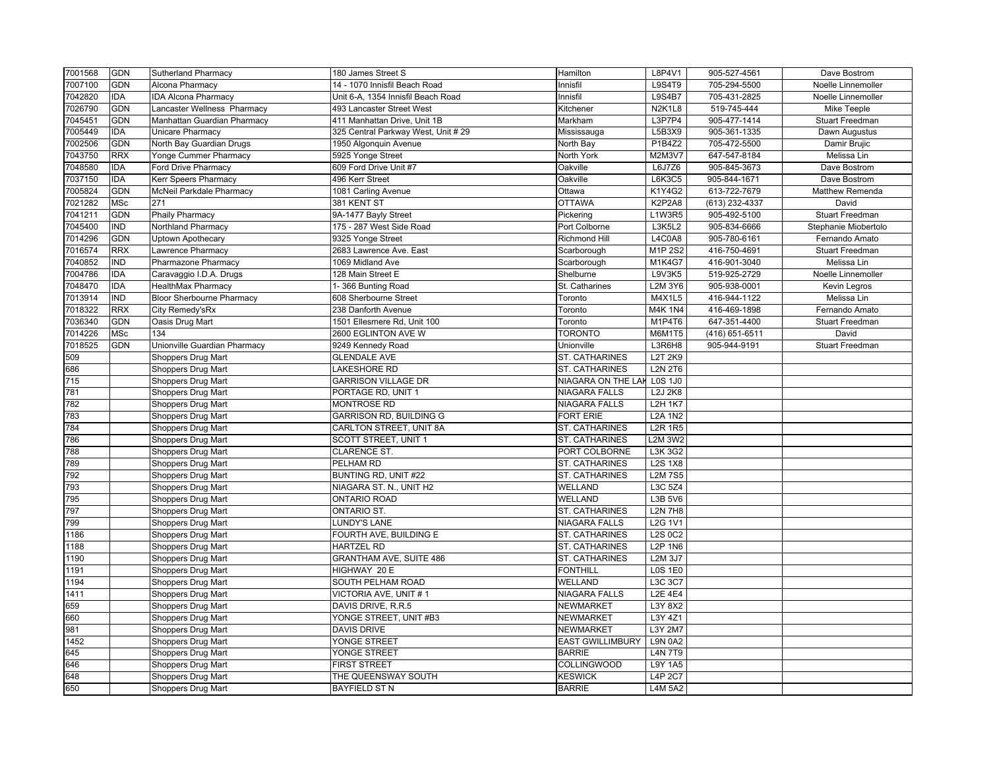| 7001568          | <b>GDN</b> | <b>Sutherland Pharmacy</b>       | 180 James Street S                  | Hamilton                  | L8P4V1         | 905-527-4561   | Dave Bostrom           |
|------------------|------------|----------------------------------|-------------------------------------|---------------------------|----------------|----------------|------------------------|
| 7007100          | <b>GDN</b> | Alcona Pharmacv                  | 14 - 1070 Innisfil Beach Road       | Innisfil                  | <b>L9S4T9</b>  | 705-294-5500   | Noelle Linnemoller     |
| 7042820          | <b>IDA</b> | <b>IDA Alcona Pharmacy</b>       | Unit 6-A, 1354 Innisfil Beach Road  | Innisfil                  | <b>L9S4B7</b>  | 705-431-2825   | Noelle Linnemoller     |
| 7026790          | <b>GDN</b> | Lancaster Wellness Pharmacy      | 493 Lancaster Street West           | Kitchener                 | <b>N2K1L8</b>  | 519-745-444    | Mike Teeple            |
| 7045451          | GDN        | Manhattan Guardian Pharmacy      | 411 Manhattan Drive, Unit 1B        | Markham                   | L3P7P4         | 905-477-1414   | <b>Stuart Freedman</b> |
| 7005449          | <b>IDA</b> | Unicare Pharmacy                 | 325 Central Parkway West, Unit # 29 | Mississauga               | L5B3X9         | 905-361-1335   | Dawn Augustus          |
| 7002506          | <b>GDN</b> | North Bay Guardian Drugs         | 1950 Algonquin Avenue               | North Bay                 | P1B4Z2         | 705-472-5500   | Damir Brujic           |
| 7043750          | <b>RRX</b> | Yonge Cummer Pharmacy            | 5925 Yonge Street                   | North York                | M2M3V7         | 647-547-8184   | Melissa Lin            |
| 7048580          | IDA        | Ford Drive Pharmacy              | 609 Ford Drive Unit #7              | Oakville                  | L6J7Z6         | 905-845-3673   | Dave Bostrom           |
| 7037150          | <b>IDA</b> | <b>Kerr Speers Pharmacy</b>      | 496 Kerr Street                     | Oakville                  | L6K3C5         | 905-844-1671   | Dave Bostrom           |
| 7005824          | GDN        | McNeil Parkdale Pharmacy         | 1081 Carling Avenue                 | Ottawa                    | K1Y4G2         | 613-722-7679   | Matthew Remenda        |
| 7021282          | MSc        | 271                              | 381 KENT ST                         | <b>OTTAWA</b>             | K2P2A8         | (613) 232-4337 | David                  |
| 7041211          | <b>GDN</b> | Phaily Pharmacy                  | 9A-1477 Bayly Street                | Pickering                 | L1W3R5         | 905-492-5100   | Stuart Freedman        |
| 7045400          | IND        | Northland Pharmacy               | 175 - 287 West Side Road            | Port Colborne             | L3K5L2         | 905-834-6666   | Stephanie Miobertolo   |
| 7014296          | <b>GDN</b> | <b>Uptown Apothecary</b>         | 9325 Yonge Street                   | <b>Richmond Hill</b>      | L4C0A8         | 905-780-6161   | Fernando Amato         |
| 7016574          | <b>RRX</b> | Lawrence Pharmacy                | 2683 Lawrence Ave. East             | Scarborough               | M1P 2S2        | 416-750-4691   | Stuart Freedman        |
| 7040852          | <b>IND</b> | Pharmazone Pharmacy              | 1069 Midland Ave                    | Scarborough               | M1K4G7         | 416-901-3040   | Melissa Lin            |
| 7004786          | IDA        | Caravaggio I.D.A. Drugs          | 128 Main Street E                   | Shelburne                 | L9V3K5         | 519-925-2729   | Noelle Linnemoller     |
| 7048470          | IDA        | <b>HealthMax Pharmacy</b>        | 1-366 Bunting Road                  | St. Catharines            | L2M 3Y6        | 905-938-0001   | Kevin Legros           |
| 7013914          | <b>IND</b> | <b>Bloor Sherbourne Pharmacy</b> | 608 Sherbourne Street               | Toronto                   | M4X1L5         | 416-944-1122   | Melissa Lin            |
| 7018322          | <b>RRX</b> | City Remedy'sRx                  | 238 Danforth Avenue                 | Toronto                   | <b>M4K 1N4</b> | 416-469-1898   | Fernando Amato         |
| 7036340          | <b>GDN</b> | Oasis Drug Mart                  | 1501 Ellesmere Rd, Unit 100         | Toronto                   | M1P4T6         | 647-351-4400   | <b>Stuart Freedman</b> |
| 7014226          | MSc        | 134                              | 2600 EGLINTON AVE W                 | TORONTO                   | M6M1T5         | (416) 651-6511 | David                  |
| 7018525          | <b>GDN</b> | Unionville Guardian Pharmacy     | 9249 Kennedy Road                   | Unionville                | L3R6H8         | 905-944-9191   | <b>Stuart Freedman</b> |
| 509              |            | Shoppers Drug Mart               | <b>GLENDALE AVE</b>                 | ST. CATHARINES            | L2T 2K9        |                |                        |
| 686              |            | Shoppers Drug Mart               | <b>LAKESHORE RD</b>                 | ST. CATHARINES            | <b>L2N 2T6</b> |                |                        |
| $\overline{715}$ |            | Shoppers Drug Mart               | <b>GARRISON VILLAGE DR</b>          | <b>NIAGARA ON THE LAK</b> | <b>LOS 1J0</b> |                |                        |
| 781              |            | Shoppers Drug Mart               | PORTAGE RD, UNIT 1                  | <b>NIAGARA FALLS</b>      | <b>L2J 2K8</b> |                |                        |
| 782              |            | Shoppers Drug Mart               | <b>MONTROSE RD</b>                  | <b>NIAGARA FALLS</b>      | <b>L2H 1K7</b> |                |                        |
| 783              |            | Shoppers Drug Mart               | <b>GARRISON RD, BUILDING G</b>      | <b>FORT ERIE</b>          | <b>L2A 1N2</b> |                |                        |
|                  |            |                                  | CARLTON STREET, UNIT 8A             |                           | <b>L2R 1R5</b> |                |                        |
| 784<br>786       |            | Shoppers Drug Mart               |                                     | ST. CATHARINES            | <b>L2M 3W2</b> |                |                        |
| 788              |            | Shoppers Drug Mart               | SCOTT STREET, UNIT 1                | ST. CATHARINES            | L3K 3G2        |                |                        |
|                  |            | Shoppers Drug Mart               | CLARENCE ST.                        | PORT COLBORNE             |                |                |                        |
| 789              |            | <b>Shoppers Drug Mart</b>        | PELHAM RD                           | ST. CATHARINES            | <b>L2S 1X8</b> |                |                        |
| 792              |            | Shoppers Drug Mart               | BUNTING RD, UNIT #22                | ST. CATHARINES            | <b>L2M7S5</b>  |                |                        |
| 793              |            | Shoppers Drug Mart               | NIAGARA ST. N., UNIT H2             | WELLAND                   | L3C 5Z4        |                |                        |
| 795              |            | Shoppers Drug Mart               | <b>ONTARIO ROAD</b>                 | WELLAND                   | L3B 5V6        |                |                        |
| 797              |            | Shoppers Drug Mart               | <b>ONTARIO ST.</b>                  | ST. CATHARINES            | <b>L2N 7H8</b> |                |                        |
| 799              |            | Shoppers Drug Mart               | <b>LUNDY'S LANE</b>                 | <b>NIAGARA FALLS</b>      | <b>L2G 1V1</b> |                |                        |
| 1186             |            | Shoppers Drug Mart               | FOURTH AVE, BUILDING E              | ST. CATHARINES            | <b>L2S 0C2</b> |                |                        |
| 1188             |            | Shoppers Drug Mart               | <b>HARTZEL RD</b>                   | ST. CATHARINES            | <b>L2P 1N6</b> |                |                        |
| 1190             |            | Shoppers Drug Mart               | <b>GRANTHAM AVE, SUITE 486</b>      | ST. CATHARINES            | L2M 3J7        |                |                        |
| 1191             |            | Shoppers Drug Mart               | HIGHWAY 20 E                        | <b>FONTHILL</b>           | <b>L0S 1E0</b> |                |                        |
| 1194             |            | Shoppers Drug Mart               | SOUTH PELHAM ROAD                   | WELLAND                   | L3C 3C7        |                |                        |
| 1411             |            | Shoppers Drug Mart               | VICTORIA AVE, UNIT #1               | <b>NIAGARA FALLS</b>      | <b>L2E 4E4</b> |                |                        |
| 659              |            | Shoppers Drug Mart               | DAVIS DRIVE, R.R.5                  | <b>NEWMARKET</b>          | L3Y 8X2        |                |                        |
| 660              |            | Shoppers Drug Mart               | YONGE STREET, UNIT #B3              | <b>NEWMARKET</b>          | L3Y 4Z1        |                |                        |
| 981              |            | Shoppers Drug Mart               | <b>DAVIS DRIVE</b>                  | NEWMARKET                 | L3Y 2M7        |                |                        |
| 1452             |            | Shoppers Drug Mart               | YONGE STREET                        | <b>EAST GWILLIMBURY</b>   | <b>L9N 0A2</b> |                |                        |
| 645              |            | Shoppers Drug Mart               | YONGE STREET                        | <b>BARRIE</b>             | <b>L4N7T9</b>  |                |                        |
| 646              |            | <b>Shoppers Drug Mart</b>        | <b>FIRST STREET</b>                 | COLLINGWOOD               | L9Y 1A5        |                |                        |
| 648              |            | Shoppers Drug Mart               | THE QUEENSWAY SOUTH                 | <b>KESWICK</b>            | <b>L4P 2C7</b> |                |                        |
| 650              |            | <b>Shoppers Drug Mart</b>        | <b>BAYFIELD ST N</b>                | <b>BARRIE</b>             | <b>L4M 5A2</b> |                |                        |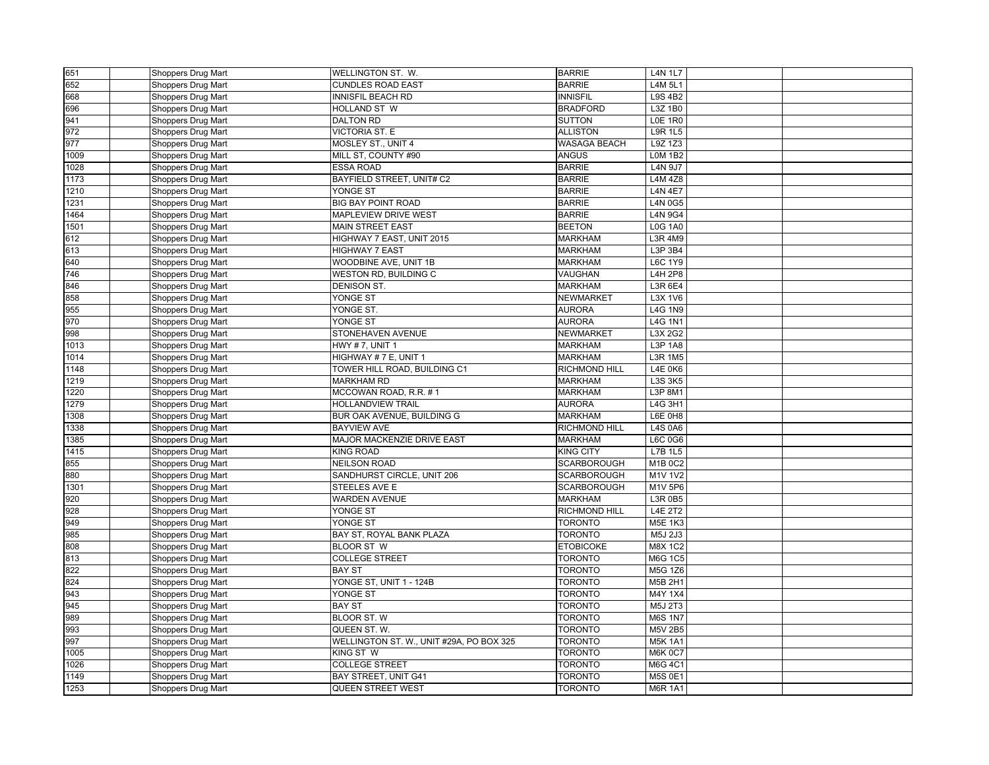| 651  | Shoppers Drug Mart | WELLINGTON ST. W.                        | <b>BARRIE</b>        | <b>L4N 1L7</b> |  |
|------|--------------------|------------------------------------------|----------------------|----------------|--|
| 652  | Shoppers Drug Mart | <b>CUNDLES ROAD EAST</b>                 | <b>BARRIE</b>        | L4M 5L1        |  |
| 668  | Shoppers Drug Mart | <b>INNISFIL BEACH RD</b>                 | <b>INNISFIL</b>      | <b>L9S 4B2</b> |  |
| 696  | Shoppers Drug Mart | HOLLAND ST W                             | <b>BRADFORD</b>      | L3Z 1B0        |  |
| 941  | Shoppers Drug Mart | <b>DALTON RD</b>                         | <b>SUTTON</b>        | <b>L0E 1R0</b> |  |
| 972  | Shoppers Drug Mart | VICTORIA ST. E                           | <b>ALLISTON</b>      | <b>L9R 1L5</b> |  |
| 977  | Shoppers Drug Mart | MOSLEY ST., UNIT 4                       | <b>WASAGA BEACH</b>  | L9Z 1Z3        |  |
| 1009 | Shoppers Drug Mart | MILL ST, COUNTY #90                      | <b>ANGUS</b>         | <b>LOM 1B2</b> |  |
| 1028 | Shoppers Drug Mart | <b>ESSA ROAD</b>                         | <b>BARRIE</b>        | <b>L4N 9J7</b> |  |
| 1173 | Shoppers Drug Mart | BAYFIELD STREET, UNIT# C2                | <b>BARRIE</b>        | L4M 4Z8        |  |
| 1210 | Shoppers Drug Mart | YONGE ST                                 | <b>BARRIE</b>        | <b>L4N 4E7</b> |  |
| 1231 | Shoppers Drug Mart | <b>BIG BAY POINT ROAD</b>                | <b>BARRIE</b>        | <b>L4N 0G5</b> |  |
| 1464 | Shoppers Drug Mart | MAPLEVIEW DRIVE WEST                     | <b>BARRIE</b>        | <b>L4N 9G4</b> |  |
| 1501 | Shoppers Drug Mart | <b>MAIN STREET EAST</b>                  | <b>BEETON</b>        | <b>L0G 1A0</b> |  |
| 612  | Shoppers Drug Mart | HIGHWAY 7 EAST, UNIT 2015                | <b>MARKHAM</b>       | L3R 4M9        |  |
| 613  | Shoppers Drug Mart | <b>HIGHWAY 7 EAST</b>                    | <b>MARKHAM</b>       | L3P 3B4        |  |
| 640  | Shoppers Drug Mart | WOODBINE AVE, UNIT 1B                    | <b>MARKHAM</b>       | L6C 1Y9        |  |
| 746  | Shoppers Drug Mart | WESTON RD, BUILDING C                    | VAUGHAN              | <b>L4H 2P8</b> |  |
| 846  | Shoppers Drug Mart | <b>DENISON ST.</b>                       | <b>MARKHAM</b>       | L3R 6E4        |  |
| 858  | Shoppers Drug Mart | YONGE ST                                 | <b>NEWMARKET</b>     | L3X 1V6        |  |
| 955  | Shoppers Drug Mart | YONGE ST.                                | <b>AURORA</b>        | <b>L4G 1N9</b> |  |
| 970  | Shoppers Drug Mart | YONGE ST                                 | <b>AURORA</b>        | <b>L4G 1N1</b> |  |
| 998  | Shoppers Drug Mart | STONEHAVEN AVENUE                        | <b>NEWMARKET</b>     | L3X 2G2        |  |
| 1013 | Shoppers Drug Mart | <b>HWY #7, UNIT 1</b>                    | <b>MARKHAM</b>       | L3P 1A8        |  |
| 1014 | Shoppers Drug Mart | HIGHWAY #7 E, UNIT 1                     | <b>MARKHAM</b>       | <b>L3R 1M5</b> |  |
| 1148 | Shoppers Drug Mart | TOWER HILL ROAD, BUILDING C1             | <b>RICHMOND HILL</b> | <b>L4E 0K6</b> |  |
| 1219 | Shoppers Drug Mart | <b>MARKHAM RD</b>                        | <b>MARKHAM</b>       | L3S 3K5        |  |
| 1220 | Shoppers Drug Mart | MCCOWAN ROAD, R.R. #1                    | <b>MARKHAM</b>       | L3P 8M1        |  |
| 1279 | Shoppers Drug Mart | <b>HOLLANDVIEW TRAIL</b>                 | <b>AURORA</b>        | L4G 3H1        |  |
| 1308 | Shoppers Drug Mart | BUR OAK AVENUE, BUILDING G               | <b>MARKHAM</b>       | L6E 0H8        |  |
| 1338 | Shoppers Drug Mart | <b>BAYVIEW AVE</b>                       | RICHMOND HILL        | <b>L4S 0A6</b> |  |
| 1385 | Shoppers Drug Mart | MAJOR MACKENZIE DRIVE EAST               | <b>MARKHAM</b>       | L6C 0G6        |  |
| 1415 | Shoppers Drug Mart | <b>KING ROAD</b>                         | <b>KING CITY</b>     | L7B 1L5        |  |
| 855  | Shoppers Drug Mart | <b>NEILSON ROAD</b>                      | SCARBOROUGH          | M1B 0C2        |  |
| 880  | Shoppers Drug Mart | SANDHURST CIRCLE, UNIT 206               | <b>SCARBOROUGH</b>   | <b>M1V1V2</b>  |  |
| 1301 | Shoppers Drug Mart | STEELES AVE E                            | SCARBOROUGH          | M1V 5P6        |  |
| 920  | Shoppers Drug Mart | WARDEN AVENUE                            | <b>MARKHAM</b>       | L3R 0B5        |  |
| 928  | Shoppers Drug Mart | YONGE ST                                 | <b>RICHMOND HILL</b> | <b>L4E 2T2</b> |  |
| 949  | Shoppers Drug Mart | YONGE ST                                 | <b>TORONTO</b>       | <b>M5E 1K3</b> |  |
| 985  | Shoppers Drug Mart | BAY ST, ROYAL BANK PLAZA                 | <b>TORONTO</b>       | M5J 2J3        |  |
| 808  | Shoppers Drug Mart | <b>BLOOR ST W</b>                        | <b>ETOBICOKE</b>     | M8X 1C2        |  |
| 813  | Shoppers Drug Mart | <b>COLLEGE STREET</b>                    | <b>TORONTO</b>       | M6G 1C5        |  |
| 822  | Shoppers Drug Mart | <b>BAY ST</b>                            | <b>TORONTO</b>       | M5G 1Z6        |  |
| 824  | Shoppers Drug Mart | YONGE ST, UNIT 1 - 124B                  | <b>TORONTO</b>       | M5B 2H1        |  |
| 943  | Shoppers Drug Mart | YONGE ST                                 | <b>TORONTO</b>       | M4Y 1X4        |  |
| 945  | Shoppers Drug Mart | <b>BAY ST</b>                            | <b>TORONTO</b>       | M5J 2T3        |  |
| 989  | Shoppers Drug Mart | <b>BLOOR ST. W</b>                       | <b>TORONTO</b>       | <b>M6S 1N7</b> |  |
| 993  | Shoppers Drug Mart | QUEEN ST. W.                             | <b>TORONTO</b>       | <b>M5V 2B5</b> |  |
| 997  | Shoppers Drug Mart | WELLINGTON ST. W., UNIT #29A, PO BOX 325 | <b>TORONTO</b>       | <b>M5K 1A1</b> |  |
| 1005 | Shoppers Drug Mart | KING ST W                                | <b>TORONTO</b>       | <b>M6K 0C7</b> |  |
| 1026 | Shoppers Drug Mart | <b>COLLEGE STREET</b>                    | <b>TORONTO</b>       | M6G 4C1        |  |
| 1149 | Shoppers Drug Mart | BAY STREET, UNIT G41                     | <b>TORONTO</b>       | M5S 0E1        |  |
| 1253 | Shoppers Drug Mart | QUEEN STREET WEST                        | <b>TORONTO</b>       | <b>M6R 1A1</b> |  |
|      |                    |                                          |                      |                |  |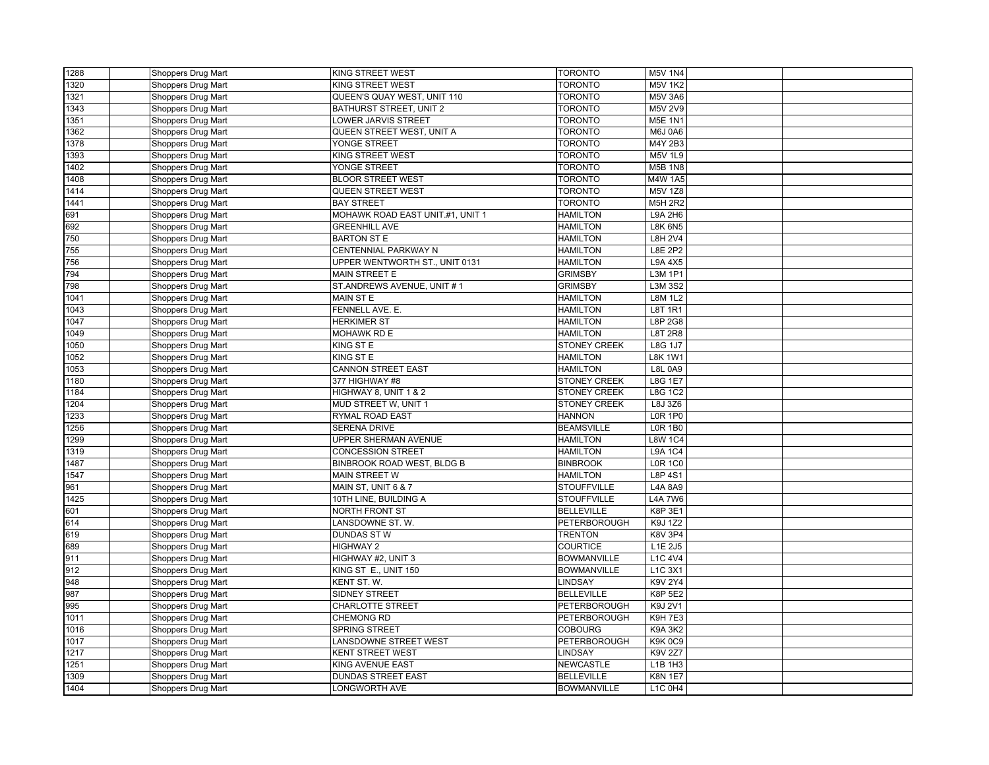| 1288 | Shoppers Drug Mart | <b>KING STREET WEST</b>          | <b>TORONTO</b>                           | <b>M5V 1N4</b> |  |
|------|--------------------|----------------------------------|------------------------------------------|----------------|--|
| 1320 | Shoppers Drug Mart | <b>KING STREET WEST</b>          | <b>TORONTO</b>                           | <b>M5V 1K2</b> |  |
| 1321 | Shoppers Drug Mart | QUEEN'S QUAY WEST, UNIT 110      | <b>TORONTO</b>                           | <b>M5V 3A6</b> |  |
| 1343 | Shoppers Drug Mart | BATHURST STREET, UNIT 2          | <b>TORONTO</b>                           | M5V 2V9        |  |
| 1351 | Shoppers Drug Mart | <b>LOWER JARVIS STREET</b>       | TORONTO                                  | <b>M5E 1N1</b> |  |
| 1362 | Shoppers Drug Mart | QUEEN STREET WEST, UNIT A        | <b>TORONTO</b>                           | <b>M6J 0A6</b> |  |
| 1378 | Shoppers Drug Mart | YONGE STREET                     | <b>TORONTO</b>                           | M4Y 2B3        |  |
| 1393 | Shoppers Drug Mart | KING STREET WEST                 | <b>TORONTO</b>                           | <b>M5V 1L9</b> |  |
| 1402 | Shoppers Drug Mart | YONGE STREET                     | <b>TORONTO</b>                           | <b>M5B 1N8</b> |  |
| 1408 | Shoppers Drug Mart | <b>BLOOR STREET WEST</b>         | <b>TORONTO</b>                           | M4W 1A5        |  |
| 1414 | Shoppers Drug Mart | <b>QUEEN STREET WEST</b>         | TORONTO                                  | M5V 1Z8        |  |
| 1441 | Shoppers Drug Mart | <b>BAY STREET</b>                | <b>TORONTO</b>                           | M5H 2R2        |  |
| 691  | Shoppers Drug Mart | MOHAWK ROAD EAST UNIT.#1, UNIT 1 | <b>HAMILTON</b>                          | L9A 2H6        |  |
| 692  | Shoppers Drug Mart | <b>GREENHILL AVE</b>             | <b>HAMILTON</b>                          | <b>L8K 6N5</b> |  |
| 750  | Shoppers Drug Mart | <b>BARTON ST E</b>               | <b>HAMILTON</b>                          | <b>L8H 2V4</b> |  |
| 755  | Shoppers Drug Mart | CENTENNIAL PARKWAY N             | <b>HAMILTON</b>                          | <b>L8E 2P2</b> |  |
| 756  | Shoppers Drug Mart | UPPER WENTWORTH ST., UNIT 0131   | <b>HAMILTON</b>                          | L9A 4X5        |  |
| 794  | Shoppers Drug Mart | MAIN STREET E                    | <b>GRIMSBY</b>                           | L3M 1P1        |  |
| 798  | Shoppers Drug Mart | ST.ANDREWS AVENUE, UNIT #1       | <b>GRIMSBY</b>                           | L3M 3S2        |  |
| 1041 | Shoppers Drug Mart | MAIN ST E                        | <b>HAMILTON</b>                          | L8M 1L2        |  |
| 1043 | Shoppers Drug Mart | FENNELL AVE. E.                  | <b>HAMILTON</b>                          | <b>L8T 1R1</b> |  |
| 1047 | Shoppers Drug Mart | <b>HERKIMER ST</b>               | <b>HAMILTON</b>                          | L8P 2G8        |  |
| 1049 | Shoppers Drug Mart | MOHAWK RD E                      | <b>HAMILTON</b>                          | <b>L8T 2R8</b> |  |
| 1050 | Shoppers Drug Mart | KING ST E                        | <b>STONEY CREEK</b>                      | <b>L8G 1J7</b> |  |
| 1052 | Shoppers Drug Mart | KING ST E                        | <b>HAMILTON</b>                          | <b>L8K 1W1</b> |  |
| 1053 | Shoppers Drug Mart | <b>CANNON STREET EAST</b>        | <b>HAMILTON</b>                          | <b>L8L 0A9</b> |  |
| 1180 | Shoppers Drug Mart | 377 HIGHWAY #8                   | <b>STONEY CREEK</b>                      | <b>L8G 1E7</b> |  |
| 1184 | Shoppers Drug Mart | HIGHWAY 8, UNIT 1 & 2            | <b>STONEY CREEK</b>                      | <b>L8G 1C2</b> |  |
| 1204 | Shoppers Drug Mart | MUD STREET W, UNIT 1             | <b>STONEY CREEK</b>                      | L8J 3Z6        |  |
| 1233 | Shoppers Drug Mart | <b>RYMAL ROAD EAST</b>           | <b>HANNON</b>                            | <b>LOR 1P0</b> |  |
| 1256 | Shoppers Drug Mart | SERENA DRIVE                     | <b>BEAMSVILLE</b>                        | <b>LOR 1B0</b> |  |
| 1299 | Shoppers Drug Mart | UPPER SHERMAN AVENUE             | <b>HAMILTON</b>                          | <b>L8W 1C4</b> |  |
| 1319 | Shoppers Drug Mart | <b>CONCESSION STREET</b>         | <b>HAMILTON</b>                          | <b>L9A 1C4</b> |  |
| 1487 | Shoppers Drug Mart | BINBROOK ROAD WEST, BLDG B       | <b>BINBROOK</b>                          | <b>LOR 1C0</b> |  |
| 1547 | Shoppers Drug Mart | <b>MAIN STREET W</b>             | <b>HAMILTON</b>                          | L8P 4S1        |  |
| 961  | Shoppers Drug Mart | MAIN ST, UNIT 6 & 7              | <b>STOUFFVILLE</b>                       | <b>L4A 8A9</b> |  |
| 1425 | Shoppers Drug Mart | 10TH LINE, BUILDING A            | <b>STOUFFVILLE</b>                       | <b>L4A 7W6</b> |  |
| 601  | Shoppers Drug Mart | NORTH FRONT ST                   | <b>BELLEVILLE</b>                        | <b>K8P 3E1</b> |  |
| 614  | Shoppers Drug Mart | LANSDOWNE ST. W.                 | <b>PETERBOROUGH</b>                      | K9J 1Z2        |  |
| 619  | Shoppers Drug Mart | <b>DUNDAS ST W</b>               | <b>TRENTON</b>                           | <b>K8V 3P4</b> |  |
| 689  | Shoppers Drug Mart | <b>HIGHWAY 2</b>                 | <b>COURTICE</b>                          | L1E 2J5        |  |
|      |                    |                                  |                                          |                |  |
| 911  | Shoppers Drug Mart | HIGHWAY #2, UNIT 3               | <b>BOWMANVILLE</b><br><b>BOWMANVILLE</b> | L1C 4V4        |  |
| 912  | Shoppers Drug Mart | KING ST E., UNIT 150             |                                          | L1C 3X1        |  |
| 948  | Shoppers Drug Mart | KENT ST. W.                      | <b>LINDSAY</b>                           | K9V 2Y4        |  |
| 987  | Shoppers Drug Mart | SIDNEY STREET                    | <b>BELLEVILLE</b>                        | <b>K8P 5E2</b> |  |
| 995  | Shoppers Drug Mart | <b>CHARLOTTE STREET</b>          | <b>PETERBOROUGH</b>                      | K9J 2V1        |  |
| 1011 | Shoppers Drug Mart | <b>CHEMONG RD</b>                | PETERBOROUGH                             | <b>K9H7E3</b>  |  |
| 1016 | Shoppers Drug Mart | <b>SPRING STREET</b>             | <b>COBOURG</b>                           | <b>K9A 3K2</b> |  |
| 1017 | Shoppers Drug Mart | <b>LANSDOWNE STREET WEST</b>     | <b>PETERBOROUGH</b>                      | <b>K9K0C9</b>  |  |
| 1217 | Shoppers Drug Mart | <b>KENT STREET WEST</b>          | LINDSAY                                  | K9V 2Z7        |  |
| 1251 | Shoppers Drug Mart | <b>KING AVENUE EAST</b>          | <b>NEWCASTLE</b>                         | L1B 1H3        |  |
| 1309 | Shoppers Drug Mart | <b>DUNDAS STREET EAST</b>        | <b>BELLEVILLE</b>                        | <b>K8N 1E7</b> |  |
| 1404 | Shoppers Drug Mart | <b>LONGWORTH AVE</b>             | <b>BOWMANVILLE</b>                       | L1C 0H4        |  |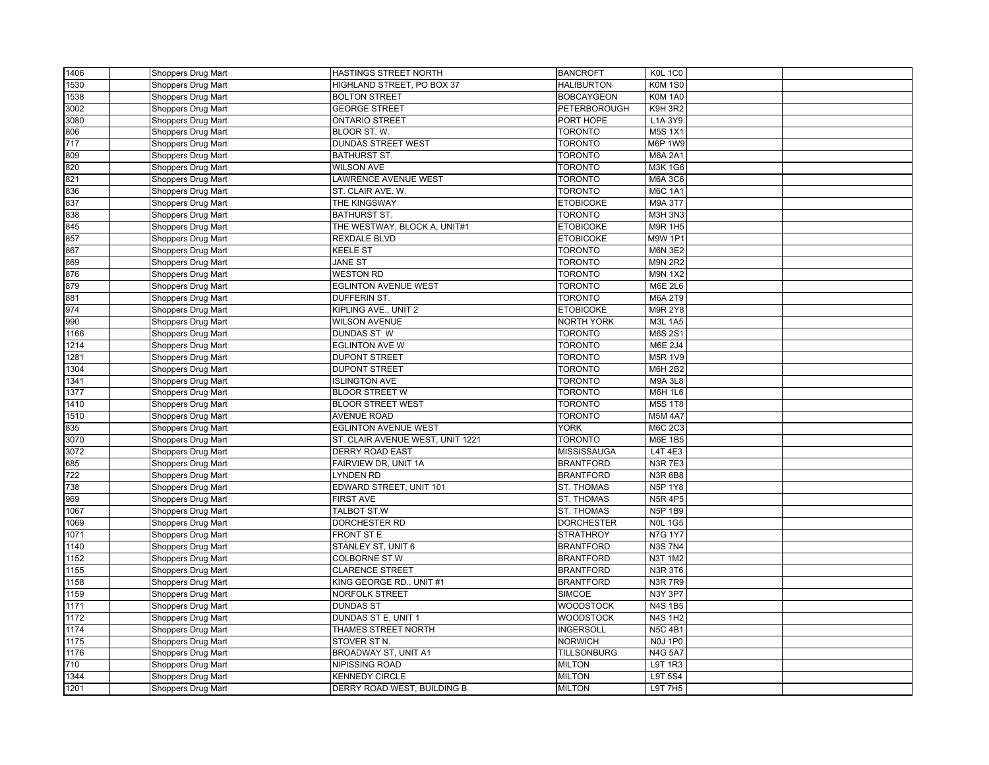| 1406 | Shoppers Drug Mart | HASTINGS STREET NORTH                      | <b>BANCROFT</b>    | <b>K0L 1C0</b>                  |  |
|------|--------------------|--------------------------------------------|--------------------|---------------------------------|--|
| 1530 | Shoppers Drug Mart | HIGHLAND STREET, PO BOX 37                 | <b>HALIBURTON</b>  | <b>K0M 1S0</b>                  |  |
| 1538 | Shoppers Drug Mart | <b>BOLTON STREET</b>                       | <b>BOBCAYGEON</b>  | <b>K0M 1A0</b>                  |  |
| 3002 | Shoppers Drug Mart | <b>GEORGE STREET</b>                       | PETERBOROUGH       | K9H 3R2                         |  |
| 3080 | Shoppers Drug Mart | <b>ONTARIO STREET</b>                      | PORT HOPE          | L1A 3Y9                         |  |
| 806  | Shoppers Drug Mart | BLOOR ST. W.                               | TORONTO            | <b>M5S 1X1</b>                  |  |
| 717  | Shoppers Drug Mart | <b>DUNDAS STREET WEST</b>                  | <b>TORONTO</b>     | M6P 1W9                         |  |
| 809  | Shoppers Drug Mart | <b>BATHURST ST.</b>                        | <b>TORONTO</b>     | <b>M6A 2A1</b>                  |  |
| 820  | Shoppers Drug Mart | <b>WILSON AVE</b>                          | <b>TORONTO</b>     | M3K 1G6                         |  |
| 821  | Shoppers Drug Mart | <b>LAWRENCE AVENUE WEST</b>                | <b>TORONTO</b>     | $M6A$ 3C6                       |  |
| 836  | Shoppers Drug Mart | ST. CLAIR AVE. W.                          | <b>TORONTO</b>     | <b>M6C 1A1</b>                  |  |
| 837  | Shoppers Drug Mart | THE KINGSWAY                               | <b>ETOBICOKE</b>   | M9A 3T7                         |  |
| 838  | Shoppers Drug Mart | <b>BATHURST ST.</b>                        | <b>TORONTO</b>     | <b>M3H 3N3</b>                  |  |
| 845  | Shoppers Drug Mart | THE WESTWAY, BLOCK A, UNIT#1               | <b>ETOBICOKE</b>   | M9R 1H5                         |  |
| 857  | Shoppers Drug Mart | <b>REXDALE BLVD</b>                        | <b>ETOBICOKE</b>   | M9W 1P1                         |  |
| 867  | Shoppers Drug Mart | <b>KEELE ST</b>                            | <b>TORONTO</b>     | <b>M6N 3E2</b>                  |  |
| 869  | Shoppers Drug Mart | <b>JANE ST</b>                             | <b>TORONTO</b>     | <b>M9N 2R2</b>                  |  |
| 876  | Shoppers Drug Mart | <b>WESTON RD</b>                           | TORONTO            | <b>M9N 1X2</b>                  |  |
| 879  | Shoppers Drug Mart | <b>EGLINTON AVENUE WEST</b>                | <b>TORONTO</b>     | <b>M6E 2L6</b>                  |  |
| 881  | Shoppers Drug Mart | <b>DUFFERIN ST.</b>                        | <b>TORONTO</b>     | <b>M6A 2T9</b>                  |  |
| 974  | Shoppers Drug Mart | KIPLING AVE., UNIT 2                       | <b>ETOBICOKE</b>   | <b>M9R 2Y8</b>                  |  |
| 990  | Shoppers Drug Mart | <b>WILSON AVENUE</b>                       | <b>NORTH YORK</b>  | <b>M3L 1A5</b>                  |  |
| 1166 | Shoppers Drug Mart | <b>DUNDAS ST W</b>                         | <b>TORONTO</b>     | M6S 2S1                         |  |
| 1214 | Shoppers Drug Mart | <b>EGLINTON AVE W</b>                      | <b>TORONTO</b>     | M6E 2J4                         |  |
| 1281 | Shoppers Drug Mart | <b>DUPONT STREET</b>                       | TORONTO            | M5R 1V9                         |  |
| 1304 | Shoppers Drug Mart | <b>DUPONT STREET</b>                       | <b>TORONTO</b>     | M6H 2B2                         |  |
| 1341 | Shoppers Drug Mart | <b>ISLINGTON AVE</b>                       | <b>TORONTO</b>     | <b>M9A 3L8</b>                  |  |
| 1377 | Shoppers Drug Mart | <b>BLOOR STREET W</b>                      | <b>TORONTO</b>     | <b>M6H 1L6</b>                  |  |
| 1410 | Shoppers Drug Mart | <b>BLOOR STREET WEST</b>                   | <b>TORONTO</b>     | <b>M5S 1T8</b>                  |  |
| 1510 | Shoppers Drug Mart | <b>AVENUE ROAD</b>                         | <b>TORONTO</b>     | <b>M5M 4A7</b>                  |  |
| 835  | Shoppers Drug Mart | <b>EGLINTON AVENUE WEST</b>                | <b>YORK</b>        | <b>M6C 2C3</b>                  |  |
| 3070 | Shoppers Drug Mart | ST. CLAIR AVENUE WEST, UNIT 1221           | <b>TORONTO</b>     | M6E 1B5                         |  |
| 3072 | Shoppers Drug Mart | <b>DERRY ROAD EAST</b>                     | MISSISSAUGA        | L4T 4E3                         |  |
| 685  | Shoppers Drug Mart | FAIRVIEW DR, UNIT 1A                       | <b>BRANTFORD</b>   | <b>N3R7E3</b>                   |  |
| 722  | Shoppers Drug Mart | <b>LYNDEN RD</b>                           | <b>BRANTFORD</b>   | <b>N3R 6B8</b>                  |  |
| 738  | Shoppers Drug Mart | EDWARD STREET, UNIT 101                    | <b>ST. THOMAS</b>  | <b>N5P 1Y8</b>                  |  |
| 969  | Shoppers Drug Mart | <b>FIRST AVE</b>                           | <b>ST. THOMAS</b>  | <b>N5R 4P5</b>                  |  |
| 1067 | Shoppers Drug Mart | TALBOT ST.W                                | <b>ST. THOMAS</b>  | <b>N5P 1B9</b>                  |  |
| 1069 | Shoppers Drug Mart | <b>DORCHESTER RD</b>                       | <b>DORCHESTER</b>  | <b>N0L 1G5</b>                  |  |
| 1071 |                    | FRONT ST E                                 | <b>STRATHROY</b>   | <b>N7G 1Y7</b>                  |  |
| 1140 | Shoppers Drug Mart |                                            | <b>BRANTFORD</b>   | <b>N3S7N4</b>                   |  |
|      | Shoppers Drug Mart | STANLEY ST, UNIT 6<br><b>COLBORNE ST.W</b> | <b>BRANTFORD</b>   | <b>N3T 1M2</b>                  |  |
| 1152 | Shoppers Drug Mart |                                            |                    |                                 |  |
| 1155 | Shoppers Drug Mart | <b>CLARENCE STREET</b>                     | <b>BRANTFORD</b>   | <b>N3R 3T6</b><br><b>N3R7R9</b> |  |
| 1158 | Shoppers Drug Mart | KING GEORGE RD., UNIT #1                   | <b>BRANTFORD</b>   |                                 |  |
| 1159 | Shoppers Drug Mart | <b>NORFOLK STREET</b>                      | <b>SIMCOE</b>      | N3Y 3P7                         |  |
| 1171 | Shoppers Drug Mart | <b>DUNDAS ST</b>                           | <b>WOODSTOCK</b>   | <b>N4S1B5</b>                   |  |
| 1172 | Shoppers Drug Mart | DUNDAS ST E, UNIT 1                        | <b>WOODSTOCK</b>   | <b>N4S 1H2</b>                  |  |
| 1174 | Shoppers Drug Mart | THAMES STREET NORTH                        | <b>INGERSOLL</b>   | <b>N5C 4B1</b>                  |  |
| 1175 | Shoppers Drug Mart | STOVER ST N.                               | <b>NORWICH</b>     | <b>N0J 1P0</b>                  |  |
| 1176 | Shoppers Drug Mart | BROADWAY ST, UNIT A1                       | <b>TILLSONBURG</b> | <b>N4G 5A7</b>                  |  |
| 710  | Shoppers Drug Mart | <b>NIPISSING ROAD</b>                      | <b>MILTON</b>      | <b>L9T 1R3</b>                  |  |
| 1344 | Shoppers Drug Mart | <b>KENNEDY CIRCLE</b>                      | <b>MILTON</b>      | L9T 5S4                         |  |
| 1201 | Shoppers Drug Mart | DERRY ROAD WEST, BUILDING B                | <b>MILTON</b>      | L9T 7H5                         |  |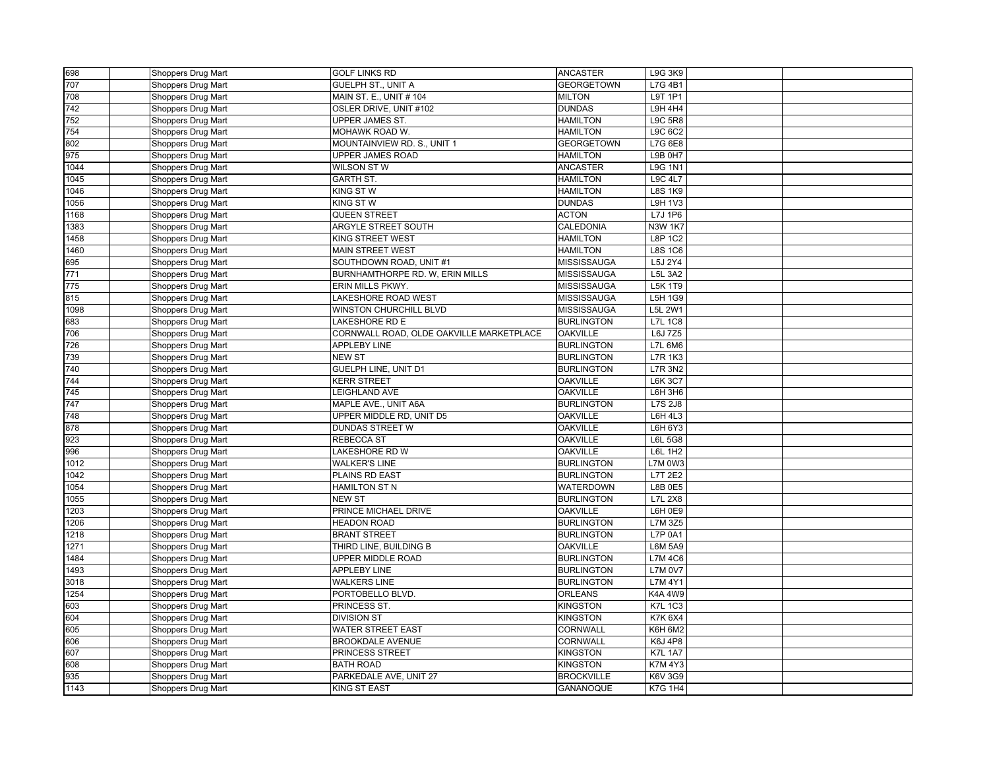| 698  | Shoppers Drug Mart | <b>GOLF LINKS RD</b>                     | <b>ANCASTER</b>   | L9G 3K9        |  |
|------|--------------------|------------------------------------------|-------------------|----------------|--|
| 707  | Shoppers Drug Mart | <b>GUELPH ST., UNIT A</b>                | <b>GEORGETOWN</b> | L7G 4B1        |  |
| 708  | Shoppers Drug Mart | MAIN ST. E., UNIT # 104                  | <b>MILTON</b>     | L9T 1P1        |  |
| 742  | Shoppers Drug Mart | OSLER DRIVE, UNIT #102                   | <b>DUNDAS</b>     | <b>L9H 4H4</b> |  |
| 752  | Shoppers Drug Mart | UPPER JAMES ST.                          | <b>HAMILTON</b>   | <b>L9C 5R8</b> |  |
| 754  | Shoppers Drug Mart | MOHAWK ROAD W.                           | <b>HAMILTON</b>   | L9C 6C2        |  |
| 802  | Shoppers Drug Mart | MOUNTAINVIEW RD. S., UNIT 1              | <b>GEORGETOWN</b> | L7G 6E8        |  |
| 975  | Shoppers Drug Mart | UPPER JAMES ROAD                         | <b>HAMILTON</b>   | L9B 0H7        |  |
| 1044 | Shoppers Drug Mart | WILSON ST W                              | <b>ANCASTER</b>   | <b>L9G 1N1</b> |  |
| 1045 | Shoppers Drug Mart | <b>GARTH ST.</b>                         | <b>HAMILTON</b>   | <b>L9C 4L7</b> |  |
| 1046 | Shoppers Drug Mart | KING STW                                 | <b>HAMILTON</b>   | <b>L8S 1K9</b> |  |
| 1056 | Shoppers Drug Mart | <b>KING ST W</b>                         | <b>DUNDAS</b>     | L9H 1V3        |  |
| 1168 | Shoppers Drug Mart | QUEEN STREET                             | <b>ACTON</b>      | L7J 1P6        |  |
| 1383 | Shoppers Drug Mart | ARGYLE STREET SOUTH                      | CALEDONIA         | <b>N3W 1K7</b> |  |
| 1458 | Shoppers Drug Mart | <b>KING STREET WEST</b>                  | <b>HAMILTON</b>   | <b>L8P 1C2</b> |  |
| 1460 | Shoppers Drug Mart | <b>MAIN STREET WEST</b>                  | <b>HAMILTON</b>   | <b>L8S 1C6</b> |  |
| 695  | Shoppers Drug Mart | SOUTHDOWN ROAD, UNIT #1                  | MISSISSAUGA       | L5J 2Y4        |  |
| 771  | Shoppers Drug Mart | BURNHAMTHORPE RD. W, ERIN MILLS          | MISSISSAUGA       | L5L 3A2        |  |
| 775  | Shoppers Drug Mart | ERIN MILLS PKWY.                         | MISSISSAUGA       | <b>L5K 1T9</b> |  |
| 815  | Shoppers Drug Mart | LAKESHORE ROAD WEST                      | MISSISSAUGA       | L5H 1G9        |  |
| 1098 | Shoppers Drug Mart | WINSTON CHURCHILL BLVD                   | MISSISSAUGA       | L5L 2W1        |  |
| 683  | Shoppers Drug Mart | LAKESHORE RD E                           | <b>BURLINGTON</b> | <b>L7L 1C8</b> |  |
| 706  | Shoppers Drug Mart | CORNWALL ROAD, OLDE OAKVILLE MARKETPLACE | <b>OAKVILLE</b>   | L6J 7Z5        |  |
| 726  | Shoppers Drug Mart | <b>APPLEBY LINE</b>                      | <b>BURLINGTON</b> | <b>L7L 6M6</b> |  |
| 739  | Shoppers Drug Mart | <b>NEW ST</b>                            | <b>BURLINGTON</b> | <b>L7R 1K3</b> |  |
| 740  | Shoppers Drug Mart | GUELPH LINE, UNIT D1                     | <b>BURLINGTON</b> | <b>L7R 3N2</b> |  |
| 744  | Shoppers Drug Mart | <b>KERR STREET</b>                       | <b>OAKVILLE</b>   | <b>L6K 3C7</b> |  |
| 745  | Shoppers Drug Mart | LEIGHLAND AVE                            | <b>OAKVILLE</b>   | L6H 3H6        |  |
| 747  | Shoppers Drug Mart | MAPLE AVE., UNIT A6A                     | <b>BURLINGTON</b> | <b>L7S 2J8</b> |  |
| 748  | Shoppers Drug Mart | UPPER MIDDLE RD, UNIT D5                 | <b>OAKVILLE</b>   | L6H 4L3        |  |
| 878  | Shoppers Drug Mart | DUNDAS STREET W                          | <b>OAKVILLE</b>   | L6H 6Y3        |  |
| 923  | Shoppers Drug Mart | <b>REBECCA ST</b>                        | <b>OAKVILLE</b>   | <b>L6L 5G8</b> |  |
| 996  | Shoppers Drug Mart | LAKESHORE RD W                           | <b>OAKVILLE</b>   | L6L 1H2        |  |
| 1012 | Shoppers Drug Mart | <b>WALKER'S LINE</b>                     | <b>BURLINGTON</b> | L7M 0W3        |  |
| 1042 | Shoppers Drug Mart | PLAINS RD EAST                           | <b>BURLINGTON</b> | <b>L7T 2E2</b> |  |
| 1054 | Shoppers Drug Mart | HAMILTON ST N                            | WATERDOWN         | L8B 0E5        |  |
| 1055 | Shoppers Drug Mart | <b>NEW ST</b>                            | <b>BURLINGTON</b> | <b>L7L 2X8</b> |  |
| 1203 | Shoppers Drug Mart | PRINCE MICHAEL DRIVE                     | <b>OAKVILLE</b>   | L6H 0E9        |  |
| 1206 | Shoppers Drug Mart | <b>HEADON ROAD</b>                       | <b>BURLINGTON</b> | L7M 3Z5        |  |
| 1218 | Shoppers Drug Mart | <b>BRANT STREET</b>                      | <b>BURLINGTON</b> | L7P 0A1        |  |
| 1271 | Shoppers Drug Mart | THIRD LINE, BUILDING B                   | <b>OAKVILLE</b>   | <b>L6M 5A9</b> |  |
| 1484 | Shoppers Drug Mart | UPPER MIDDLE ROAD                        | <b>BURLINGTON</b> | <b>L7M 4C6</b> |  |
| 1493 | Shoppers Drug Mart | <b>APPLEBY LINE</b>                      | <b>BURLINGTON</b> | <b>L7M 0V7</b> |  |
| 3018 | Shoppers Drug Mart | <b>WALKERS LINE</b>                      | <b>BURLINGTON</b> | <b>L7M 4Y1</b> |  |
| 1254 | Shoppers Drug Mart | PORTOBELLO BLVD.                         | <b>ORLEANS</b>    | <b>K4A 4W9</b> |  |
| 603  | Shoppers Drug Mart | PRINCESS ST.                             | <b>KINGSTON</b>   | <b>K7L 1C3</b> |  |
| 604  | Shoppers Drug Mart | <b>DIVISION ST</b>                       | <b>KINGSTON</b>   | <b>K7K 6X4</b> |  |
| 605  | Shoppers Drug Mart | <b>WATER STREET EAST</b>                 | CORNWALL          | K6H 6M2        |  |
| 606  | Shoppers Drug Mart | <b>BROOKDALE AVENUE</b>                  | CORNWALL          | K6J 4P8        |  |
| 607  | Shoppers Drug Mart | PRINCESS STREET                          | <b>KINGSTON</b>   | <b>K7L 1A7</b> |  |
| 608  | Shoppers Drug Mart | <b>BATH ROAD</b>                         | <b>KINGSTON</b>   | <b>K7M 4Y3</b> |  |
| 935  | Shoppers Drug Mart | PARKEDALE AVE, UNIT 27                   | <b>BROCKVILLE</b> | K6V 3G9        |  |
| 1143 | Shoppers Drug Mart | <b>KING ST EAST</b>                      | GANANOQUE         | <b>K7G 1H4</b> |  |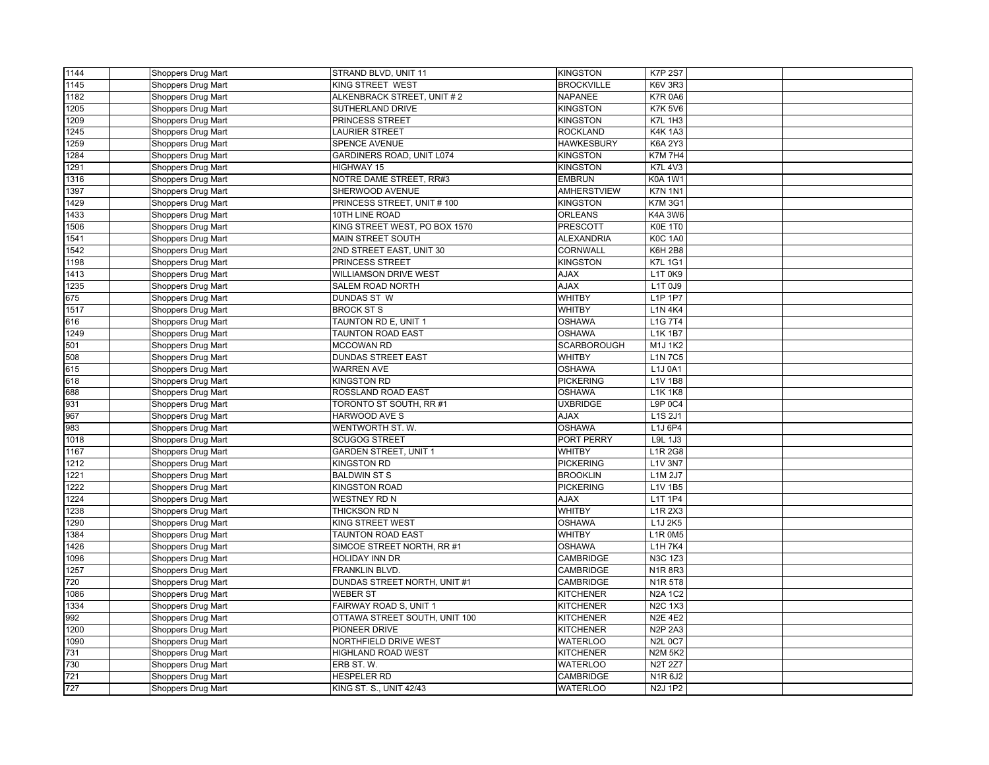| 1144 | Shoppers Drug Mart | STRAND BLVD, UNIT 11          | <b>KINGSTON</b>    | <b>K7P 2S7</b> |  |
|------|--------------------|-------------------------------|--------------------|----------------|--|
| 1145 | Shoppers Drug Mart | <b>KING STREET WEST</b>       | <b>BROCKVILLE</b>  | <b>K6V 3R3</b> |  |
| 1182 | Shoppers Drug Mart | ALKENBRACK STREET, UNIT #2    | <b>NAPANEE</b>     | <b>K7R 0A6</b> |  |
| 1205 | Shoppers Drug Mart | SUTHERLAND DRIVE              | <b>KINGSTON</b>    | <b>K7K 5V6</b> |  |
| 1209 | Shoppers Drug Mart | PRINCESS STREET               | <b>KINGSTON</b>    | <b>K7L 1H3</b> |  |
| 1245 | Shoppers Drug Mart | <b>LAURIER STREET</b>         | <b>ROCKLAND</b>    | <b>K4K1A3</b>  |  |
| 1259 | Shoppers Drug Mart | SPENCE AVENUE                 | <b>HAWKESBURY</b>  | K6A 2Y3        |  |
| 1284 | Shoppers Drug Mart | GARDINERS ROAD, UNIT L074     | <b>KINGSTON</b>    | <b>K7M7H4</b>  |  |
| 1291 | Shoppers Drug Mart | HIGHWAY 15                    | <b>KINGSTON</b>    | <b>K7L 4V3</b> |  |
| 1316 | Shoppers Drug Mart | NOTRE DAME STREET, RR#3       | <b>EMBRUN</b>      | <b>K0A 1W1</b> |  |
| 1397 | Shoppers Drug Mart | SHERWOOD AVENUE               | <b>AMHERSTVIEW</b> | <b>K7N 1N1</b> |  |
| 1429 | Shoppers Drug Mart | PRINCESS STREET, UNIT #100    | <b>KINGSTON</b>    | <b>K7M 3G1</b> |  |
| 1433 | Shoppers Drug Mart | 10TH LINE ROAD                | <b>ORLEANS</b>     | <b>K4A 3W6</b> |  |
| 1506 | Shoppers Drug Mart | KING STREET WEST, PO BOX 1570 | PRESCOTT           | K0E 1T0        |  |
| 1541 | Shoppers Drug Mart | MAIN STREET SOUTH             | <b>ALEXANDRIA</b>  | <b>K0C 1A0</b> |  |
| 1542 | Shoppers Drug Mart | 2ND STREET EAST, UNIT 30      | CORNWALL           | <b>K6H 2B8</b> |  |
| 1198 | Shoppers Drug Mart | PRINCESS STREET               | <b>KINGSTON</b>    | <b>K7L 1G1</b> |  |
| 1413 | Shoppers Drug Mart | <b>WILLIAMSON DRIVE WEST</b>  | <b>AJAX</b>        | L1T0K9         |  |
| 1235 | Shoppers Drug Mart | SALEM ROAD NORTH              | <b>AJAX</b>        | L1T 0J9        |  |
| 675  | Shoppers Drug Mart | DUNDAS ST W                   | <b>WHITBY</b>      | L1P 1P7        |  |
| 1517 | Shoppers Drug Mart | <b>BROCK ST S</b>             | <b>WHITBY</b>      | $L1N$ 4K4      |  |
| 616  | Shoppers Drug Mart | TAUNTON RD E, UNIT 1          | <b>OSHAWA</b>      | L1G 7T4        |  |
| 1249 | Shoppers Drug Mart | <b>TAUNTON ROAD EAST</b>      | <b>OSHAWA</b>      | L1K 1B7        |  |
| 501  | Shoppers Drug Mart | <b>MCCOWAN RD</b>             | <b>SCARBOROUGH</b> | M1J 1K2        |  |
| 508  | Shoppers Drug Mart | <b>DUNDAS STREET EAST</b>     | WHITBY             | <b>L1N7C5</b>  |  |
| 615  | Shoppers Drug Mart | <b>WARREN AVE</b>             | <b>OSHAWA</b>      | L1J 0A1        |  |
| 618  | Shoppers Drug Mart | <b>KINGSTON RD</b>            | <b>PICKERING</b>   | L1V 1B8        |  |
| 688  | Shoppers Drug Mart | ROSSLAND ROAD EAST            | <b>OSHAWA</b>      | <b>L1K1K8</b>  |  |
| 931  | Shoppers Drug Mart | TORONTO ST SOUTH, RR #1       | <b>UXBRIDGE</b>    | L9P 0C4        |  |
| 967  | Shoppers Drug Mart | HARWOOD AVE S                 | <b>AJAX</b>        | L1S 2J1        |  |
| 983  | Shoppers Drug Mart | WENTWORTH ST. W.              | <b>OSHAWA</b>      | L1J 6P4        |  |
| 1018 | Shoppers Drug Mart | <b>SCUGOG STREET</b>          | PORT PERRY         | L9L 1J3        |  |
| 1167 | Shoppers Drug Mart | <b>GARDEN STREET, UNIT 1</b>  | WHITBY             | L1R 2G8        |  |
| 1212 | Shoppers Drug Mart | <b>KINGSTON RD</b>            | <b>PICKERING</b>   | <b>L1V 3N7</b> |  |
| 1221 | Shoppers Drug Mart | <b>BALDWIN ST S</b>           | <b>BROOKLIN</b>    | L1M 2J7        |  |
| 1222 | Shoppers Drug Mart | <b>KINGSTON ROAD</b>          | <b>PICKERING</b>   | L1V 1B5        |  |
| 1224 | Shoppers Drug Mart | <b>WESTNEY RD N</b>           | <b>AJAX</b>        | L1T 1P4        |  |
| 1238 | Shoppers Drug Mart | THICKSON RD N                 | WHITBY             | L1R 2X3        |  |
| 1290 | Shoppers Drug Mart | KING STREET WEST              | <b>OSHAWA</b>      | L1J 2K5        |  |
| 1384 | Shoppers Drug Mart | <b>TAUNTON ROAD EAST</b>      | WHITBY             | <b>L1R 0M5</b> |  |
| 1426 | Shoppers Drug Mart | SIMCOE STREET NORTH, RR #1    | <b>OSHAWA</b>      | L1H 7K4        |  |
| 1096 | Shoppers Drug Mart | HOLIDAY INN DR                | <b>CAMBRIDGE</b>   | <b>N3C 1Z3</b> |  |
| 1257 | Shoppers Drug Mart | FRANKLIN BLVD.                | CAMBRIDGE          | <b>N1R8R3</b>  |  |
| 720  | Shoppers Drug Mart | DUNDAS STREET NORTH, UNIT #1  | CAMBRIDGE          | N1R 5T8        |  |
| 1086 | Shoppers Drug Mart | <b>WEBER ST</b>               | <b>KITCHENER</b>   | <b>N2A 1C2</b> |  |
| 1334 | Shoppers Drug Mart | FAIRWAY ROAD S, UNIT 1        | <b>KITCHENER</b>   | <b>N2C 1X3</b> |  |
| 992  | Shoppers Drug Mart | OTTAWA STREET SOUTH, UNIT 100 | <b>KITCHENER</b>   | <b>N2E 4E2</b> |  |
| 1200 | Shoppers Drug Mart | PIONEER DRIVE                 | <b>KITCHENER</b>   | <b>N2P 2A3</b> |  |
| 1090 | Shoppers Drug Mart | NORTHFIELD DRIVE WEST         | <b>WATERLOO</b>    | <b>N2L 0C7</b> |  |
| 731  | Shoppers Drug Mart | HIGHLAND ROAD WEST            | <b>KITCHENER</b>   | <b>N2M 5K2</b> |  |
| 730  | Shoppers Drug Mart | ERB ST. W.                    | <b>WATERLOO</b>    | <b>N2T 2Z7</b> |  |
| 721  | Shoppers Drug Mart | <b>HESPELER RD</b>            | CAMBRIDGE          | N1R 6J2        |  |
| 727  | Shoppers Drug Mart | KING ST. S., UNIT 42/43       | <b>WATERLOO</b>    | N2J 1P2        |  |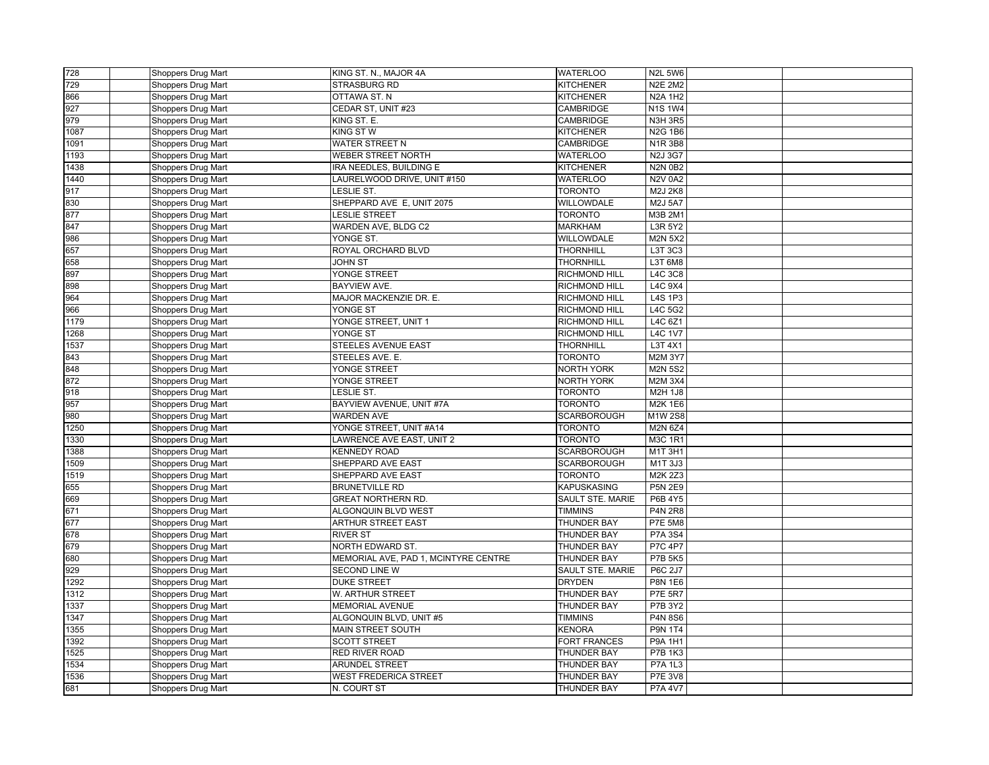| 728  | Shoppers Drug Mart        | KING ST. N., MAJOR 4A                | <b>WATERLOO</b>      | <b>N2L 5W6</b>        |  |
|------|---------------------------|--------------------------------------|----------------------|-----------------------|--|
| 729  | Shoppers Drug Mart        | <b>STRASBURG RD</b>                  | <b>KITCHENER</b>     | <b>N2E 2M2</b>        |  |
| 866  | <b>Shoppers Drug Mart</b> | OTTAWA ST. N                         | <b>KITCHENER</b>     | <b>N2A 1H2</b>        |  |
| 927  | Shoppers Drug Mart        | CEDAR ST, UNIT #23                   | CAMBRIDGE            | <b>N1S1W4</b>         |  |
| 979  | Shoppers Drug Mart        | KING ST. E.                          | <b>CAMBRIDGE</b>     | <b>N3H 3R5</b>        |  |
| 1087 | <b>Shoppers Drug Mart</b> | KING STW                             | <b>KITCHENER</b>     | <b>N2G 1B6</b>        |  |
| 1091 | Shoppers Drug Mart        | WATER STREET N                       | CAMBRIDGE            | N1R3B8                |  |
| 1193 | Shoppers Drug Mart        | WEBER STREET NORTH                   | <b>WATERLOO</b>      | N <sub>2</sub> J 3G7  |  |
| 1438 | Shoppers Drug Mart        | IRA NEEDLES, BUILDING E              | <b>KITCHENER</b>     | <b>N2N 0B2</b>        |  |
| 1440 | Shoppers Drug Mart        | LAURELWOOD DRIVE, UNIT #150          | <b>WATERLOO</b>      | <b>N2V 0A2</b>        |  |
| 917  | Shoppers Drug Mart        | LESLIE ST.                           | TORONTO              | M2J 2K8               |  |
| 830  | Shoppers Drug Mart        | SHEPPARD AVE E, UNIT 2075            | <b>WILLOWDALE</b>    | M2J 5A7               |  |
| 877  | Shoppers Drug Mart        | <b>LESLIE STREET</b>                 | <b>TORONTO</b>       | M3B 2M1               |  |
| 847  | Shoppers Drug Mart        | WARDEN AVE, BLDG C2                  | <b>MARKHAM</b>       | L3R 5Y2               |  |
| 986  | <b>Shoppers Drug Mart</b> | YONGE ST.                            | <b>WILLOWDALE</b>    | <b>M2N 5X2</b>        |  |
| 657  | Shoppers Drug Mart        | ROYAL ORCHARD BLVD                   | THORNHILL            | L3T 3C3               |  |
| 658  | Shoppers Drug Mart        | <b>JOHN ST</b>                       | <b>THORNHILL</b>     | L3T 6M8               |  |
| 897  | Shoppers Drug Mart        | YONGE STREET                         | RICHMOND HILL        | <b>L4C 3C8</b>        |  |
| 898  | Shoppers Drug Mart        | BAYVIEW AVE.                         | RICHMOND HILL        | <b>L4C 9X4</b>        |  |
| 964  | Shoppers Drug Mart        | MAJOR MACKENZIE DR. E.               | <b>RICHMOND HILL</b> | L4S 1P3               |  |
| 966  | Shoppers Drug Mart        | YONGE ST                             | <b>RICHMOND HILL</b> | L4C 5G2               |  |
| 1179 | <b>Shoppers Drug Mart</b> | YONGE STREET, UNIT 1                 | RICHMOND HILL        | L4C 6Z1               |  |
| 1268 | Shoppers Drug Mart        | YONGE ST                             | <b>RICHMOND HILL</b> | <b>L4C 1V7</b>        |  |
| 1537 | Shoppers Drug Mart        | STEELES AVENUE EAST                  | <b>THORNHILL</b>     | L3T 4X1               |  |
| 843  | <b>Shoppers Drug Mart</b> | STEELES AVE. E.                      | <b>TORONTO</b>       | M2M 3Y7               |  |
| 848  | Shoppers Drug Mart        | YONGE STREET                         | <b>NORTH YORK</b>    | <b>M2N 5S2</b>        |  |
| 872  | Shoppers Drug Mart        | YONGE STREET                         | <b>NORTH YORK</b>    | <b>M2M 3X4</b>        |  |
| 918  | Shoppers Drug Mart        | LESLIE ST.                           | <b>TORONTO</b>       | M2H 1J8               |  |
| 957  | Shoppers Drug Mart        | BAYVIEW AVENUE, UNIT #7A             | TORONTO              | <b>M2K 1E6</b>        |  |
| 980  | Shoppers Drug Mart        | <b>WARDEN AVE</b>                    | <b>SCARBOROUGH</b>   | M1W 2S8               |  |
| 1250 | Shoppers Drug Mart        | YONGE STREET, UNIT #A14              | <b>TORONTO</b>       | M2N 6Z4               |  |
| 1330 | Shoppers Drug Mart        | LAWRENCE AVE EAST, UNIT 2            | <b>TORONTO</b>       | M3C 1R1               |  |
| 1388 | <b>Shoppers Drug Mart</b> | <b>KENNEDY ROAD</b>                  | <b>SCARBOROUGH</b>   | $\overline{M}$ 1T 3H1 |  |
| 1509 | Shoppers Drug Mart        | SHEPPARD AVE EAST                    | SCARBOROUGH          | M1T 3J3               |  |
| 1519 | Shoppers Drug Mart        | SHEPPARD AVE EAST                    | <b>TORONTO</b>       | M2K 2Z3               |  |
| 655  | Shoppers Drug Mart        | <b>BRUNETVILLE RD</b>                | KAPUSKASING          | <b>P5N 2E9</b>        |  |
| 669  | Shoppers Drug Mart        | <b>GREAT NORTHERN RD.</b>            | SAULT STE. MARIE     | P6B 4Y5               |  |
| 671  | Shoppers Drug Mart        | ALGONQUIN BLVD WEST                  | <b>TIMMINS</b>       | <b>P4N 2R8</b>        |  |
| 677  | Shoppers Drug Mart        | <b>ARTHUR STREET EAST</b>            | <b>THUNDER BAY</b>   | <b>P7E 5M8</b>        |  |
| 678  | Shoppers Drug Mart        | <b>RIVER ST</b>                      | THUNDER BAY          | P7A 3S4               |  |
| 679  | Shoppers Drug Mart        | NORTH EDWARD ST.                     | THUNDER BAY          | <b>P7C 4P7</b>        |  |
| 680  | Shoppers Drug Mart        | MEMORIAL AVE, PAD 1, MCINTYRE CENTRE | <b>THUNDER BAY</b>   | <b>P7B 5K5</b>        |  |
| 929  | Shoppers Drug Mart        | <b>SECOND LINE W</b>                 | SAULT STE. MARIE     | P6C 2J7               |  |
| 1292 | Shoppers Drug Mart        | <b>DUKE STREET</b>                   | <b>DRYDEN</b>        | <b>P8N 1E6</b>        |  |
| 1312 | Shoppers Drug Mart        | W. ARTHUR STREET                     | <b>THUNDER BAY</b>   | <b>P7E 5R7</b>        |  |
| 1337 | Shoppers Drug Mart        | <b>MEMORIAL AVENUE</b>               | THUNDER BAY          | P7B 3Y2               |  |
| 1347 | Shoppers Drug Mart        | ALGONQUIN BLVD, UNIT #5              | TIMMINS              | <b>P4N 8S6</b>        |  |
| 1355 | Shoppers Drug Mart        | MAIN STREET SOUTH                    | <b>KENORA</b>        | <b>P9N 1T4</b>        |  |
| 1392 | <b>Shoppers Drug Mart</b> | <b>SCOTT STREET</b>                  | <b>FORT FRANCES</b>  | P9A 1H1               |  |
| 1525 | Shoppers Drug Mart        | <b>RED RIVER ROAD</b>                | THUNDER BAY          | <b>P7B 1K3</b>        |  |
| 1534 | Shoppers Drug Mart        | <b>ARUNDEL STREET</b>                | THUNDER BAY          | <b>P7A 1L3</b>        |  |
| 1536 | Shoppers Drug Mart        | WEST FREDERICA STREET                | <b>THUNDER BAY</b>   | <b>P7E 3V8</b>        |  |
| 681  | Shoppers Drug Mart        | N. COURT ST                          | <b>THUNDER BAY</b>   | <b>P7A 4V7</b>        |  |
|      |                           |                                      |                      |                       |  |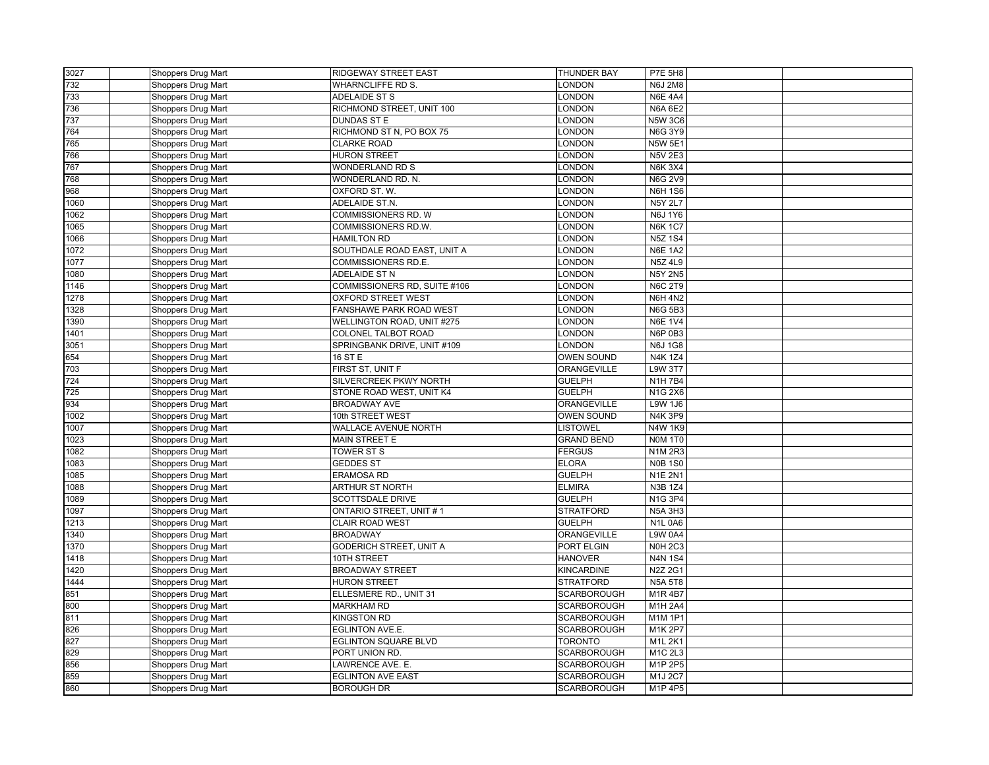| 3027 | <b>Shoppers Drug Mart</b> | <b>RIDGEWAY STREET EAST</b>           | THUNDER BAY                  | P7E 5H8                   |  |
|------|---------------------------|---------------------------------------|------------------------------|---------------------------|--|
| 732  | Shoppers Drug Mart        | <b>WHARNCLIFFE RD S.</b>              | LONDON                       | <b>N6J 2M8</b>            |  |
| 733  | Shoppers Drug Mart        | ADELAIDE ST S                         | LONDON                       | <b>N6E 4A4</b>            |  |
| 736  | Shoppers Drug Mart        | RICHMOND STREET, UNIT 100             | LONDON                       | <b>N6A 6E2</b>            |  |
| 737  | Shoppers Drug Mart        | <b>DUNDAS ST E</b>                    | LONDON                       | <b>N5W 3C6</b>            |  |
| 764  | Shoppers Drug Mart        | RICHMOND ST N, PO BOX 75              | LONDON                       | <b>N6G 3Y9</b>            |  |
| 765  | Shoppers Drug Mart        | <b>CLARKE ROAD</b>                    | LONDON                       | <b>N5W 5E1</b>            |  |
| 766  | Shoppers Drug Mart        | <b>HURON STREET</b>                   | LONDON                       | <b>N5V 2E3</b>            |  |
| 767  | Shoppers Drug Mart        | <b>WONDERLAND RD S</b>                | <b>LONDON</b>                | <b>N6K 3X4</b>            |  |
| 768  | Shoppers Drug Mart        | WONDERLAND RD. N.                     | LONDON                       | <b>N6G 2V9</b>            |  |
| 968  | Shoppers Drug Mart        | OXFORD ST. W.                         | LONDON                       | <b>N6H 1S6</b>            |  |
| 1060 | Shoppers Drug Mart        | ADELAIDE ST.N.                        | LONDON                       | <b>N5Y 2L7</b>            |  |
| 1062 | Shoppers Drug Mart        | COMMISSIONERS RD. W                   | LONDON                       | <b>N6J 1Y6</b>            |  |
| 1065 | Shoppers Drug Mart        | COMMISSIONERS RD.W.                   | LONDON                       | <b>N6K1C7</b>             |  |
| 1066 | Shoppers Drug Mart        | <b>HAMILTON RD</b>                    | <b>LONDON</b>                | <b>N5Z1S4</b>             |  |
| 1072 | Shoppers Drug Mart        | SOUTHDALE ROAD EAST, UNIT A           | LONDON                       | <b>N6E 1A2</b>            |  |
| 1077 | Shoppers Drug Mart        | COMMISSIONERS RD.E.                   | LONDON                       | N5Z 4L9                   |  |
| 1080 | Shoppers Drug Mart        | ADELAIDE ST N                         | LONDON                       | <b>N5Y 2N5</b>            |  |
| 1146 | Shoppers Drug Mart        | COMMISSIONERS RD, SUITE #106          | LONDON                       | <b>N6C 2T9</b>            |  |
| 1278 | Shoppers Drug Mart        | <b>OXFORD STREET WEST</b>             | LONDON                       | <b>N6H 4N2</b>            |  |
| 1328 | Shoppers Drug Mart        | FANSHAWE PARK ROAD WEST               | <b>LONDON</b>                | <b>N6G 5B3</b>            |  |
| 1390 | Shoppers Drug Mart        | WELLINGTON ROAD, UNIT #275            | LONDON                       | <b>N6E 1V4</b>            |  |
| 1401 | Shoppers Drug Mart        | COLONEL TALBOT ROAD                   | <b>LONDON</b>                | N6P 0B3                   |  |
| 3051 | Shoppers Drug Mart        | SPRINGBANK DRIVE, UNIT #109           | <b>LONDON</b>                | <b>N6J1G8</b>             |  |
| 654  | Shoppers Drug Mart        | 16 ST E                               | <b>OWEN SOUND</b>            | <b>N4K1Z4</b>             |  |
| 703  | Shoppers Drug Mart        | FIRST ST, UNIT F                      | ORANGEVILLE                  | <b>L9W 3T7</b>            |  |
| 724  | Shoppers Drug Mart        | SILVERCREEK PKWY NORTH                | <b>GUELPH</b>                | <b>N1H7B4</b>             |  |
| 725  | Shoppers Drug Mart        | STONE ROAD WEST, UNIT K4              | <b>GUELPH</b>                | N1G 2X6                   |  |
| 934  | Shoppers Drug Mart        | <b>BROADWAY AVE</b>                   | ORANGEVILLE                  | <b>L9W 1J6</b>            |  |
| 1002 | Shoppers Drug Mart        | 10th STREET WEST                      | <b>OWEN SOUND</b>            | <b>N4K3P9</b>             |  |
| 1007 | Shoppers Drug Mart        | WALLACE AVENUE NORTH                  | <b>LISTOWEL</b>              | <b>N4W 1K9</b>            |  |
| 1023 | Shoppers Drug Mart        | MAIN STREET E                         | <b>GRAND BEND</b>            | NOM 1T0                   |  |
| 1082 | Shoppers Drug Mart        | TOWER ST S                            | <b>FERGUS</b>                | <b>N1M2R3</b>             |  |
| 1083 | Shoppers Drug Mart        | <b>GEDDES ST</b>                      | <b>ELORA</b>                 | <b>NOB 1S0</b>            |  |
| 1085 | Shoppers Drug Mart        | ERAMOSA RD                            | <b>GUELPH</b>                | <b>N1E 2N1</b>            |  |
| 1088 | Shoppers Drug Mart        | ARTHUR ST NORTH                       | <b>ELMIRA</b>                | N3B 1Z4                   |  |
| 1089 | Shoppers Drug Mart        | <b>SCOTTSDALE DRIVE</b>               | <b>GUELPH</b>                | <b>N1G 3P4</b>            |  |
| 1097 | Shoppers Drug Mart        | ONTARIO STREET, UNIT #1               | <b>STRATFORD</b>             | <b>N5A 3H3</b>            |  |
| 1213 | Shoppers Drug Mart        | <b>CLAIR ROAD WEST</b>                | <b>GUELPH</b>                | <b>N1L 0A6</b>            |  |
| 1340 | Shoppers Drug Mart        | <b>BROADWAY</b>                       | ORANGEVILLE                  | <b>L9W 0A4</b>            |  |
| 1370 |                           | GODERICH STREET, UNIT A               | PORT ELGIN                   | <b>N0H 2C3</b>            |  |
|      | Shoppers Drug Mart        |                                       |                              |                           |  |
| 1418 | Shoppers Drug Mart        | 10TH STREET<br><b>BROADWAY STREET</b> | <b>HANOVER</b><br>KINCARDINE | <b>N4N 1S4</b><br>N2Z 2G1 |  |
| 1420 | Shoppers Drug Mart        |                                       |                              |                           |  |
| 1444 | Shoppers Drug Mart        | <b>HURON STREET</b>                   | <b>STRATFORD</b>             | <b>N5A 5T8</b>            |  |
| 851  | Shoppers Drug Mart        | ELLESMERE RD., UNIT 31                | <b>SCARBOROUGH</b>           | M1R4B7                    |  |
| 800  | Shoppers Drug Mart        | <b>MARKHAM RD</b>                     | <b>SCARBOROUGH</b>           | M1H 2A4                   |  |
| 811  | Shoppers Drug Mart        | <b>KINGSTON RD</b>                    | SCARBOROUGH                  | M1M 1P1                   |  |
| 826  | Shoppers Drug Mart        | EGLINTON AVE.E.                       | <b>SCARBOROUGH</b>           | M1K 2P7                   |  |
| 827  | Shoppers Drug Mart        | <b>EGLINTON SQUARE BLVD</b>           | <b>TORONTO</b>               | M1L 2K1                   |  |
| 829  | Shoppers Drug Mart        | PORT UNION RD                         | <b>SCARBOROUGH</b>           | M1C 2L3                   |  |
| 856  | Shoppers Drug Mart        | LAWRENCE AVE. E.                      | <b>SCARBOROUGH</b>           | M1P 2P5                   |  |
| 859  | Shoppers Drug Mart        | <b>EGLINTON AVE EAST</b>              | <b>SCARBOROUGH</b>           | M1J 2C7                   |  |
| 860  | Shoppers Drug Mart        | <b>BOROUGH DR</b>                     | <b>SCARBOROUGH</b>           | M1P 4P5                   |  |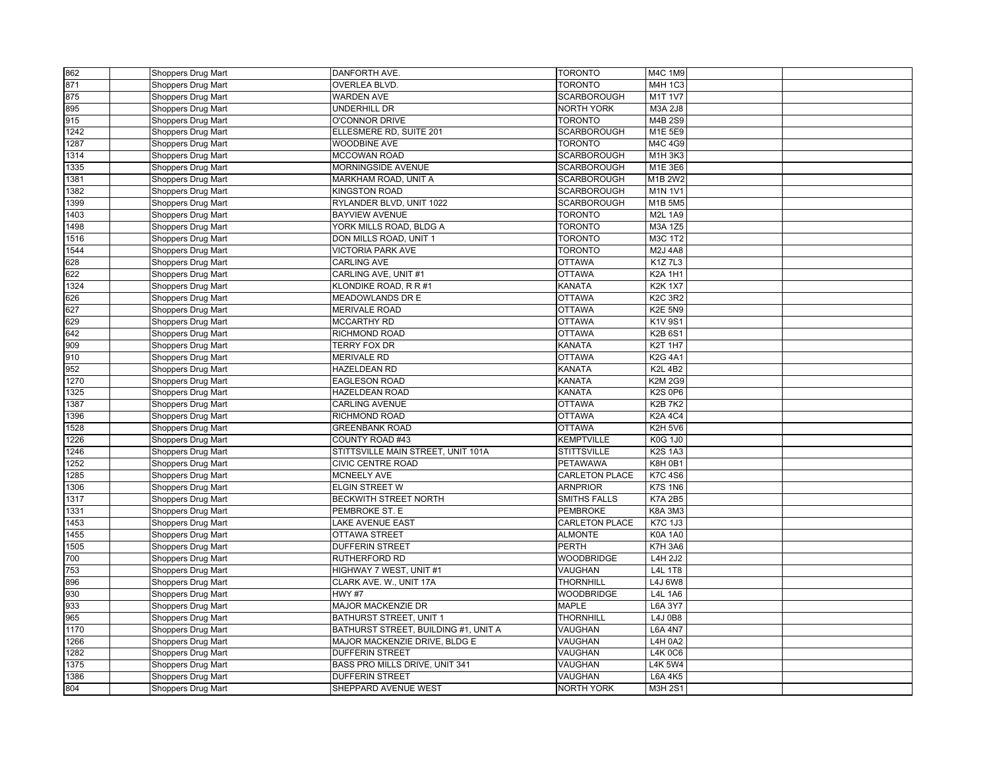| 862          | Shoppers Drug Mart                       | DANFORTH AVE.                        | <b>TORONTO</b>        | M4C 1M9                                      |  |
|--------------|------------------------------------------|--------------------------------------|-----------------------|----------------------------------------------|--|
| 871          | Shoppers Drug Mart                       | OVERLEA BLVD.                        | TORONTO               | M4H 1C3                                      |  |
| 875          | Shoppers Drug Mart                       | <b>WARDEN AVE</b>                    | <b>SCARBOROUGH</b>    | M1T 1V7                                      |  |
| 895          | Shoppers Drug Mart                       | UNDERHILL DR                         | <b>NORTH YORK</b>     | M3A 2J8                                      |  |
| 915          | Shoppers Drug Mart                       | O'CONNOR DRIVE                       | <b>TORONTO</b>        | M4B 2S9                                      |  |
| 1242         | Shoppers Drug Mart                       | ELLESMERE RD, SUITE 201              | <b>SCARBOROUGH</b>    | M1E 5E9                                      |  |
| 1287         | Shoppers Drug Mart                       | <b>WOODBINE AVE</b>                  | <b>TORONTO</b>        | M4C 4G9                                      |  |
| 1314         | Shoppers Drug Mart                       | MCCOWAN ROAD                         | SCARBOROUGH           | M1H 3K3                                      |  |
| 1335         | Shoppers Drug Mart                       | MORNINGSIDE AVENUE                   | <b>SCARBOROUGH</b>    | M1E 3E6                                      |  |
| 1381         | Shoppers Drug Mart                       | MARKHAM ROAD, UNIT A                 | <b>SCARBOROUGH</b>    | M <sub>1</sub> B <sub>2</sub> W <sub>2</sub> |  |
| 1382         | Shoppers Drug Mart                       | <b>KINGSTON ROAD</b>                 | SCARBOROUGH           | <b>M1N 1V1</b>                               |  |
| 1399         | Shoppers Drug Mart                       | RYLANDER BLVD, UNIT 1022             | <b>SCARBOROUGH</b>    | M1B 5M5                                      |  |
| 1403         | Shoppers Drug Mart                       | <b>BAYVIEW AVENUE</b>                | <b>TORONTO</b>        | M2L 1A9                                      |  |
| 1498         | Shoppers Drug Mart                       | YORK MILLS ROAD, BLDG A              | <b>TORONTO</b>        | <b>M3A 1Z5</b>                               |  |
| 1516         | Shoppers Drug Mart                       | DON MILLS ROAD, UNIT 1               | <b>TORONTO</b>        | M3C 1T2                                      |  |
| 1544         | Shoppers Drug Mart                       | <b>VICTORIA PARK AVE</b>             | <b>TORONTO</b>        | M2J 4A8                                      |  |
| 628          | Shoppers Drug Mart                       | <b>CARLING AVE</b>                   | <b>OTTAWA</b>         | <b>K1Z7L3</b>                                |  |
| 622          | Shoppers Drug Mart                       | CARLING AVE, UNIT #1                 | <b>OTTAWA</b>         | <b>K2A 1H1</b>                               |  |
| 1324         | Shoppers Drug Mart                       | KLONDIKE ROAD, R R #1                | <b>KANATA</b>         | <b>K2K 1X7</b>                               |  |
| 626          | Shoppers Drug Mart                       | MEADOWLANDS DR E                     | <b>OTTAWA</b>         | <b>K2C 3R2</b>                               |  |
| 627          | Shoppers Drug Mart                       | <b>MERIVALE ROAD</b>                 | <b>OTTAWA</b>         | <b>K2E 5N9</b>                               |  |
| 629          | Shoppers Drug Mart                       | MCCARTHY RD                          | <b>OTTAWA</b>         | K1V 9S1                                      |  |
| 642          | Shoppers Drug Mart                       | RICHMOND ROAD                        | <b>OTTAWA</b>         | <b>K2B 6S1</b>                               |  |
| 909          | Shoppers Drug Mart                       | TERRY FOX DR                         | KANATA                | <b>K2T 1H7</b>                               |  |
| 910          | Shoppers Drug Mart                       | <b>MERIVALE RD</b>                   | <b>OTTAWA</b>         | K2G 4A1                                      |  |
| 952          | Shoppers Drug Mart                       | HAZELDEAN RD                         | KANATA                | <b>K2L 4B2</b>                               |  |
| 1270         | Shoppers Drug Mart                       | <b>EAGLESON ROAD</b>                 | KANATA                | K2M 2G9                                      |  |
| 1325         | Shoppers Drug Mart                       | HAZELDEAN ROAD                       | KANATA                | <b>K2S 0P6</b>                               |  |
| 1387         | Shoppers Drug Mart                       | <b>CARLING AVENUE</b>                | <b>OTTAWA</b>         | <b>K2B7K2</b>                                |  |
| 1396         | Shoppers Drug Mart                       | RICHMOND ROAD                        | <b>OTTAWA</b>         | <b>K2A 4C4</b>                               |  |
| 1528         | Shoppers Drug Mart                       | <b>GREENBANK ROAD</b>                | <b>OTTAWA</b>         | <b>K2H 5V6</b>                               |  |
| 1226         | Shoppers Drug Mart                       | COUNTY ROAD #43                      | <b>KEMPTVILLE</b>     | <b>K0G 1J0</b>                               |  |
| 1246         | Shoppers Drug Mart                       | STITTSVILLE MAIN STREET, UNIT 101A   | <b>STITTSVILLE</b>    | <b>K2S 1A3</b>                               |  |
| 1252         | Shoppers Drug Mart                       | <b>CIVIC CENTRE ROAD</b>             | PETAWAWA              | <b>K8H 0B1</b>                               |  |
| 1285         | Shoppers Drug Mart                       | <b>MCNEELY AVE</b>                   | CARLETON PLACE        | <b>K7C4S6</b>                                |  |
| 1306         | Shoppers Drug Mart                       | <b>ELGIN STREET W</b>                | <b>ARNPRIOR</b>       | <b>K7S 1N6</b>                               |  |
| 1317         | Shoppers Drug Mart                       | <b>BECKWITH STREET NORTH</b>         | <b>SMITHS FALLS</b>   | <b>K7A 2B5</b>                               |  |
| 1331         |                                          | PEMBROKE ST. E                       | <b>PEMBROKE</b>       | <b>K8A 3M3</b>                               |  |
| 1453         | Shoppers Drug Mart<br>Shoppers Drug Mart | <b>LAKE AVENUE EAST</b>              | <b>CARLETON PLACE</b> | <b>K7C 1J3</b>                               |  |
|              |                                          | <b>OTTAWA STREET</b>                 | <b>ALMONTE</b>        | <b>K0A 1A0</b>                               |  |
| 1455<br>1505 | Shoppers Drug Mart                       | <b>DUFFERIN STREET</b>               | <b>PERTH</b>          | <b>K7H 3A6</b>                               |  |
| 700          | Shoppers Drug Mart                       | <b>RUTHERFORD RD</b>                 | <b>WOODBRIDGE</b>     | L4H 2J2                                      |  |
|              | Shoppers Drug Mart                       |                                      | VAUGHAN               |                                              |  |
| 753          | Shoppers Drug Mart                       | HIGHWAY 7 WEST, UNIT #1              |                       | L4L 1T8                                      |  |
| 896          | Shoppers Drug Mart                       | CLARK AVE. W., UNIT 17A              | <b>THORNHILL</b>      | <b>L4J 6W8</b>                               |  |
| 930          | Shoppers Drug Mart                       | <b>HWY #7</b>                        | <b>WOODBRIDGE</b>     | <b>L4L 1A6</b>                               |  |
| 933          | Shoppers Drug Mart                       | <b>MAJOR MACKENZIE DR</b>            | <b>MAPLE</b>          | L6A 3Y7                                      |  |
| 965          | Shoppers Drug Mart                       | BATHURST STREET, UNIT 1              | THORNHILL             | L4J 0B8                                      |  |
| 1170         | Shoppers Drug Mart                       | BATHURST STREET, BUILDING #1, UNIT A | VAUGHAN               | <b>L6A 4N7</b>                               |  |
| 1266         | Shoppers Drug Mart                       | MAJOR MACKENZIE DRIVE, BLDG E        | VAUGHAN               | <b>L4H 0A2</b>                               |  |
| 1282         | Shoppers Drug Mart                       | <b>DUFFERIN STREET</b>               | VAUGHAN               | <b>L4K0C6</b>                                |  |
| 1375         | Shoppers Drug Mart                       | BASS PRO MILLS DRIVE, UNIT 341       | VAUGHAN               | <b>L4K 5W4</b>                               |  |
| 1386         | Shoppers Drug Mart                       | <b>DUFFERIN STREET</b>               | VAUGHAN               | L6A 4K5                                      |  |
| 804          | Shoppers Drug Mart                       | SHEPPARD AVENUE WEST                 | <b>NORTH YORK</b>     | M3H 2S1                                      |  |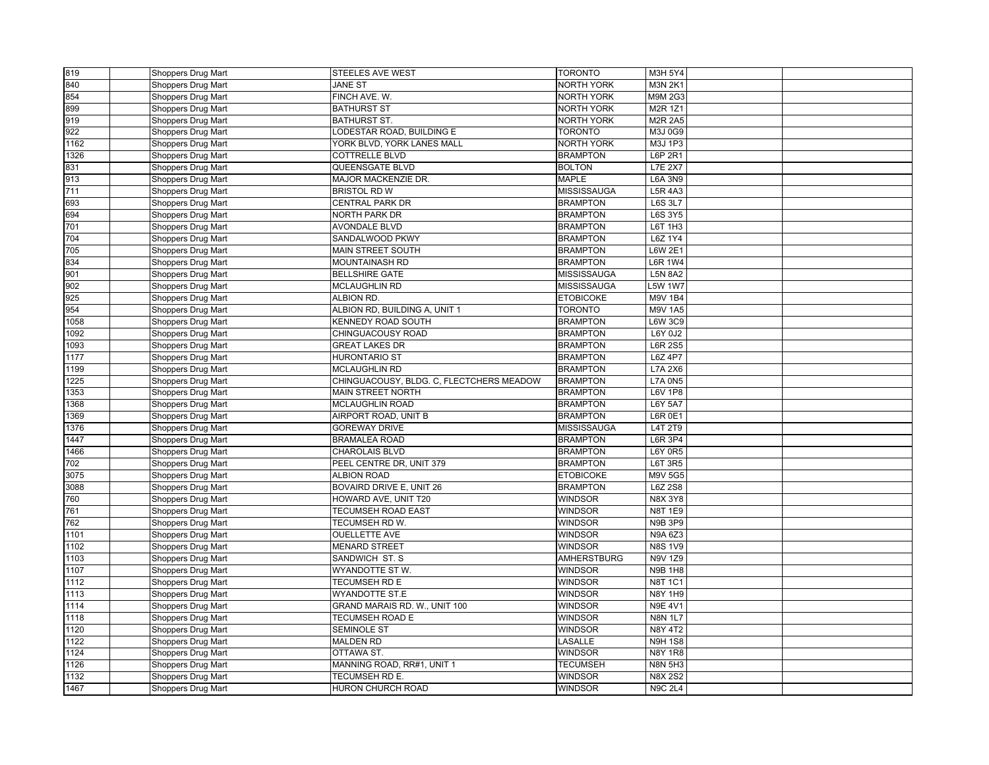| 819  | Shoppers Drug Mart | <b>STEELES AVE WEST</b>                  | <b>TORONTO</b>     | M3H 5Y4        |  |
|------|--------------------|------------------------------------------|--------------------|----------------|--|
| 840  | Shoppers Drug Mart | <b>JANE ST</b>                           | <b>NORTH YORK</b>  | <b>M3N 2K1</b> |  |
| 854  | Shoppers Drug Mart | FINCH AVE. W.                            | NORTH YORK         | M9M 2G3        |  |
| 899  | Shoppers Drug Mart | <b>BATHURST ST</b>                       | NORTH YORK         | M2R 1Z1        |  |
| 919  | Shoppers Drug Mart | <b>BATHURST ST.</b>                      | <b>NORTH YORK</b>  | <b>M2R 2A5</b> |  |
| 922  | Shoppers Drug Mart | LODESTAR ROAD, BUILDING E                | <b>TORONTO</b>     | M3J 0G9        |  |
| 1162 | Shoppers Drug Mart | YORK BLVD, YORK LANES MALL               | NORTH YORK         | M3J 1P3        |  |
| 1326 | Shoppers Drug Mart | <b>COTTRELLE BLVD</b>                    | <b>BRAMPTON</b>    | L6P 2R1        |  |
| 831  | Shoppers Drug Mart | QUEENSGATE BLVD                          | <b>BOLTON</b>      | <b>L7E 2X7</b> |  |
| 913  | Shoppers Drug Mart | MAJOR MACKENZIE DR.                      | <b>MAPLE</b>       | <b>L6A 3N9</b> |  |
| 711  | Shoppers Drug Mart | <b>BRISTOL RD W</b>                      | <b>MISSISSAUGA</b> | <b>L5R 4A3</b> |  |
| 693  | Shoppers Drug Mart | CENTRAL PARK DR                          | <b>BRAMPTON</b>    | <b>L6S 3L7</b> |  |
| 694  | Shoppers Drug Mart | <b>NORTH PARK DR</b>                     | <b>BRAMPTON</b>    | <b>L6S 3Y5</b> |  |
| 701  | Shoppers Drug Mart | <b>AVONDALE BLVD</b>                     | <b>BRAMPTON</b>    | L6T 1H3        |  |
| 704  | Shoppers Drug Mart | SANDALWOOD PKWY                          | <b>BRAMPTON</b>    | L6Z 1Y4        |  |
| 705  | Shoppers Drug Mart | MAIN STREET SOUTH                        | <b>BRAMPTON</b>    | L6W 2E1        |  |
| 834  | Shoppers Drug Mart | MOUNTAINASH RD                           | <b>BRAMPTON</b>    | L6R 1W4        |  |
| 901  | Shoppers Drug Mart | <b>BELLSHIRE GATE</b>                    | <b>MISSISSAUGA</b> | <b>L5N 8A2</b> |  |
| 902  | Shoppers Drug Mart | MCLAUGHLIN RD                            | MISSISSAUGA        | 5W 1W7         |  |
| 925  | Shoppers Drug Mart | ALBION RD.                               | <b>ETOBICOKE</b>   | M9V 1B4        |  |
| 954  | Shoppers Drug Mart | ALBION RD, BUILDING A, UNIT 1            | <b>TORONTO</b>     | <b>M9V 1A5</b> |  |
| 1058 | Shoppers Drug Mart | KENNEDY ROAD SOUTH                       | <b>BRAMPTON</b>    | L6W 3C9        |  |
| 1092 | Shoppers Drug Mart | CHINGUACOUSY ROAD                        | <b>BRAMPTON</b>    | L6Y 0J2        |  |
| 1093 | Shoppers Drug Mart | <b>GREAT LAKES DR</b>                    | <b>BRAMPTON</b>    | <b>L6R 2S5</b> |  |
| 1177 | Shoppers Drug Mart | <b>HURONTARIO ST</b>                     | <b>BRAMPTON</b>    | L6Z 4P7        |  |
| 1199 | Shoppers Drug Mart | MCLAUGHLIN RD                            | <b>BRAMPTON</b>    | <b>L7A 2X6</b> |  |
| 1225 | Shoppers Drug Mart | CHINGUACOUSY, BLDG. C, FLECTCHERS MEADOW | <b>BRAMPTON</b>    | <b>L7A 0N5</b> |  |
| 1353 | Shoppers Drug Mart | <b>MAIN STREET NORTH</b>                 | <b>BRAMPTON</b>    | <b>L6V 1P8</b> |  |
| 1368 | Shoppers Drug Mart | <b>MCLAUGHLIN ROAD</b>                   | <b>BRAMPTON</b>    | <b>L6Y 5A7</b> |  |
| 1369 | Shoppers Drug Mart | AIRPORT ROAD, UNIT B                     | <b>BRAMPTON</b>    | <b>L6R 0E1</b> |  |
| 1376 | Shoppers Drug Mart | <b>GOREWAY DRIVE</b>                     | <b>MISSISSAUGA</b> | L4T 2T9        |  |
| 1447 | Shoppers Drug Mart | <b>BRAMALEA ROAD</b>                     | <b>BRAMPTON</b>    | L6R 3P4        |  |
| 1466 | Shoppers Drug Mart | <b>CHAROLAIS BLVD</b>                    | <b>BRAMPTON</b>    | <b>L6Y 0R5</b> |  |
| 702  | Shoppers Drug Mart | PEEL CENTRE DR, UNIT 379                 | <b>BRAMPTON</b>    | L6T 3R5        |  |
| 3075 | Shoppers Drug Mart | <b>ALBION ROAD</b>                       | <b>ETOBICOKE</b>   | M9V 5G5        |  |
| 3088 | Shoppers Drug Mart | BOVAIRD DRIVE E, UNIT 26                 | <b>BRAMPTON</b>    | L6Z 2S8        |  |
| 760  | Shoppers Drug Mart | HOWARD AVE, UNIT T20                     | <b>WINDSOR</b>     | <b>N8X 3Y8</b> |  |
| 761  | Shoppers Drug Mart | <b>TECUMSEH ROAD EAST</b>                | <b>WINDSOR</b>     | <b>N8T 1E9</b> |  |
| 762  | Shoppers Drug Mart | TECUMSEH RD W.                           | <b>WINDSOR</b>     | <b>N9B 3P9</b> |  |
| 1101 | Shoppers Drug Mart | <b>OUELLETTE AVE</b>                     | <b>WINDSOR</b>     | N9A 6Z3        |  |
| 1102 | Shoppers Drug Mart | <b>MENARD STREET</b>                     | <b>WINDSOR</b>     | <b>N8S1V9</b>  |  |
| 1103 | Shoppers Drug Mart | SANDWICH ST. S                           | <b>AMHERSTBURG</b> | N9V 1Z9        |  |
| 1107 | Shoppers Drug Mart | WYANDOTTE ST W.                          | <b>WINDSOR</b>     | <b>N9B 1H8</b> |  |
| 1112 | Shoppers Drug Mart | TECUMSEH RD E                            | <b>WINDSOR</b>     | <b>N8T 1C1</b> |  |
| 1113 | Shoppers Drug Mart | <b>WYANDOTTE ST.E</b>                    | <b>WINDSOR</b>     | <b>N8Y 1H9</b> |  |
| 1114 | Shoppers Drug Mart | GRAND MARAIS RD. W., UNIT 100            | <b>WINDSOR</b>     | <b>N9E 4V1</b> |  |
| 1118 | Shoppers Drug Mart | TECUMSEH ROAD E                          | <b>WINDSOR</b>     | <b>N8N 1L7</b> |  |
| 1120 | Shoppers Drug Mart | <b>SEMINOLE ST</b>                       | <b>WINDSOR</b>     | <b>N8Y 4T2</b> |  |
| 1122 | Shoppers Drug Mart | <b>MALDEN RD</b>                         | LASALLE            | <b>N9H 1S8</b> |  |
| 1124 | Shoppers Drug Mart | OTTAWA ST.                               | <b>WINDSOR</b>     | <b>N8Y 1R8</b> |  |
| 1126 | Shoppers Drug Mart | MANNING ROAD, RR#1, UNIT 1               | <b>TECUMSEH</b>    | <b>N8N 5H3</b> |  |
| 1132 | Shoppers Drug Mart | TECUMSEH RD E.                           | <b>WINDSOR</b>     | <b>N8X2S2</b>  |  |
| 1467 | Shoppers Drug Mart | <b>HURON CHURCH ROAD</b>                 | <b>WINDSOR</b>     | <b>N9C 2L4</b> |  |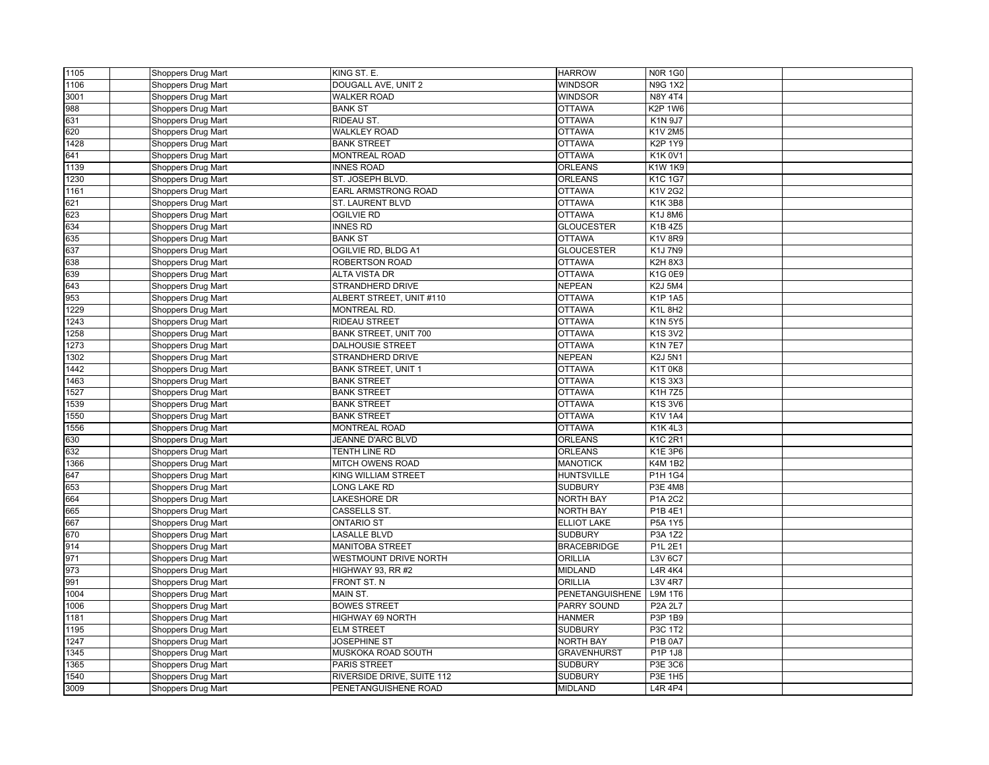| 1105 | <b>Shoppers Drug Mart</b> | KING ST. E.                | <b>HARROW</b>          | <b>N0R 1G0</b>                   |  |
|------|---------------------------|----------------------------|------------------------|----------------------------------|--|
| 1106 | Shoppers Drug Mart        | DOUGALL AVE, UNIT 2        | <b>WINDSOR</b>         | <b>N9G 1X2</b>                   |  |
| 3001 | Shoppers Drug Mart        | <b>WALKER ROAD</b>         | <b>WINDSOR</b>         | N8Y 4T4                          |  |
| 988  | Shoppers Drug Mart        | <b>BANK ST</b>             | <b>OTTAWA</b>          | <b>K2P 1W6</b>                   |  |
| 631  | <b>Shoppers Drug Mart</b> | RIDEAU ST.                 | <b>OTTAWA</b>          | $\overline{K}$ 1N 9J7            |  |
| 620  | Shoppers Drug Mart        | <b>WALKLEY ROAD</b>        | <b>OTTAWA</b>          | K1V 2M5                          |  |
| 1428 | Shoppers Drug Mart        | <b>BANK STREET</b>         | <b>OTTAWA</b>          | <b>K2P 1Y9</b>                   |  |
| 641  | Shoppers Drug Mart        | <b>MONTREAL ROAD</b>       | <b>OTTAWA</b>          | <b>K1K0V1</b>                    |  |
| 1139 | Shoppers Drug Mart        | <b>INNES ROAD</b>          | <b>ORLEANS</b>         | K1W 1K9                          |  |
| 1230 | Shoppers Drug Mart        | ST. JOSEPH BLVD.           | <b>ORLEANS</b>         | K1C 1G7                          |  |
| 1161 | Shoppers Drug Mart        | EARL ARMSTRONG ROAD        | <b>OTTAWA</b>          | K1V 2G2                          |  |
| 621  | Shoppers Drug Mart        | ST. LAURENT BLVD           | <b>OTTAWA</b>          | <b>K1K3B8</b>                    |  |
| 623  | Shoppers Drug Mart        | <b>OGILVIE RD</b>          | <b>OTTAWA</b>          | K1J 8M6                          |  |
| 634  | Shoppers Drug Mart        | <b>INNES RD</b>            | <b>GLOUCESTER</b>      | K1B 4Z5                          |  |
| 635  | Shoppers Drug Mart        | <b>BANK ST</b>             | <b>OTTAWA</b>          | <b>K1V 8R9</b>                   |  |
| 637  | Shoppers Drug Mart        | OGILVIE RD, BLDG A1        | <b>GLOUCESTER</b>      | <b>K1J7N9</b>                    |  |
| 638  | <b>Shoppers Drug Mart</b> | ROBERTSON ROAD             | <b>OTTAWA</b>          | <b>K2H 8X3</b>                   |  |
| 639  | Shoppers Drug Mart        | ALTA VISTA DR              | <b>OTTAWA</b>          | K1G 0E9                          |  |
| 643  | Shoppers Drug Mart        | STRANDHERD DRIVE           | <b>NEPEAN</b>          | <b>K2J 5M4</b>                   |  |
| 953  | Shoppers Drug Mart        | ALBERT STREET, UNIT #110   | <b>OTTAWA</b>          | <b>K1P 1A5</b>                   |  |
| 1229 | Shoppers Drug Mart        | <b>MONTREAL RD</b>         | <b>OTTAWA</b>          | K1L 8H2                          |  |
| 1243 | Shoppers Drug Mart        | <b>RIDEAU STREET</b>       | <b>OTTAWA</b>          | <b>K1N 5Y5</b>                   |  |
| 1258 | Shoppers Drug Mart        | BANK STREET, UNIT 700      | <b>OTTAWA</b>          | K1S 3V2                          |  |
| 1273 | Shoppers Drug Mart        | <b>DALHOUSIE STREET</b>    | <b>OTTAWA</b>          | <b>K1N7E7</b>                    |  |
| 1302 | Shoppers Drug Mart        | STRANDHERD DRIVE           | <b>NEPEAN</b>          | <b>K2J 5N1</b>                   |  |
| 1442 | Shoppers Drug Mart        | <b>BANK STREET, UNIT 1</b> | <b>OTTAWA</b>          | K1T0K8                           |  |
| 1463 | Shoppers Drug Mart        | <b>BANK STREET</b>         | <b>OTTAWA</b>          | K1S 3X3                          |  |
| 1527 | Shoppers Drug Mart        | <b>BANK STREET</b>         | <b>OTTAWA</b>          | K <sub>1</sub> H 7Z <sub>5</sub> |  |
| 1539 | Shoppers Drug Mart        | <b>BANK STREET</b>         | <b>OTTAWA</b>          | K1S3V6                           |  |
| 1550 | Shoppers Drug Mart        | <b>BANK STREET</b>         | <b>OTTAWA</b>          | K1V 1A4                          |  |
| 1556 | Shoppers Drug Mart        | <b>MONTREAL ROAD</b>       | <b>OTTAWA</b>          | <b>K1K4L3</b>                    |  |
| 630  | Shoppers Drug Mart        | JEANNE D'ARC BLVD          | <b>ORLEANS</b>         | <b>K1C 2R1</b>                   |  |
| 632  | Shoppers Drug Mart        | TENTH LINE RD              | <b>ORLEANS</b>         | K1E 3P6                          |  |
| 1366 | Shoppers Drug Mart        | MITCH OWENS ROAD           | <b>MANOTICK</b>        | <b>K4M 1B2</b>                   |  |
| 647  | Shoppers Drug Mart        | KING WILLIAM STREET        | <b>HUNTSVILLE</b>      | P1H 1G4                          |  |
| 653  | Shoppers Drug Mart        | LONG LAKE RD               | <b>SUDBURY</b>         | P3E 4M8                          |  |
| 664  | Shoppers Drug Mart        | LAKESHORE DR               | <b>NORTH BAY</b>       | P1A 2C2                          |  |
| 665  | Shoppers Drug Mart        | CASSELLS ST.               | <b>NORTH BAY</b>       | P1B 4E1                          |  |
| 667  | <b>Shoppers Drug Mart</b> | <b>ONTARIO ST</b>          | <b>ELLIOT LAKE</b>     | <b>P5A 1Y5</b>                   |  |
| 670  | Shoppers Drug Mart        | <b>LASALLE BLVD</b>        | <b>SUDBURY</b>         | P3A 1Z2                          |  |
| 914  | Shoppers Drug Mart        | <b>MANITOBA STREET</b>     | <b>BRACEBRIDGE</b>     | P1L 2E1                          |  |
| 971  | Shoppers Drug Mart        | WESTMOUNT DRIVE NORTH      | <b>ORILLIA</b>         | L3V 6C7                          |  |
| 973  | Shoppers Drug Mart        | HIGHWAY 93, RR #2          | <b>MIDLAND</b>         | <b>L4R 4K4</b>                   |  |
| 991  | Shoppers Drug Mart        | FRONT ST. N                | <b>ORILLIA</b>         | <b>L3V 4R7</b>                   |  |
| 1004 | <b>Shoppers Drug Mart</b> | MAIN ST.                   | <b>PENETANGUISHENE</b> | L9M 1T6                          |  |
| 1006 | Shoppers Drug Mart        | <b>BOWES STREET</b>        | PARRY SOUND            | <b>P2A 2L7</b>                   |  |
| 1181 | Shoppers Drug Mart        | HIGHWAY 69 NORTH           | <b>HANMER</b>          | P3P 1B9                          |  |
| 1195 | Shoppers Drug Mart        | <b>ELM STREET</b>          | <b>SUDBURY</b>         | P3C 1T2                          |  |
| 1247 | <b>Shoppers Drug Mart</b> | <b>JOSEPHINE ST</b>        | <b>NORTH BAY</b>       | P1B 0A7                          |  |
| 1345 | Shoppers Drug Mart        | MUSKOKA ROAD SOUTH         | <b>GRAVENHURST</b>     | P1P 1J8                          |  |
| 1365 | Shoppers Drug Mart        | <b>PARIS STREET</b>        | <b>SUDBURY</b>         | P3E 3C6                          |  |
| 1540 | <b>Shoppers Drug Mart</b> | RIVERSIDE DRIVE, SUITE 112 | <b>SUDBURY</b>         | P3E 1H5                          |  |
| 3009 | Shoppers Drug Mart        | PENETANGUISHENE ROAD       | <b>MIDLAND</b>         | L4R 4P4                          |  |
|      |                           |                            |                        |                                  |  |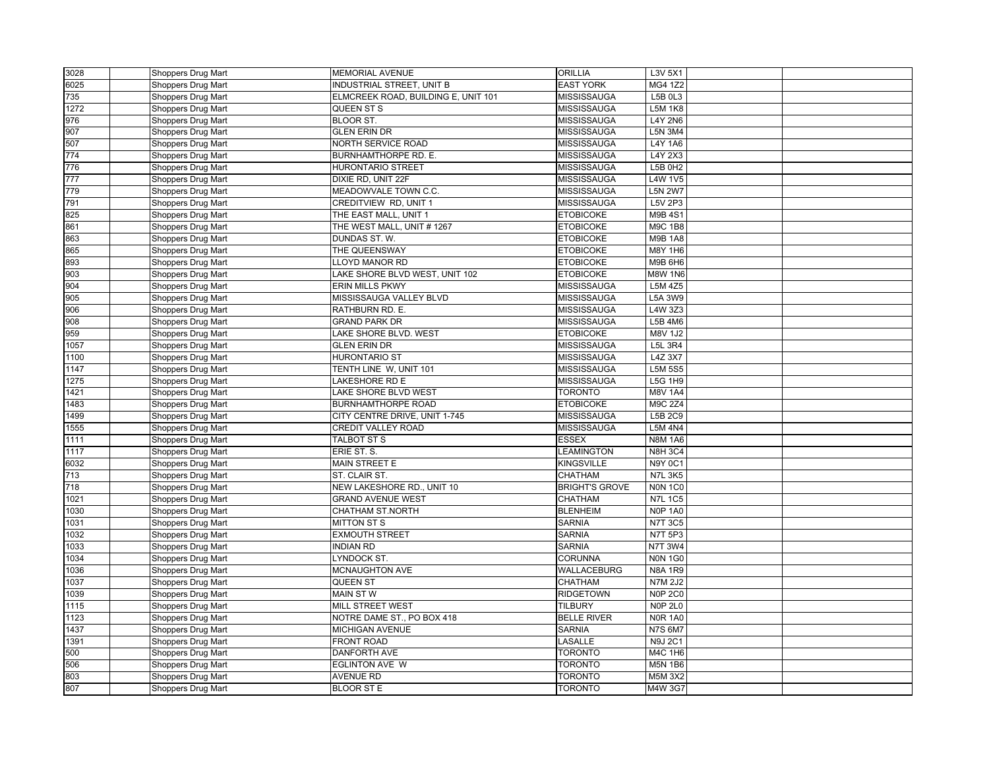| 3028 | Shoppers Drug Mart | <b>MEMORIAL AVENUE</b>              | <b>ORILLIA</b>        | L3V 5X1        |  |
|------|--------------------|-------------------------------------|-----------------------|----------------|--|
| 6025 | Shoppers Drug Mart | INDUSTRIAL STREET, UNIT B           | <b>EAST YORK</b>      | MG4 1Z2        |  |
| 735  | Shoppers Drug Mart | ELMCREEK ROAD, BUILDING E, UNIT 101 | <b>MISSISSAUGA</b>    | L5B 0L3        |  |
| 1272 | Shoppers Drug Mart | QUEEN ST S                          | MISSISSAUGA           | <b>L5M 1K8</b> |  |
| 976  | Shoppers Drug Mart | <b>BLOOR ST.</b>                    | MISSISSAUGA           | <b>L4Y 2N6</b> |  |
| 907  | Shoppers Drug Mart | <b>GLEN ERIN DR</b>                 | <b>MISSISSAUGA</b>    | <b>L5N 3M4</b> |  |
| 507  | Shoppers Drug Mart | NORTH SERVICE ROAD                  | MISSISSAUGA           | L4Y 1A6        |  |
| 774  | Shoppers Drug Mart | BURNHAMTHORPE RD. E.                | MISSISSAUGA           | L4Y 2X3        |  |
| 776  | Shoppers Drug Mart | <b>HURONTARIO STREET</b>            | MISSISSAUGA           | <b>L5B 0H2</b> |  |
| 777  | Shoppers Drug Mart | DIXIE RD, UNIT 22F                  | MISSISSAUGA           | <b>L4W 1V5</b> |  |
| 779  | Shoppers Drug Mart | MEADOWVALE TOWN C.C.                | MISSISSAUGA           | <b>L5N 2W7</b> |  |
| 791  | Shoppers Drug Mart | CREDITVIEW RD, UNIT 1               | MISSISSAUGA           | L5V 2P3        |  |
| 825  | Shoppers Drug Mart | THE EAST MALL, UNIT 1               | <b>ETOBICOKE</b>      | <b>M9B4S1</b>  |  |
| 861  | Shoppers Drug Mart | THE WEST MALL, UNIT # 1267          | <b>ETOBICOKE</b>      | <b>M9C 1B8</b> |  |
| 863  | Shoppers Drug Mart | DUNDAS ST. W.                       | <b>ETOBICOKE</b>      | <b>M9B 1A8</b> |  |
| 865  | Shoppers Drug Mart | THE QUEENSWAY                       | <b>ETOBICOKE</b>      | M8Y 1H6        |  |
| 893  | Shoppers Drug Mart | LLOYD MANOR RD                      | <b>ETOBICOKE</b>      | M9B 6H6        |  |
| 903  | Shoppers Drug Mart | LAKE SHORE BLVD WEST, UNIT 102      | <b>ETOBICOKE</b>      | <b>M8W 1N6</b> |  |
| 904  | Shoppers Drug Mart | <b>ERIN MILLS PKWY</b>              | MISSISSAUGA           | L5M 4Z5        |  |
| 905  | Shoppers Drug Mart | MISSISSAUGA VALLEY BLVD             | MISSISSAUGA           | L5A 3W9        |  |
| 906  | Shoppers Drug Mart | RATHBURN RD. E.                     | MISSISSAUGA           | L4W 3Z3        |  |
| 908  | Shoppers Drug Mart | <b>GRAND PARK DR</b>                | MISSISSAUGA           | L5B 4M6        |  |
| 959  | Shoppers Drug Mart | LAKE SHORE BLVD. WEST               | <b>ETOBICOKE</b>      | M8V 1J2        |  |
| 1057 | Shoppers Drug Mart | <b>GLEN ERIN DR</b>                 | MISSISSAUGA           | <b>L5L 3R4</b> |  |
| 1100 | Shoppers Drug Mart | <b>HURONTARIO ST</b>                | <b>MISSISSAUGA</b>    | L4Z 3X7        |  |
| 1147 | Shoppers Drug Mart | TENTH LINE W, UNIT 101              | MISSISSAUGA           | <b>L5M 5S5</b> |  |
| 1275 | Shoppers Drug Mart | LAKESHORE RD E                      | MISSISSAUGA           | L5G 1H9        |  |
| 1421 | Shoppers Drug Mart | LAKE SHORE BLVD WEST                | <b>TORONTO</b>        | <b>M8V 1A4</b> |  |
| 1483 | Shoppers Drug Mart | <b>BURNHAMTHORPE ROAD</b>           | <b>ETOBICOKE</b>      | M9C 2Z4        |  |
| 1499 | Shoppers Drug Mart | CITY CENTRE DRIVE, UNIT 1-745       | MISSISSAUGA           | L5B 2C9        |  |
| 1555 | Shoppers Drug Mart | CREDIT VALLEY ROAD                  | MISSISSAUGA           | <b>L5M 4N4</b> |  |
| 1111 |                    | TALBOT ST S                         | <b>ESSEX</b>          | <b>N8M 1A6</b> |  |
| 1117 | Shoppers Drug Mart | ERIE ST. S.                         | LEAMINGTON            | <b>N8H 3C4</b> |  |
|      | Shoppers Drug Mart |                                     |                       |                |  |
| 6032 | Shoppers Drug Mart | MAIN STREET E                       | <b>KINGSVILLE</b>     | N9Y 0C1        |  |
| 713  | Shoppers Drug Mart | ST. CLAIR ST.                       | CHATHAM               | <b>N7L 3K5</b> |  |
| 718  | Shoppers Drug Mart | NEW LAKESHORE RD., UNIT 10          | <b>BRIGHT'S GROVE</b> | <b>NON 1C0</b> |  |
| 1021 | Shoppers Drug Mart | <b>GRAND AVENUE WEST</b>            | CHATHAM               | <b>N7L 1C5</b> |  |
| 1030 | Shoppers Drug Mart | CHATHAM ST.NORTH                    | <b>BLENHEIM</b>       | <b>N0P 1A0</b> |  |
| 1031 | Shoppers Drug Mart | <b>MITTON ST S</b>                  | <b>SARNIA</b>         | <b>N7T 3C5</b> |  |
| 1032 | Shoppers Drug Mart | <b>EXMOUTH STREET</b>               | <b>SARNIA</b>         | <b>N7T 5P3</b> |  |
| 1033 | Shoppers Drug Mart | <b>INDIAN RD</b>                    | <b>SARNIA</b>         | <b>N7T 3W4</b> |  |
| 1034 | Shoppers Drug Mart | LYNDOCK ST.                         | <b>CORUNNA</b>        | <b>N0N 1G0</b> |  |
| 1036 | Shoppers Drug Mart | MCNAUGHTON AVE                      | WALLACEBURG           | <b>N8A 1R9</b> |  |
| 1037 | Shoppers Drug Mart | QUEEN ST                            | CHATHAM               | <b>N7M 2J2</b> |  |
| 1039 | Shoppers Drug Mart | <b>MAIN ST W</b>                    | <b>RIDGETOWN</b>      | <b>N0P 2C0</b> |  |
| 1115 | Shoppers Drug Mart | MILL STREET WEST                    | <b>TILBURY</b>        | <b>N0P 2L0</b> |  |
| 1123 | Shoppers Drug Mart | NOTRE DAME ST., PO BOX 418          | <b>BELLE RIVER</b>    | <b>NOR 1A0</b> |  |
| 1437 | Shoppers Drug Mart | MICHIGAN AVENUE                     | <b>SARNIA</b>         | <b>N7S 6M7</b> |  |
| 1391 | Shoppers Drug Mart | <b>FRONT ROAD</b>                   | LASALLE               | <b>N9J 2C1</b> |  |
| 500  | Shoppers Drug Mart | DANFORTH AVE                        | <b>TORONTO</b>        | M4C 1H6        |  |
| 506  | Shoppers Drug Mart | <b>EGLINTON AVE W</b>               | TORONTO               | <b>M5N 1B6</b> |  |
| 803  | Shoppers Drug Mart | <b>AVENUE RD</b>                    | <b>TORONTO</b>        | M5M 3X2        |  |
| 807  | Shoppers Drug Mart | <b>BLOOR ST E</b>                   | <b>TORONTO</b>        | M4W 3G7        |  |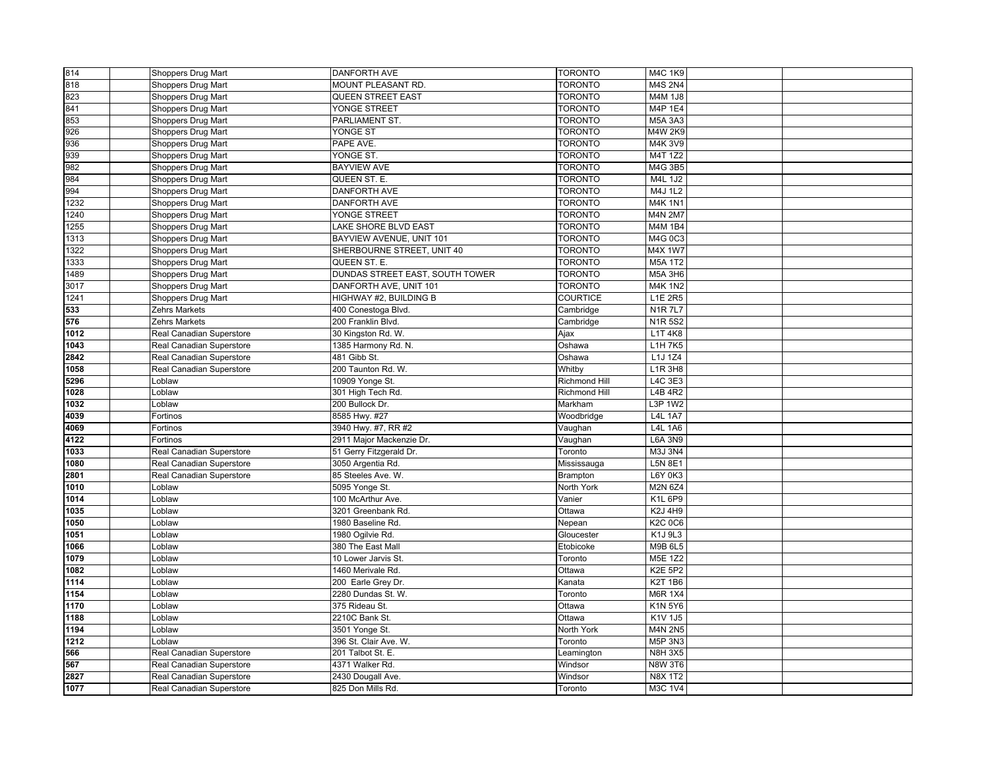| 814  | Shoppers Drug Mart       | <b>DANFORTH AVE</b>             | <b>TORONTO</b>       | M4C 1K9        |  |
|------|--------------------------|---------------------------------|----------------------|----------------|--|
| 818  | Shoppers Drug Mart       | MOUNT PLEASANT RD.              | <b>TORONTO</b>       | M4S 2N4        |  |
| 823  | Shoppers Drug Mart       | <b>QUEEN STREET EAST</b>        | <b>TORONTO</b>       | M4M 1J8        |  |
| 841  | Shoppers Drug Mart       | YONGE STREET                    | <b>TORONTO</b>       | M4P 1E4        |  |
| 853  | Shoppers Drug Mart       | PARLIAMENT ST.                  | <b>TORONTO</b>       | M5A 3A3        |  |
| 926  | Shoppers Drug Mart       | YONGE ST                        | TORONTO              | <b>M4W 2K9</b> |  |
| 936  | Shoppers Drug Mart       | PAPE AVE.                       | <b>TORONTO</b>       | M4K 3V9        |  |
| 939  | Shoppers Drug Mart       | YONGE ST.                       | <b>TORONTO</b>       | M4T 1Z2        |  |
| 982  | Shoppers Drug Mart       | <b>BAYVIEW AVE</b>              | <b>TORONTO</b>       | M4G 3B5        |  |
| 984  | Shoppers Drug Mart       | QUEEN ST. E.                    | <b>TORONTO</b>       | M4L 1J2        |  |
| 994  | Shoppers Drug Mart       | DANFORTH AVE                    | <b>TORONTO</b>       | M4J 1L2        |  |
| 1232 | Shoppers Drug Mart       | <b>DANFORTH AVE</b>             | <b>TORONTO</b>       | <b>M4K 1N1</b> |  |
| 1240 | Shoppers Drug Mart       | YONGE STREET                    | <b>TORONTO</b>       | <b>M4N 2M7</b> |  |
| 1255 | Shoppers Drug Mart       | LAKE SHORE BLVD EAST            | <b>TORONTO</b>       | M4M 1B4        |  |
| 1313 | Shoppers Drug Mart       | BAYVIEW AVENUE, UNIT 101        | <b>TORONTO</b>       | M4G 0C3        |  |
| 1322 | Shoppers Drug Mart       | SHERBOURNE STREET, UNIT 40      | <b>TORONTO</b>       | M4X 1W7        |  |
| 1333 | Shoppers Drug Mart       | QUEEN ST. E.                    | <b>TORONTO</b>       | <b>M5A 1T2</b> |  |
| 1489 | Shoppers Drug Mart       | DUNDAS STREET EAST, SOUTH TOWER | <b>TORONTO</b>       | M5A 3H6        |  |
| 3017 | Shoppers Drug Mart       | DANFORTH AVE, UNIT 101          | <b>TORONTO</b>       | <b>M4K 1N2</b> |  |
| 1241 | Shoppers Drug Mart       | HIGHWAY #2, BUILDING B          | <b>COURTICE</b>      | L1E 2R5        |  |
| 533  | Zehrs Markets            | 400 Conestoga Blvd.             | Cambridge            | <b>N1R7L7</b>  |  |
| 576  | <b>Zehrs Markets</b>     | 200 Franklin Blvd.              | Cambridge            | <b>N1R5S2</b>  |  |
| 1012 | Real Canadian Superstore | 30 Kingston Rd. W.              | Ajax                 | L1T 4K8        |  |
| 1043 | Real Canadian Superstore | 1385 Harmony Rd. N.             | Oshawa               | L1H 7K5        |  |
| 2842 | Real Canadian Superstore | 481 Gibb St.                    | Oshawa               | L1J 1Z4        |  |
| 1058 | Real Canadian Superstore | 200 Taunton Rd. W.              | Whitby               | L1R 3H8        |  |
| 5296 | Loblaw                   | 10909 Yonge St.                 | <b>Richmond Hill</b> | L4C 3E3        |  |
| 1028 | Loblaw                   | 301 High Tech Rd.               | <b>Richmond Hill</b> | L4B 4R2        |  |
| 1032 | Loblaw                   | 200 Bullock Dr.                 | Markham              | L3P 1W2        |  |
| 4039 | Fortinos                 | 8585 Hwy. #27                   | Woodbridge           | <b>L4L 1A7</b> |  |
| 4069 | Fortinos                 | 3940 Hwy. #7, RR #2             | Vaughan              | <b>L4L 1A6</b> |  |
| 4122 | Fortinos                 | 2911 Major Mackenzie Dr.        | Vaughan              | <b>L6A 3N9</b> |  |
| 1033 | Real Canadian Superstore | 51 Gerry Fitzgerald Dr.         | Toronto              | M3J 3N4        |  |
| 1080 | Real Canadian Superstore | 3050 Argentia Rd.               | Mississauga          | L5N 8E1        |  |
| 2801 | Real Canadian Superstore | 85 Steeles Ave. W.              | <b>Brampton</b>      | L6Y 0K3        |  |
| 1010 | Loblaw                   | 5095 Yonge St.                  | North York           | M2N 6Z4        |  |
| 1014 | Loblaw                   | 100 McArthur Ave.               | Vanier               | K1L 6P9        |  |
| 1035 | Loblaw                   | 3201 Greenbank Rd.              | Ottawa               | <b>K2J 4H9</b> |  |
| 1050 | Loblaw                   | 1980 Baseline Rd.               | Nepean               | K2C 0C6        |  |
| 1051 | Loblaw                   | 1980 Ogilvie Rd.                | Gloucester           | K1J 9L3        |  |
| 1066 | Loblaw                   | 380 The East Mall               | Etobicoke            | <b>M9B 6L5</b> |  |
| 1079 | Loblaw                   | 10 Lower Jarvis St.             | Toronto              | M5E 1Z2        |  |
| 1082 | Loblaw                   | 1460 Merivale Rd.               | Ottawa               | <b>K2E 5P2</b> |  |
| 1114 | Loblaw                   | 200 Earle Grey Dr.              | Kanata               | <b>K2T 1B6</b> |  |
| 1154 | Loblaw                   | 2280 Dundas St. W.              | Toronto              | <b>M6R 1X4</b> |  |
| 1170 | Loblaw                   | 375 Rideau St.                  | Ottawa               | K1N 5Y6        |  |
| 1188 | Loblaw                   | 2210C Bank St.                  | Ottawa               | K1V 1J5        |  |
| 1194 | Loblaw                   | 3501 Yonge St.                  | North York           | <b>M4N 2N5</b> |  |
| 1212 | Loblaw                   | 396 St. Clair Ave. W.           | Toronto              | M5P 3N3        |  |
| 566  | Real Canadian Superstore | 201 Talbot St. E.               | Leamington           | <b>N8H 3X5</b> |  |
| 567  | Real Canadian Superstore | 4371 Walker Rd.                 | Windsor              | <b>N8W 3T6</b> |  |
| 2827 | Real Canadian Superstore | 2430 Dougall Ave.               | Windsor              | <b>N8X 1T2</b> |  |
| 1077 | Real Canadian Superstore | 825 Don Mills Rd.               | Toronto              | M3C 1V4        |  |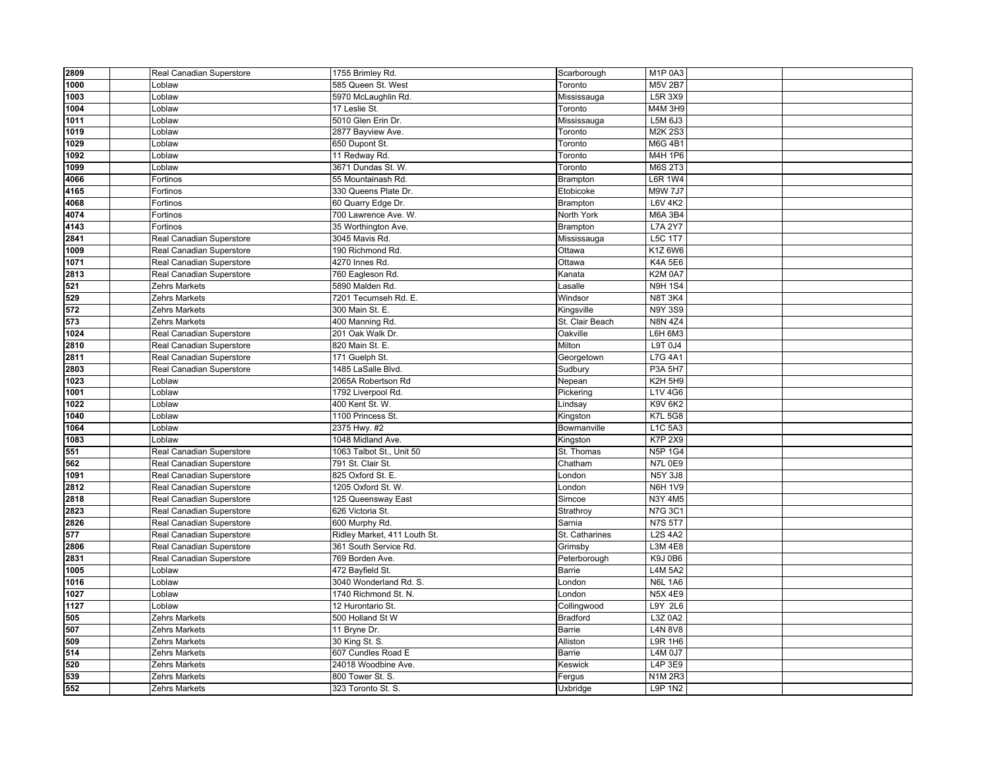| 2809 | Real Canadian Superstore | 1755 Brimley Rd.             | Scarborough     | M <sub>1</sub> P <sub>0A3</sub> |  |
|------|--------------------------|------------------------------|-----------------|---------------------------------|--|
| 1000 | Loblaw                   | 585 Queen St. West           | Toronto         | M5V 2B7                         |  |
| 1003 | Loblaw                   | 5970 McLaughlin Rd.          | Mississauga     | L5R 3X9                         |  |
| 1004 | Loblaw                   | 17 Leslie St.                | Toronto         | M4M 3H9                         |  |
| 1011 | Loblaw                   | 5010 Glen Erin Dr.           | Mississauga     | L5M 6J3                         |  |
| 1019 | Loblaw                   | 2877 Bayview Ave.            | Toronto         | <b>M2K 2S3</b>                  |  |
| 1029 | Loblaw                   | 650 Dupont St.               | Toronto         | <b>M6G 4B1</b>                  |  |
| 1092 | Loblaw                   | 11 Redway Rd.                | Toronto         | M4H 1P6                         |  |
| 1099 | Loblaw                   | 3671 Dundas St. W.           | Toronto         | <b>M6S 2T3</b>                  |  |
| 4066 | Fortinos                 | 55 Mountainash Rd            | Brampton        | L6R 1W4                         |  |
| 4165 | Fortinos                 | 330 Queens Plate Dr.         | Etobicoke       | <b>M9W 7J7</b>                  |  |
| 4068 | Fortinos                 | 60 Quarry Edge Dr.           | Brampton        | <b>L6V 4K2</b>                  |  |
| 4074 | Fortinos                 | 700 Lawrence Ave. W.         | North York      | <b>M6A 3B4</b>                  |  |
| 4143 | Fortinos                 | 35 Worthington Ave.          | Brampton        | <b>L7A 2Y7</b>                  |  |
| 2841 | Real Canadian Superstore | 3045 Mavis Rd.               | Mississauga     | <b>L5C 1T7</b>                  |  |
| 1009 | Real Canadian Superstore | 190 Richmond Rd.             | Ottawa          | K1Z 6W6                         |  |
| 1071 | Real Canadian Superstore | 4270 Innes Rd.               | Ottawa          | <b>K4A 5E6</b>                  |  |
| 2813 | Real Canadian Superstore | 760 Eagleson Rd.             | Kanata          | <b>K2M 0A7</b>                  |  |
| 521  | <b>Zehrs Markets</b>     | 5890 Malden Rd.              | Lasalle         | <b>N9H 1S4</b>                  |  |
| 529  | Zehrs Markets            | 7201 Tecumseh Rd. E.         | Windsor         | <b>N8T 3K4</b>                  |  |
| 572  | Zehrs Markets            | 300 Main St. E.              | Kingsville      | <b>N9Y 3S9</b>                  |  |
| 573  | <b>Zehrs Markets</b>     | 400 Manning Rd               | St. Clair Beach | <b>N8N 4Z4</b>                  |  |
| 1024 | Real Canadian Superstore | 201 Oak Walk Dr.             | Oakville        | L6H 6M3                         |  |
| 2810 | Real Canadian Superstore | 820 Main St. E.              | Milton          | L9T 0J4                         |  |
| 2811 | Real Canadian Superstore | 171 Guelph St.               | Georgetown      | <b>L7G 4A1</b>                  |  |
| 2803 | Real Canadian Superstore | 1485 LaSalle Blvd.           | Sudbury         | <b>P3A 5H7</b>                  |  |
| 1023 | Loblaw                   | 2065A Robertson Rd           | Nepean          | <b>K2H 5H9</b>                  |  |
| 1001 | Loblaw                   | 1792 Liverpool Rd.           | Pickering       | L1V 4G6                         |  |
| 1022 | Loblaw                   | 400 Kent St. W.              | Lindsay         | <b>K9V 6K2</b>                  |  |
| 1040 | Loblaw                   | 1100 Princess St.            | Kingston        | <b>K7L 5G8</b>                  |  |
| 1064 | Loblaw                   | 2375 Hwy. #2                 | Bowmanville     | L1C 5A3                         |  |
| 1083 | Loblaw                   | 1048 Midland Ave.            | Kingston        | <b>K7P 2X9</b>                  |  |
| 551  | Real Canadian Superstore | 1063 Talbot St., Unit 50     | St. Thomas      | <b>N5P 1G4</b>                  |  |
| 562  | Real Canadian Superstore | 791 St. Clair St.            | Chatham         | <b>N7L 0E9</b>                  |  |
| 1091 | Real Canadian Superstore | 825 Oxford St. E.            | London          | <b>N5Y 3J8</b>                  |  |
| 2812 | Real Canadian Superstore | 1205 Oxford St. W.           | London          | <b>N6H 1V9</b>                  |  |
| 2818 | Real Canadian Superstore | 125 Queensway East           | Simcoe          | N3Y 4M5                         |  |
| 2823 | Real Canadian Superstore | 626 Victoria St.             | Strathroy       | <b>N7G 3C1</b>                  |  |
| 2826 | Real Canadian Superstore | 600 Murphy Rd.               | Sarnia          | <b>N7S 5T7</b>                  |  |
| 577  | Real Canadian Superstore | Ridley Market, 411 Louth St. | St. Catharines  | <b>L2S 4A2</b>                  |  |
| 2806 | Real Canadian Superstore | 361 South Service Rd.        | Grimsby         | L3M 4E8                         |  |
| 2831 | Real Canadian Superstore | 769 Borden Ave.              | Peterborough    | K9J 0B6                         |  |
| 1005 | Loblaw                   | 472 Bayfield St.             | Barrie          | <b>L4M 5A2</b>                  |  |
| 1016 | Loblaw                   | 3040 Wonderland Rd. S.       | London          | <b>N6L 1A6</b>                  |  |
| 1027 | Loblaw                   | 1740 Richmond St. N.         | London          | <b>N5X 4E9</b>                  |  |
| 1127 | Loblaw                   | 12 Hurontario St.            | Collingwood     | L9Y 2L6                         |  |
| 505  | Zehrs Markets            | 500 Holland St W             | <b>Bradford</b> | L3Z 0A2                         |  |
| 507  | <b>Zehrs Markets</b>     | 11 Bryne Dr.                 | Barrie          | <b>L4N 8V8</b>                  |  |
| 509  | Zehrs Markets            | 30 King St. S.               | Alliston        | <b>L9R 1H6</b>                  |  |
| 514  | Zehrs Markets            | 607 Cundles Road E           | Barrie          | <b>L4M 0J7</b>                  |  |
| 520  | Zehrs Markets            | 24018 Woodbine Ave.          | Keswick         | L4P 3E9                         |  |
| 539  | <b>Zehrs Markets</b>     | 800 Tower St. S.             | Fergus          | <b>N1M2R3</b>                   |  |
| 552  | <b>Zehrs Markets</b>     | 323 Toronto St. S.           | Uxbridge        | <b>L9P 1N2</b>                  |  |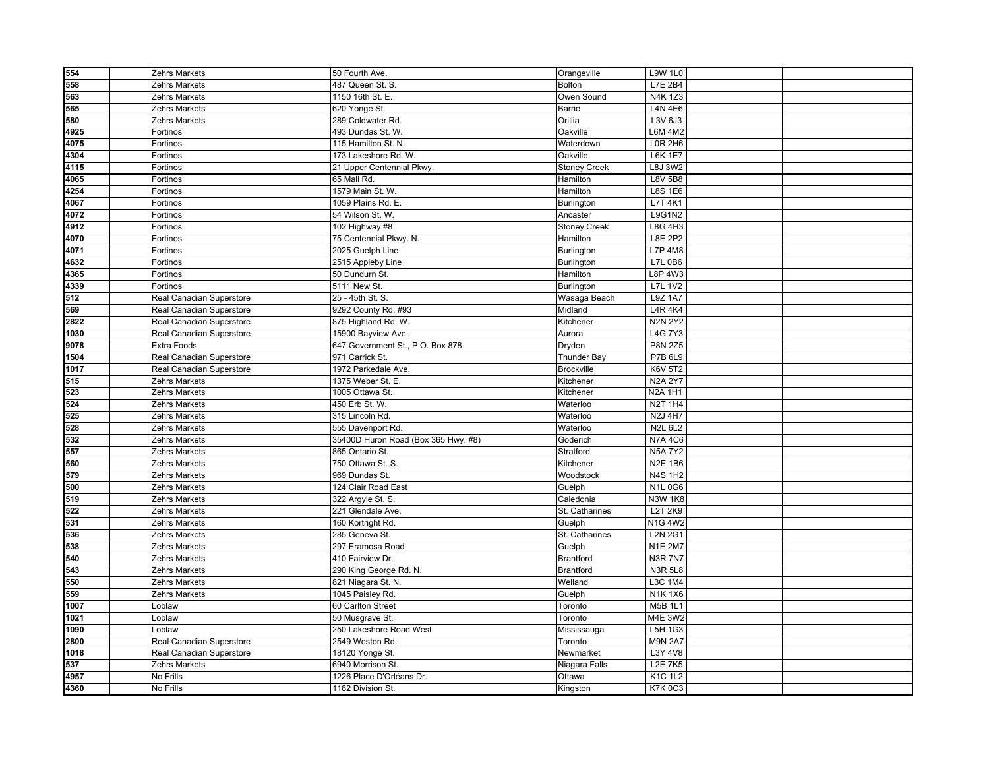| 554  | Zehrs Markets            | 50 Fourth Ave.                      | Orangeville         | <b>L9W 1L0</b> |  |
|------|--------------------------|-------------------------------------|---------------------|----------------|--|
| 558  | Zehrs Markets            | 487 Queen St. S.                    | Bolton              | L7E 2B4        |  |
| 563  | Zehrs Markets            | 1150 16th St. E.                    | Owen Sound          | N4K 1Z3        |  |
| 565  | Zehrs Markets            | 620 Yonge St.                       | Barrie              | <b>L4N 4E6</b> |  |
| 580  | Zehrs Markets            | 289 Coldwater Rd.                   | Orillia             | L3V 6J3        |  |
| 4925 | Fortinos                 | 493 Dundas St. W.                   | Oakville            | L6M 4M2        |  |
| 4075 | Fortinos                 | 115 Hamilton St. N.                 | Waterdown           | <b>LOR 2H6</b> |  |
| 4304 | Fortinos                 | 173 Lakeshore Rd. W.                | Oakville            | <b>L6K 1E7</b> |  |
| 4115 | Fortinos                 | 21 Upper Centennial Pkwy.           | <b>Stoney Creek</b> | <b>L8J 3W2</b> |  |
| 4065 | Fortinos                 | 65 Mall Rd.                         | Hamilton            | <b>L8V 5B8</b> |  |
| 4254 | Fortinos                 | 1579 Main St. W.                    | Hamilton            | <b>L8S 1E6</b> |  |
| 4067 | Fortinos                 | 1059 Plains Rd. E.                  | Burlington          | L7T 4K1        |  |
| 4072 | Fortinos                 | 54 Wilson St. W.                    | Ancaster            | <b>L9G1N2</b>  |  |
| 4912 | Fortinos                 | 102 Highway #8                      | <b>Stoney Creek</b> | L8G 4H3        |  |
| 4070 | Fortinos                 | 75 Centennial Pkwy. N.              | Hamilton            | <b>L8E 2P2</b> |  |
| 4071 | Fortinos                 | 2025 Guelph Line                    | Burlington          | <b>L7P 4M8</b> |  |
| 4632 | Fortinos                 | 2515 Appleby Line                   | Burlington          | L7L 0B6        |  |
| 4365 | Fortinos                 | 50 Dundurn St.                      | Hamilton            | L8P 4W3        |  |
| 4339 | Fortinos                 | 5111 New St.                        | Burlington          | <b>L7L 1V2</b> |  |
| 512  | Real Canadian Superstore | 25 - 45th St. S.                    | Wasaga Beach        | <b>L9Z 1A7</b> |  |
| 569  | Real Canadian Superstore | 9292 County Rd. #93                 | Midland             | <b>L4R 4K4</b> |  |
| 2822 | Real Canadian Superstore | 875 Highland Rd. W.                 | Kitchener           | <b>N2N 2Y2</b> |  |
| 1030 | Real Canadian Superstore | 15900 Bayview Ave.                  | Aurora              | <b>L4G 7Y3</b> |  |
| 9078 | Extra Foods              | 647 Government St., P.O. Box 878    | Dryden              | <b>P8N 2Z5</b> |  |
| 1504 | Real Canadian Superstore | 971 Carrick St.                     | Thunder Bay         | P7B 6L9        |  |
| 1017 | Real Canadian Superstore | 1972 Parkedale Ave.                 | <b>Brockville</b>   | <b>K6V 5T2</b> |  |
| 515  | Zehrs Markets            | 1375 Weber St. E.                   | Kitchener           | <b>N2A 2Y7</b> |  |
| 523  | Zehrs Markets            | 1005 Ottawa St.                     | Kitchener           | <b>N2A 1H1</b> |  |
| 524  | Zehrs Markets            | 450 Erb St. W.                      | Waterloo            | <b>N2T 1H4</b> |  |
| 525  | Zehrs Markets            | 315 Lincoln Rd.                     | Waterloo            | <b>N2J 4H7</b> |  |
| 528  | Zehrs Markets            | 555 Davenport Rd.                   | Waterloo            | <b>N2L 6L2</b> |  |
| 532  | Zehrs Markets            | 35400D Huron Road (Box 365 Hwy. #8) | Goderich            | <b>N7A4C6</b>  |  |
| 557  | Zehrs Markets            | 865 Ontario St.                     | Stratford           | <b>N5A 7Y2</b> |  |
| 560  | Zehrs Markets            | 750 Ottawa St. S.                   | Kitchener           | <b>N2E 1B6</b> |  |
| 579  | Zehrs Markets            | 969 Dundas St.                      | Woodstock           | <b>N4S 1H2</b> |  |
| 500  | Zehrs Markets            | 124 Clair Road East                 | Guelph              | <b>N1L0G6</b>  |  |
| 519  | Zehrs Markets            | 322 Argyle St. S.                   | Caledonia           | <b>N3W 1K8</b> |  |
| 522  | Zehrs Markets            | 221 Glendale Ave.                   | St. Catharines      | L2T 2K9        |  |
| 531  | Zehrs Markets            | 160 Kortright Rd.                   | Guelph              | N1G 4W2        |  |
| 536  | Zehrs Markets            | 285 Geneva St.                      | St. Catharines      | <b>L2N 2G1</b> |  |
| 538  | Zehrs Markets            | 297 Eramosa Road                    | Guelph              | <b>N1E 2M7</b> |  |
| 540  | Zehrs Markets            | 410 Fairview Dr.                    | <b>Brantford</b>    | <b>N3R 7N7</b> |  |
| 543  | Zehrs Markets            | 290 King George Rd. N.              | <b>Brantford</b>    | <b>N3R 5L8</b> |  |
| 550  | Zehrs Markets            | 821 Niagara St. N                   | Welland             | <b>L3C 1M4</b> |  |
| 559  | Zehrs Markets            | 1045 Paisley Rd.                    | Guelph              | <b>N1K1X6</b>  |  |
| 1007 | Loblaw                   | 60 Carlton Street                   | Toronto             | <b>M5B 1L1</b> |  |
| 1021 | Loblaw                   | 50 Musgrave St.                     | Toronto             | M4E 3W2        |  |
| 1090 | Loblaw                   | 250 Lakeshore Road West             | Mississauga         | L5H 1G3        |  |
| 2800 | Real Canadian Superstore | 2549 Weston Rd.                     | Toronto             | <b>M9N 2A7</b> |  |
| 1018 | Real Canadian Superstore | 18120 Yonge St.                     | Newmarket           | L3Y 4V8        |  |
| 537  | Zehrs Markets            | 6940 Morrison St.                   | Niagara Falls       | <b>L2E 7K5</b> |  |
| 4957 | No Frills                | 1226 Place D'Orléans Dr.            | Ottawa              | <b>K1C 1L2</b> |  |
| 4360 | No Frills                | 1162 Division St.                   | Kingston            | <b>K7K0C3</b>  |  |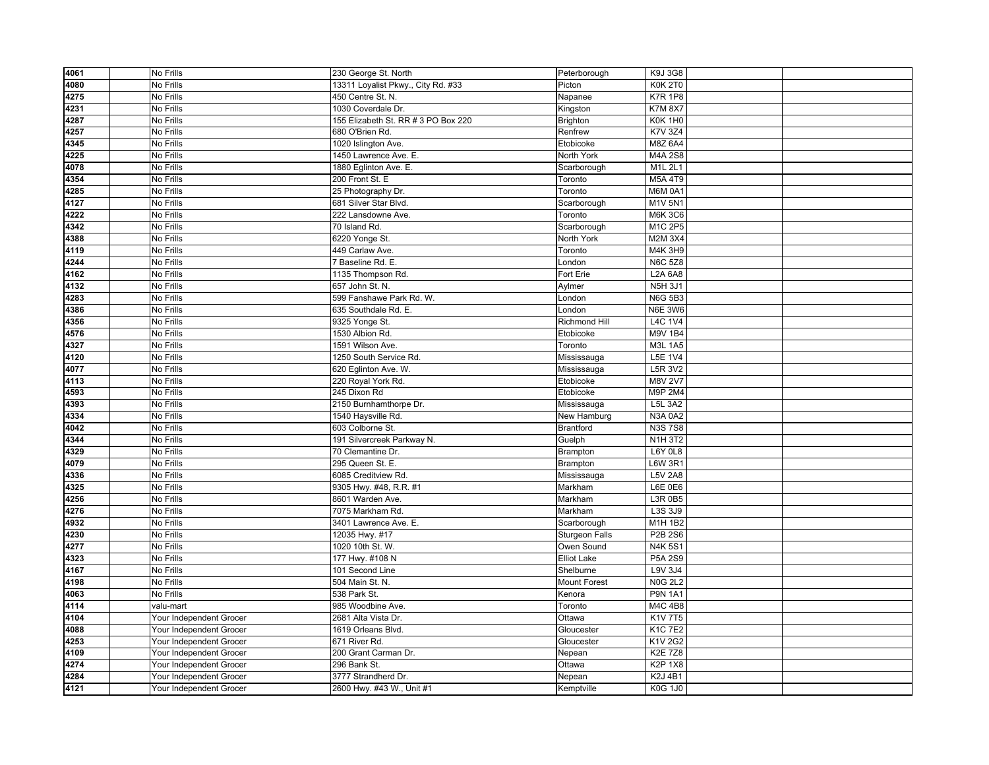| 4061 | No Frills               | 230 George St. North                | Peterborough          | K9J 3G8             |  |
|------|-------------------------|-------------------------------------|-----------------------|---------------------|--|
| 4080 | No Frills               | 13311 Loyalist Pkwy., City Rd. #33  | Picton                | <b>K0K 2T0</b>      |  |
| 4275 | No Frills               | 450 Centre St. N.                   | Napanee               | <b>K7R 1P8</b>      |  |
| 4231 | No Frills               | 1030 Coverdale Dr.                  | Kingston              | <b>K7M 8X7</b>      |  |
| 4287 | No Frills               | 155 Elizabeth St. RR # 3 PO Box 220 | Brighton              | KOK 1H <sub>0</sub> |  |
| 4257 | No Frills               | 680 O'Brien Rd.                     | Renfrew               | <b>K7V 3Z4</b>      |  |
| 4345 | No Frills               | 1020 Islington Ave.                 | Etobicoke             | M8Z 6A4             |  |
| 4225 | No Frills               | 1450 Lawrence Ave. E.               | North York            | M4A 2S8             |  |
| 4078 | No Frills               | 1880 Eglinton Ave. E.               | Scarborough           | M1L 2L1             |  |
| 4354 | No Frills               | 200 Front St. E                     | Toronto               | <b>M5A 4T9</b>      |  |
| 4285 | No Frills               | 25 Photography Dr.                  | Toronto               | <b>M6M 0A1</b>      |  |
| 4127 | No Frills               | 681 Silver Star Blvd.               | Scarborough           | M1V 5N1             |  |
| 4222 | No Frills               | 222 Lansdowne Ave.                  | Toronto               | <b>M6K 3C6</b>      |  |
| 4342 | No Frills               | 70 Island Rd.                       | Scarborough           | M1C 2P5             |  |
| 4388 | No Frills               | 6220 Yonge St.                      | North York            | M2M 3X4             |  |
| 4119 | No Frills               | 449 Carlaw Ave.                     | Toronto               | M4K 3H9             |  |
| 4244 | No Frills               | 7 Baseline Rd. E.                   | London                | <b>N6C 5Z8</b>      |  |
| 4162 | No Frills               | 1135 Thompson Rd.                   | Fort Erie             | L2A 6A8             |  |
| 4132 | No Frills               | 657 John St. N.                     | Aylmer                | <b>N5H 3J1</b>      |  |
| 4283 | No Frills               | 599 Fanshawe Park Rd. W.            | London                | <b>N6G 5B3</b>      |  |
| 4386 | No Frills               | 635 Southdale Rd. E.                | London                | <b>N6E 3W6</b>      |  |
| 4356 | No Frills               | 9325 Yonge St.                      | <b>Richmond Hill</b>  | <b>L4C 1V4</b>      |  |
| 4576 | No Frills               | 1530 Albion Rd.                     | Etobicoke             | <b>M9V 1B4</b>      |  |
| 4327 | No Frills               | 1591 Wilson Ave.                    | Toronto               | M3L 1A5             |  |
| 4120 | No Frills               | 1250 South Service Rd.              | Mississauga           | L5E 1V4             |  |
| 4077 | No Frills               | 620 Eglinton Ave. W.                | Mississauga           | L5R 3V2             |  |
| 4113 | No Frills               | 220 Royal York Rd.                  | Etobicoke             | <b>M8V 2V7</b>      |  |
| 4593 | No Frills               | 245 Dixon Rd                        | Etobicoke             | M9P 2M4             |  |
| 4393 | No Frills               | 2150 Burnhamthorpe Dr.              | Mississauga           | L5L 3A2             |  |
| 4334 | No Frills               | 1540 Haysville Rd.                  | New Hamburg           | <b>N3A 0A2</b>      |  |
| 4042 | No Frills               | 603 Colborne St.                    | <b>Brantford</b>      | <b>N3S7S8</b>       |  |
| 4344 | No Frills               | 191 Silvercreek Parkway N.          | Guelph                | <b>N1H3T2</b>       |  |
| 4329 | No Frills               | 70 Clemantine Dr.                   | Brampton              | L6Y 0L8             |  |
| 4079 | No Frills               | 295 Queen St. E.                    | Brampton              | L6W 3R1             |  |
| 4336 | No Frills               | 6085 Creditview Rd.                 | Mississauga           | <b>L5V 2A8</b>      |  |
| 4325 | No Frills               | 9305 Hwy. #48, R.R. #1              | Markham               | L6E 0E6             |  |
| 4256 | No Frills               | 8601 Warden Ave.                    | Markham               | L3R 0B5             |  |
| 4276 | No Frills               | 7075 Markham Rd.                    | Markham               | L3S 3J9             |  |
| 4932 | No Frills               | 3401 Lawrence Ave. E.               | Scarborough           | M1H 1B2             |  |
| 4230 | No Frills               | 12035 Hwy. #17                      | <b>Sturgeon Falls</b> | P2B 2S6             |  |
| 4277 | No Frills               | 1020 10th St. W.                    | Owen Sound            | <b>N4K5S1</b>       |  |
| 4323 | No Frills               | 177 Hwy. #108 N                     | <b>Elliot Lake</b>    | P5A 2S9             |  |
| 4167 | No Frills               | 101 Second Line                     | Shelburne             | L9V 3J4             |  |
| 4198 | No Frills               | 504 Main St. N.                     | <b>Mount Forest</b>   | <b>N0G 2L2</b>      |  |
| 4063 | No Frills               | 538 Park St.                        | Kenora                | <b>P9N 1A1</b>      |  |
| 4114 | valu-mart               | 985 Woodbine Ave.                   | Toronto               | M4C 4B8             |  |
| 4104 | Your Independent Grocer | 2681 Alta Vista Dr.                 | Ottawa                | K1V 7T5             |  |
| 4088 | Your Independent Grocer | 1619 Orleans Blvd.                  | Gloucester            | <b>K1C7E2</b>       |  |
| 4253 | Your Independent Grocer | 671 River Rd.                       | Gloucester            | K1V 2G2             |  |
| 4109 | Your Independent Grocer | 200 Grant Carman Dr.                | Nepean                | <b>K2E 7Z8</b>      |  |
| 4274 | Your Independent Grocer | 296 Bank St.                        | Ottawa                | <b>K2P 1X8</b>      |  |
| 4284 | Your Independent Grocer | 3777 Strandherd Dr.                 | Nepean                | <b>K2J 4B1</b>      |  |
| 4121 | Your Independent Grocer | 2600 Hwy. #43 W., Unit #1           | Kemptville            | <b>K0G 1J0</b>      |  |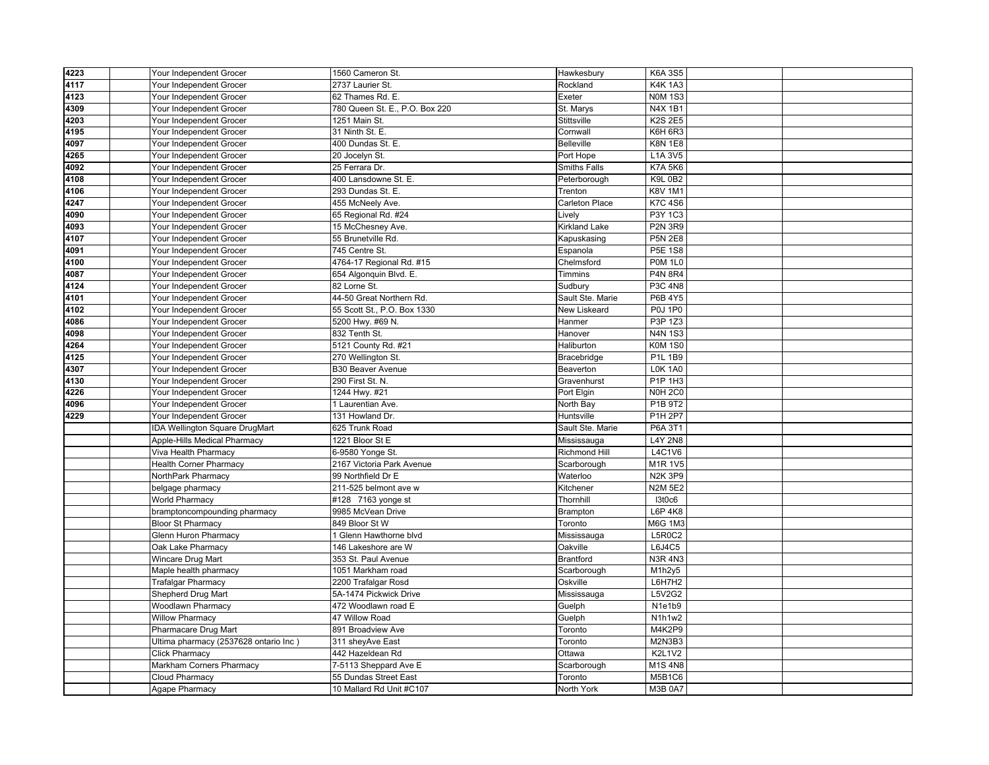| 4223 | Your Independent Grocer               | 1560 Cameron St.               | Hawkesbury           | <b>K6A 3S5</b> |  |
|------|---------------------------------------|--------------------------------|----------------------|----------------|--|
| 4117 | Your Independent Grocer               | 2737 Laurier St.               | Rockland             | <b>K4K1A3</b>  |  |
| 4123 | Your Independent Grocer               | 62 Thames Rd. E.               | Exeter               | <b>N0M 1S3</b> |  |
| 4309 | Your Independent Grocer               | 780 Queen St. E., P.O. Box 220 | St. Marys            | <b>N4X 1B1</b> |  |
| 4203 | Your Independent Grocer               | 1251 Main St.                  | Stittsville          | <b>K2S 2E5</b> |  |
| 4195 | Your Independent Grocer               | 31 Ninth St. E.                | Cornwall             | K6H6R3         |  |
| 4097 | Your Independent Grocer               | 400 Dundas St. E.              | <b>Belleville</b>    | <b>K8N 1E8</b> |  |
| 4265 | Your Independent Grocer               | 20 Jocelyn St.                 | Port Hope            | L1A 3V5        |  |
| 4092 | Your Independent Grocer               | 25 Ferrara Dr.                 | <b>Smiths Falls</b>  | <b>K7A 5K6</b> |  |
| 4108 | Your Independent Grocer               | 400 Lansdowne St. E.           | Peterborough         | <b>K9L 0B2</b> |  |
| 4106 | Your Independent Grocer               | 293 Dundas St. E.              | Trenton              | <b>K8V 1M1</b> |  |
| 4247 | Your Independent Grocer               | 455 McNeely Ave.               | Carleton Place       | <b>K7C 4S6</b> |  |
| 4090 | Your Independent Grocer               | 65 Regional Rd. #24            | Lively               | P3Y 1C3        |  |
| 4093 | Your Independent Grocer               | 15 McChesney Ave.              | <b>Kirkland Lake</b> | <b>P2N 3R9</b> |  |
| 4107 | Your Independent Grocer               | 55 Brunetville Rd.             | Kapuskasing          | <b>P5N 2E8</b> |  |
| 4091 | Your Independent Grocer               | 745 Centre St.                 | Espanola             | <b>P5E 1S8</b> |  |
| 4100 | Your Independent Grocer               | 4764-17 Regional Rd. #15       | Chelmsford           | <b>P0M 1L0</b> |  |
| 4087 | Your Independent Grocer               | 654 Algonquin Blvd. E.         | Timmins              | <b>P4N 8R4</b> |  |
| 4124 | Your Independent Grocer               | 82 Lorne St.                   | Sudbury              | <b>P3C 4N8</b> |  |
| 4101 | Your Independent Grocer               | 44-50 Great Northern Rd.       | Sault Ste. Marie     | P6B 4Y5        |  |
| 4102 | Your Independent Grocer               | 55 Scott St., P.O. Box 1330    | <b>New Liskeard</b>  | <b>P0J 1P0</b> |  |
| 4086 | Your Independent Grocer               | 5200 Hwy. #69 N.               | Hanmer               | P3P 1Z3        |  |
| 4098 | Your Independent Grocer               | 832 Tenth St.                  | Hanover              | <b>N4N 1S3</b> |  |
| 4264 | Your Independent Grocer               | 5121 County Rd. #21            | Haliburton           | <b>K0M1S0</b>  |  |
| 4125 | Your Independent Grocer               | 270 Wellington St.             | Bracebridge          | P1L 1B9        |  |
| 4307 | Your Independent Grocer               | <b>B30 Beaver Avenue</b>       | Beaverton            | <b>LOK 1A0</b> |  |
| 4130 | Your Independent Grocer               | 290 First St. N.               | Gravenhurst          | P1P 1H3        |  |
| 4226 | Your Independent Grocer               | 1244 Hwy. #21                  | Port Elgin           | <b>N0H 2C0</b> |  |
| 4096 | Your Independent Grocer               | 1 Laurentian Ave.              | North Bay            | P1B 9T2        |  |
| 4229 | Your Independent Grocer               | 131 Howland Dr.                | Huntsville           | P1H 2P7        |  |
|      | IDA Wellington Square DrugMart        | 625 Trunk Road                 | Sault Ste. Marie     | P6A 3T1        |  |
|      | Apple-Hills Medical Pharmacy          | 1221 Bloor St E                | Mississauga          | <b>L4Y 2N8</b> |  |
|      | Viva Health Pharmacy                  | 6-9580 Yonge St.               | <b>Richmond Hill</b> | L4C1V6         |  |
|      | <b>Health Corner Pharmacy</b>         | 2167 Victoria Park Avenue      | Scarborough          | M1R 1V5        |  |
|      | NorthPark Pharmacy                    | 99 Northfield Dr E             | Waterloo             | <b>N2K 3P9</b> |  |
|      | belgage pharmacy                      | 211-525 belmont ave w          | Kitchener            | <b>N2M 5E2</b> |  |
|      | <b>World Pharmacy</b>                 | #128 7163 yonge st             | Thornhill            | I3t0c6         |  |
|      | bramptoncompounding pharmacy          | 9985 McVean Drive              | Brampton             | $L6P$ 4K8      |  |
|      | <b>Bloor St Pharmacy</b>              | 849 Bloor St W                 | Toronto              | M6G 1M3        |  |
|      | <b>Glenn Huron Pharmacy</b>           | 1 Glenn Hawthorne blyd         | Mississauga          | <b>L5R0C2</b>  |  |
|      | Oak Lake Pharmacy                     | 146 Lakeshore are W            | Oakville             | L6J4C5         |  |
|      | Wincare Drug Mart                     | 353 St. Paul Avenue            | <b>Brantford</b>     | <b>N3R 4N3</b> |  |
|      | Maple health pharmacy                 | 1051 Markham road              | Scarborough          | M1h2y5         |  |
|      | <b>Trafalgar Pharmacy</b>             | 2200 Trafalgar Rosd            | Oskville             | L6H7H2         |  |
|      | Shepherd Drug Mart                    | 5A-1474 Pickwick Drive         | Mississauga          | L5V2G2         |  |
|      | Woodlawn Pharmacy                     | 472 Woodlawn road E            | Guelph               | N1e1b9         |  |
|      | <b>Willow Pharmacy</b>                | 47 Willow Road                 | Guelph               | N1h1w2         |  |
|      | Pharmacare Drug Mart                  | 891 Broadview Ave              | Toronto              | M4K2P9         |  |
|      | Ultima pharmacy (2537628 ontario Inc) | 311 sheyAve East               | Toronto              | M2N3B3         |  |
|      | <b>Click Pharmacy</b>                 | 442 Hazeldean Rd               | Ottawa               | <b>K2L1V2</b>  |  |
|      | Markham Corners Pharmacy              | 7-5113 Sheppard Ave E          | Scarborough          | M1S4N8         |  |
|      | Cloud Pharmacy                        | 55 Dundas Street East          | Toronto              | M5B1C6         |  |
|      | Agape Pharmacy                        | 10 Mallard Rd Unit #C107       | North York           | <b>M3B 0A7</b> |  |
|      |                                       |                                |                      |                |  |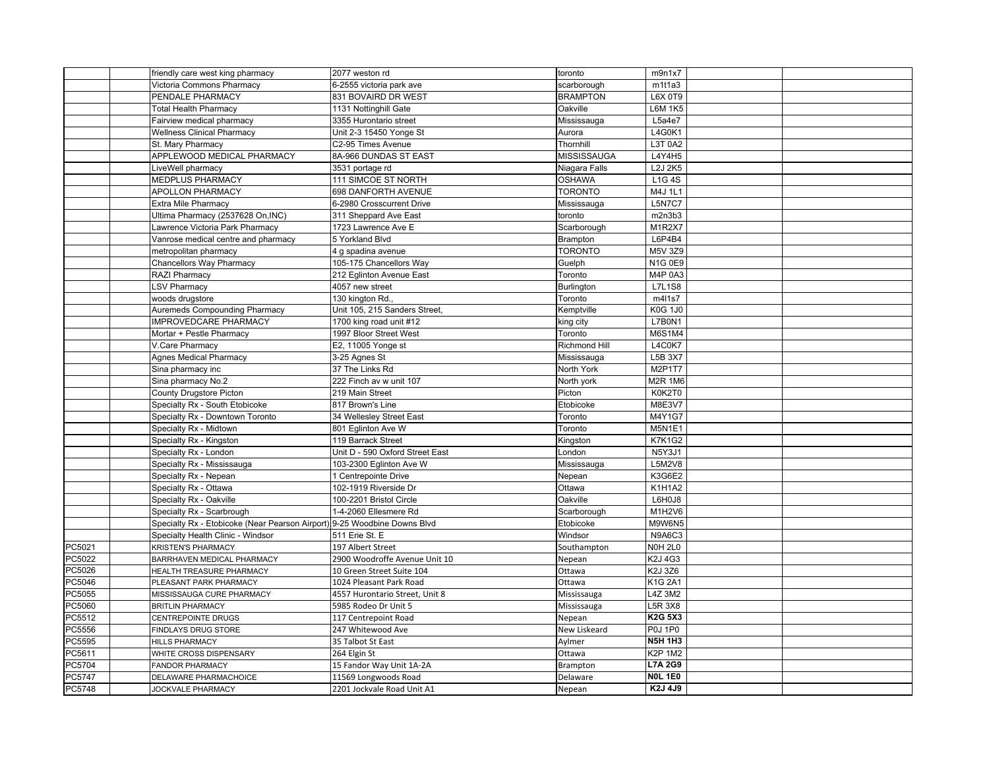|        | friendly care west king pharmacy                                         | 2077 weston rd                                   | toronto         | m9n1x7                  |  |
|--------|--------------------------------------------------------------------------|--------------------------------------------------|-----------------|-------------------------|--|
|        | Victoria Commons Pharmacy                                                | 6-2555 victoria park ave                         | scarborough     | m1t1a3                  |  |
|        | PENDALE PHARMACY                                                         | 831 BOVAIRD DR WEST                              | <b>BRAMPTON</b> | L6X 0T9                 |  |
|        | <b>Total Health Pharmacy</b>                                             | 1131 Nottinghill Gate                            | Oakville        | <b>L6M 1K5</b>          |  |
|        | Fairview medical pharmacy                                                | 3355 Hurontario street                           | Mississauga     | L5a4e7                  |  |
|        | <b>Wellness Clinical Pharmacy</b>                                        | Unit 2-3 15450 Yonge St                          | Aurora          | L4G0K1                  |  |
|        | St. Mary Pharmacy                                                        | C2-95 Times Avenue                               | Thornhill       | L3T 0A2                 |  |
|        | APPLEWOOD MEDICAL PHARMACY                                               | 8A-966 DUNDAS ST EAST                            | MISSISSAUGA     | L4Y4H5                  |  |
|        | LiveWell pharmacy                                                        | 3531 portage rd                                  | Niagara Falls   | L2J 2K5                 |  |
|        | <b>MEDPLUS PHARMACY</b>                                                  | 111 SIMCOE ST NORTH                              | <b>OSHAWA</b>   | <b>L1G4S</b>            |  |
|        | <b>APOLLON PHARMACY</b>                                                  | 698 DANFORTH AVENUE                              | <b>TORONTO</b>  | M4J 1L1                 |  |
|        | <b>Extra Mile Pharmacy</b>                                               | 6-2980 Crosscurrent Drive                        | Mississauga     | <b>L5N7C7</b>           |  |
|        | Ultima Pharmacy (2537628 On, INC)                                        | 311 Sheppard Ave East                            | toronto         | m2n3b3                  |  |
|        | Lawrence Victoria Park Pharmacy                                          | 1723 Lawrence Ave E                              | Scarborough     | M1R2X7                  |  |
|        | Vanrose medical centre and pharmacy                                      | 5 Yorkland Blvd                                  | Brampton        | L6P4B4                  |  |
|        | metropolitan pharmacy                                                    | 4 g spadina avenue                               | <b>TORONTO</b>  | M5V 3Z9                 |  |
|        | <b>Chancellors Way Pharmacy</b>                                          | 105-175 Chancellors Way                          | Guelph          | <b>N1G 0E9</b>          |  |
|        | RAZI Pharmacy                                                            | 212 Eglinton Avenue East                         | Toronto         | M4P 0A3                 |  |
|        | <b>LSV Pharmacy</b>                                                      | 4057 new street                                  | Burlington      | <b>L7L1S8</b>           |  |
|        | woods drugstore                                                          | 130 kington Rd.,                                 | Toronto         | m4l1s7                  |  |
|        | <b>Auremeds Compounding Pharmacy</b>                                     | Unit 105, 215 Sanders Street,                    | Kemptville      | <b>K0G 1J0</b>          |  |
|        | <b>IMPROVEDCARE PHARMACY</b>                                             | 1700 king road unit #12                          | king city       | <b>L7B0N1</b>           |  |
|        | Mortar + Pestle Pharmacy                                                 | 1997 Bloor Street West                           | Toronto         | M6S1M4                  |  |
|        | V.Care Pharmacy                                                          | E2, 11005 Yonge st                               | Richmond Hill   | L4C0K7                  |  |
|        | <b>Agnes Medical Pharmacy</b>                                            | 3-25 Agnes St                                    | Mississauga     | L5B 3X7                 |  |
|        | Sina pharmacy inc                                                        | 37 The Links Rd                                  | North York      | M2P1T7                  |  |
|        | Sina pharmacy No.2                                                       | 222 Finch av w unit 107                          | North york      | <b>M2R 1M6</b>          |  |
|        | County Drugstore Picton                                                  | 219 Main Street                                  | Picton          | K0K2T0                  |  |
|        | Specialty Rx - South Etobicoke                                           | 817 Brown's Line                                 | Etobicoke       | M8E3V7                  |  |
|        | Specialty Rx - Downtown Toronto                                          | 34 Wellesley Street East                         | Toronto         | M4Y1G7                  |  |
|        | Specialty Rx - Midtown                                                   | 801 Eglinton Ave W                               | Toronto         | <b>M5N1E1</b>           |  |
|        | Specialty Rx - Kingston                                                  | 119 Barrack Street                               | Kingston        | <b>K7K1G2</b>           |  |
|        | Specialty Rx - London                                                    | Unit D - 590 Oxford Street East                  | London          | <b>N5Y3J1</b>           |  |
|        | Specialty Rx - Mississauga                                               | 103-2300 Eglinton Ave W                          |                 | L5M2V8                  |  |
|        |                                                                          |                                                  | Mississauga     | K3G6E2                  |  |
|        | Specialty Rx - Nepean                                                    | 1 Centrepointe Drive                             | Nepean          |                         |  |
|        | Specialty Rx - Ottawa                                                    | 102-1919 Riverside Dr                            | Ottawa          | <b>K1H1A2</b>           |  |
|        | Specialty Rx - Oakville                                                  | 100-2201 Bristol Circle<br>1-4-2060 Ellesmere Rd | Oakville        | L6H0J8<br>M1H2V6        |  |
|        | Specialty Rx - Scarbrough                                                |                                                  | Scarborough     |                         |  |
|        | Specialty Rx - Etobicoke (Near Pearson Airport) 9-25 Woodbine Downs Blvd |                                                  | Etobicoke       | M9W6N5<br><b>N9A6C3</b> |  |
|        | Specialty Health Clinic - Windsor                                        | 511 Erie St. E                                   | Windsor         |                         |  |
| PC5021 | <b>KRISTEN'S PHARMACY</b>                                                | 197 Albert Street                                | Southampton     | <b>NOH 2L0</b>          |  |
| PC5022 | BARRHAVEN MEDICAL PHARMACY                                               | 2900 Woodroffe Avenue Unit 10                    | Nepean          | K2J 4G3                 |  |
| PC5026 | <b>HEALTH TREASURE PHARMACY</b>                                          | 10 Green Street Suite 104                        | Ottawa          | K2J 3Z6                 |  |
| PC5046 | PLEASANT PARK PHARMACY                                                   | 1024 Pleasant Park Road                          | Ottawa          | K1G 2A1                 |  |
| PC5055 | MISSISSAUGA CURE PHARMACY                                                | 4557 Hurontario Street, Unit 8                   | Mississauga     | L4Z 3M2                 |  |
| PC5060 | <b>BRITLIN PHARMACY</b>                                                  | 5985 Rodeo Dr Unit 5                             | Mississauga     | L5R 3X8                 |  |
| PC5512 | CENTREPOINTE DRUGS                                                       | 117 Centrepoint Road                             | Nepean          | K2G 5X3                 |  |
| PC5556 | FINDLAYS DRUG STORE                                                      | 247 Whitewood Ave                                | New Liskeard    | <b>P0J 1P0</b>          |  |
| PC5595 | <b>HILLS PHARMACY</b>                                                    | 35 Talbot St East                                | Aylmer          | <b>N5H 1H3</b>          |  |
| PC5611 | WHITE CROSS DISPENSARY                                                   | 264 Elgin St                                     | Ottawa          | <b>K2P 1M2</b>          |  |
| PC5704 | <b>FANDOR PHARMACY</b>                                                   | 15 Fandor Way Unit 1A-2A                         | Brampton        | <b>L7A 2G9</b>          |  |
| PC5747 | DELAWARE PHARMACHOICE                                                    | 11569 Longwoods Road                             | Delaware        | <b>NOL 1E0</b>          |  |
| PC5748 | JOCKVALE PHARMACY                                                        | 2201 Jockvale Road Unit A1                       | Nepean          | K2J 4J9                 |  |